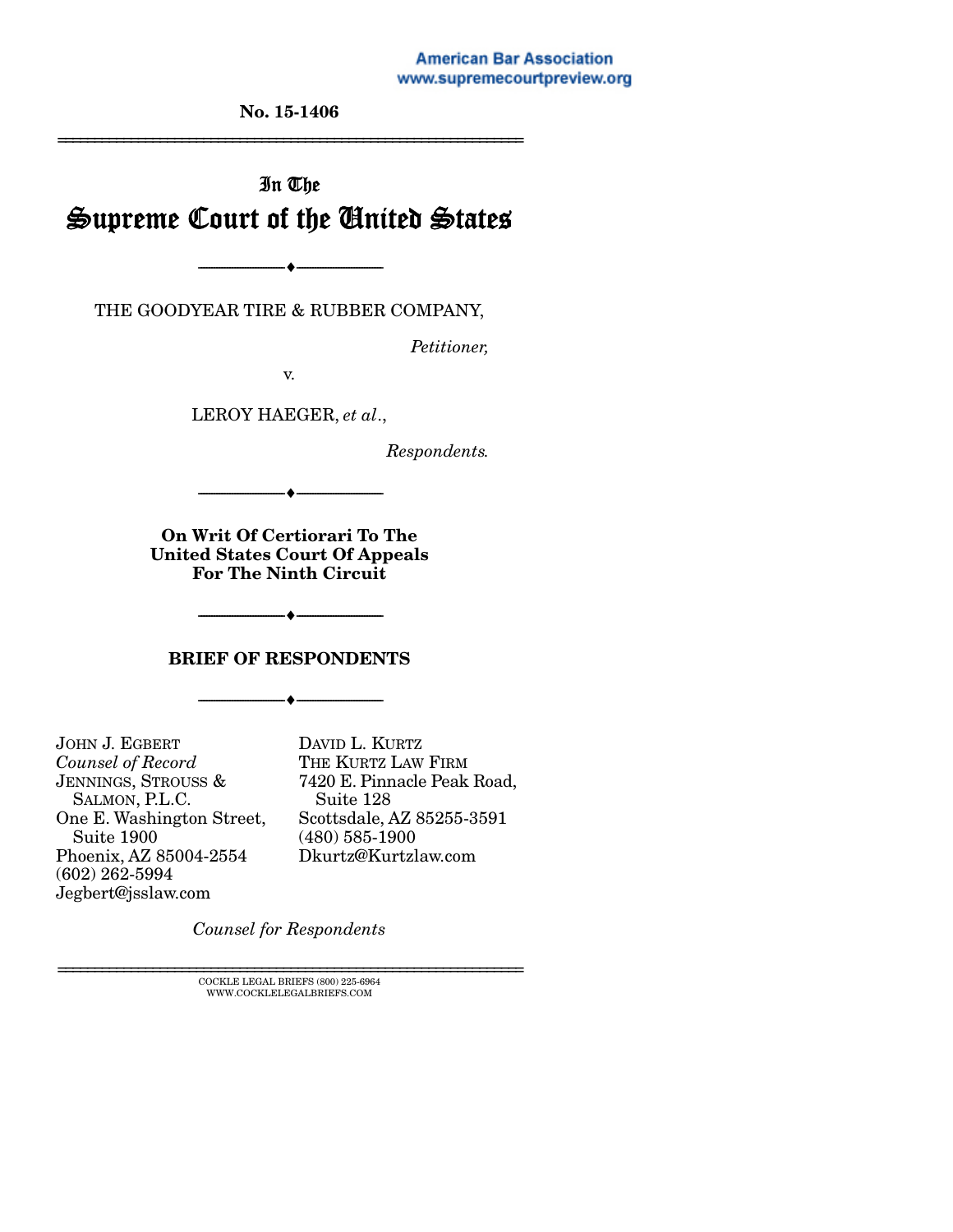**American Bar Association** www.supremecourtpreview.org

No. 15-1406 ================================================================

# In The Supreme Court of the United States

THE GOODYEAR TIRE & RUBBER COMPANY,

 $\bullet$  —

*Petitioner,* 

v.

LEROY HAEGER, *et al*.,

*Respondents.* 

On Writ Of Certiorari To The United States Court Of Appeals For The Ninth Circuit

--------------------------------- ---------------------------------

#### BRIEF OF RESPONDENTS

--------------------------------- ---------------------------------

--------------------------------- ---------------------------------

JOHN J. EGBERT *Counsel of Record*  JENNINGS, STROUSS & SALMON, P.L.C. One E. Washington Street, Suite 1900 Phoenix, AZ 85004-2554 (602) 262-5994 Jegbert@jsslaw.com

DAVID L. KURTZ THE KURTZ LAW FIRM 7420 E. Pinnacle Peak Road, Suite 128 Scottsdale, AZ 85255-3591 (480) 585-1900 Dkurtz@Kurtzlaw.com

*Counsel for Respondents* 

 $\textsc{COCKLE}$  LEGAL BRIEFS (800) 225-6964 WWW.COCKLELEGALBRIEFS.COM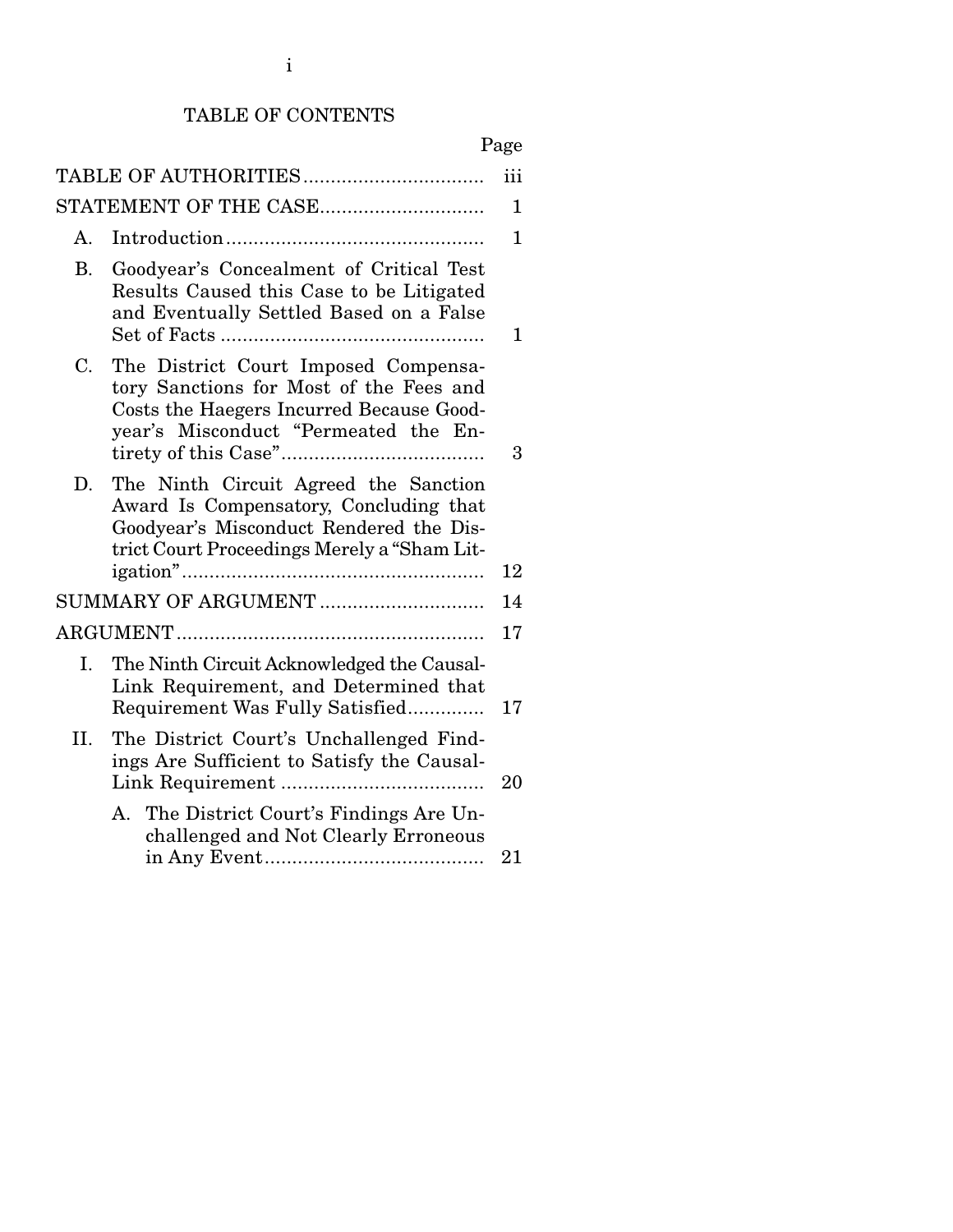## TABLE OF CONTENTS

## Page

| TABLE OF AUTHORITIES<br>iii |                                                                                                                                                                           |             |  |
|-----------------------------|---------------------------------------------------------------------------------------------------------------------------------------------------------------------------|-------------|--|
|                             | STATEMENT OF THE CASE                                                                                                                                                     | 1           |  |
| А.                          |                                                                                                                                                                           | $\mathbf 1$ |  |
| <b>B.</b>                   | Goodyear's Concealment of Critical Test<br>Results Caused this Case to be Litigated<br>and Eventually Settled Based on a False                                            | 1           |  |
| C.                          | The District Court Imposed Compensa-<br>tory Sanctions for Most of the Fees and<br>Costs the Haegers Incurred Because Good-<br>year's Misconduct "Permeated the En-       | 3           |  |
| D.                          | The Ninth Circuit Agreed the Sanction<br>Award Is Compensatory, Concluding that<br>Goodyear's Misconduct Rendered the Dis-<br>trict Court Proceedings Merely a "Sham Lit- | 12          |  |
|                             | SUMMARY OF ARGUMENT                                                                                                                                                       | 14          |  |
|                             |                                                                                                                                                                           |             |  |
| I.                          | The Ninth Circuit Acknowledged the Causal-<br>Link Requirement, and Determined that<br>Requirement Was Fully Satisfied                                                    | 17          |  |
| II.                         | The District Court's Unchallenged Find-<br>ings Are Sufficient to Satisfy the Causal-                                                                                     | 20          |  |
|                             | A. The District Court's Findings Are Un-<br>challenged and Not Clearly Erroneous                                                                                          | 21          |  |
|                             |                                                                                                                                                                           |             |  |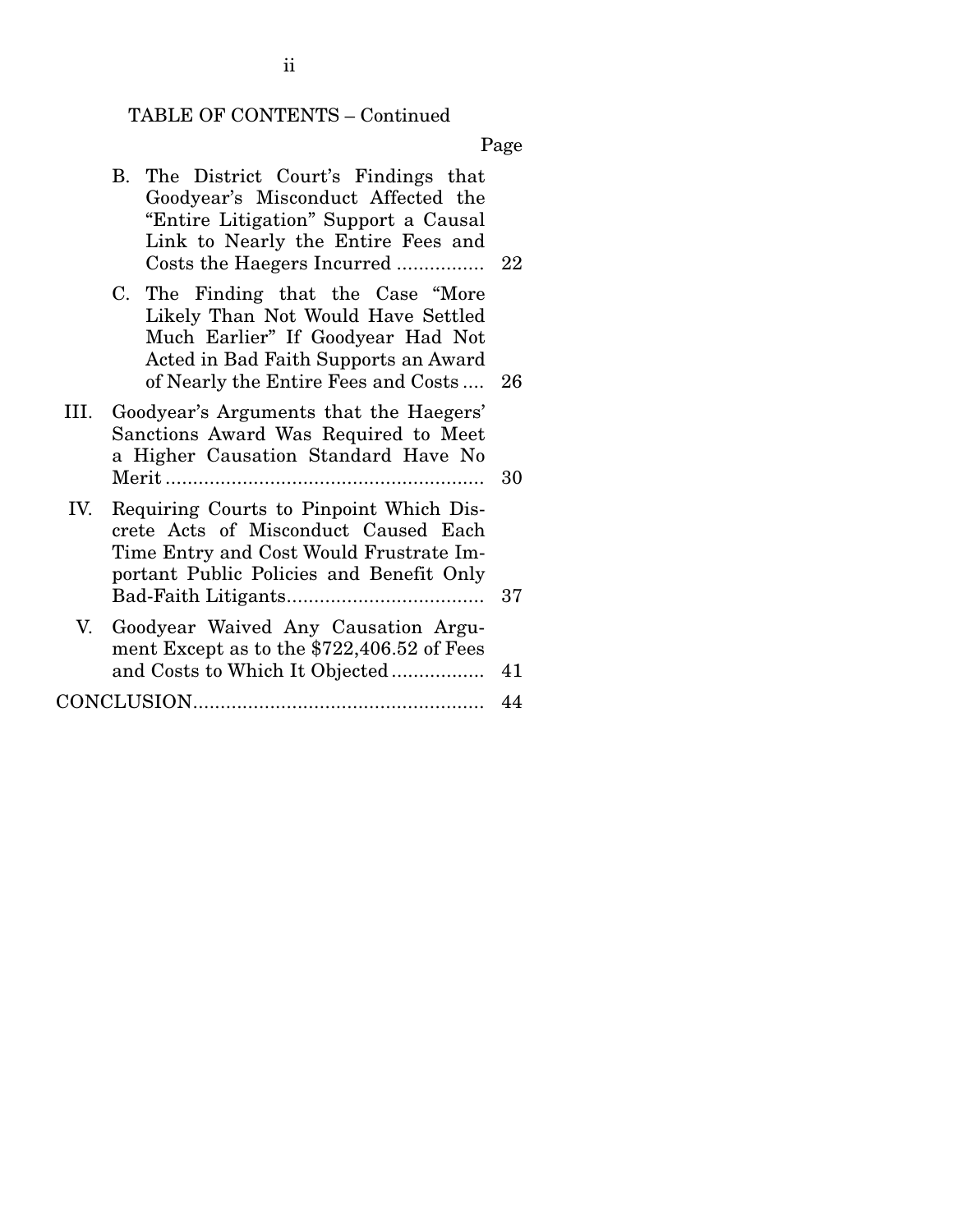# TABLE OF CONTENTS – Continued

Page

|      | The District Court's Findings that<br>В.<br>Goodyear's Misconduct Affected the<br>"Entire Litigation" Support a Causal<br>Link to Nearly the Entire Fees and<br>Costs the Haegers Incurred       | 22   |
|------|--------------------------------------------------------------------------------------------------------------------------------------------------------------------------------------------------|------|
|      | The Finding that the Case "More"<br>C.<br>Likely Than Not Would Have Settled<br>Much Earlier" If Goodyear Had Not<br>Acted in Bad Faith Supports an Award<br>of Nearly the Entire Fees and Costs | - 26 |
| III. | Goodyear's Arguments that the Haegers'<br>Sanctions Award Was Required to Meet<br>a Higher Causation Standard Have No                                                                            | 30   |
| IV.  | Requiring Courts to Pinpoint Which Dis-<br>crete Acts of Misconduct Caused Each<br>Time Entry and Cost Would Frustrate Im-<br>portant Public Policies and Benefit Only                           | 37   |
| V.   | Goodyear Waived Any Causation Argu-<br>ment Except as to the \$722,406.52 of Fees<br>and Costs to Which It Objected                                                                              | 41   |
|      |                                                                                                                                                                                                  | 44   |

ii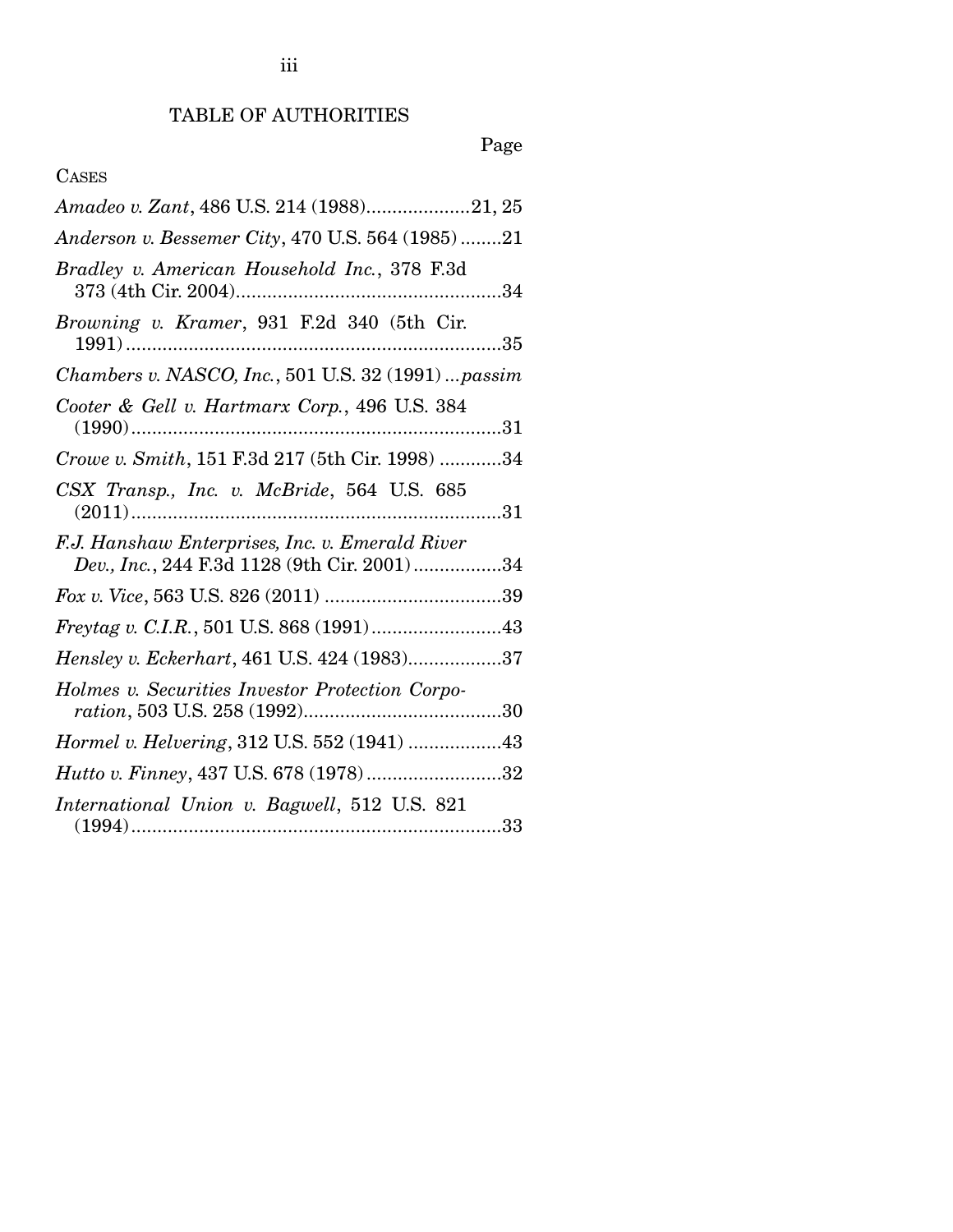## Page

## CASES

| Amadeo v. Zant, 486 U.S. 214 (1988)21, 25                                                      |
|------------------------------------------------------------------------------------------------|
| Anderson v. Bessemer City, 470 U.S. 564 (1985)21                                               |
| Bradley v. American Household Inc., 378 F.3d                                                   |
| Browning v. Kramer, 931 F.2d 340 (5th Cir.<br>35                                               |
| Chambers v. NASCO, Inc., 501 U.S. 32 (1991)  passim                                            |
| Cooter & Gell v. Hartmarx Corp., 496 U.S. 384                                                  |
| Crowe v. Smith, 151 F.3d 217 (5th Cir. 1998) 34                                                |
| CSX Transp., Inc. v. McBride, 564 U.S. 685                                                     |
| F.J. Hanshaw Enterprises, Inc. v. Emerald River<br>Dev., Inc., 244 F.3d 1128 (9th Cir. 2001)34 |
|                                                                                                |
|                                                                                                |
| Hensley v. Eckerhart, 461 U.S. 424 (1983)37                                                    |
| Holmes v. Securities Investor Protection Corpo-                                                |
| Hormel v. Helvering, 312 U.S. 552 (1941) 43                                                    |
| Hutto v. Finney, 437 U.S. 678 (1978)32                                                         |
| International Union v. Bagwell, 512 U.S. 821                                                   |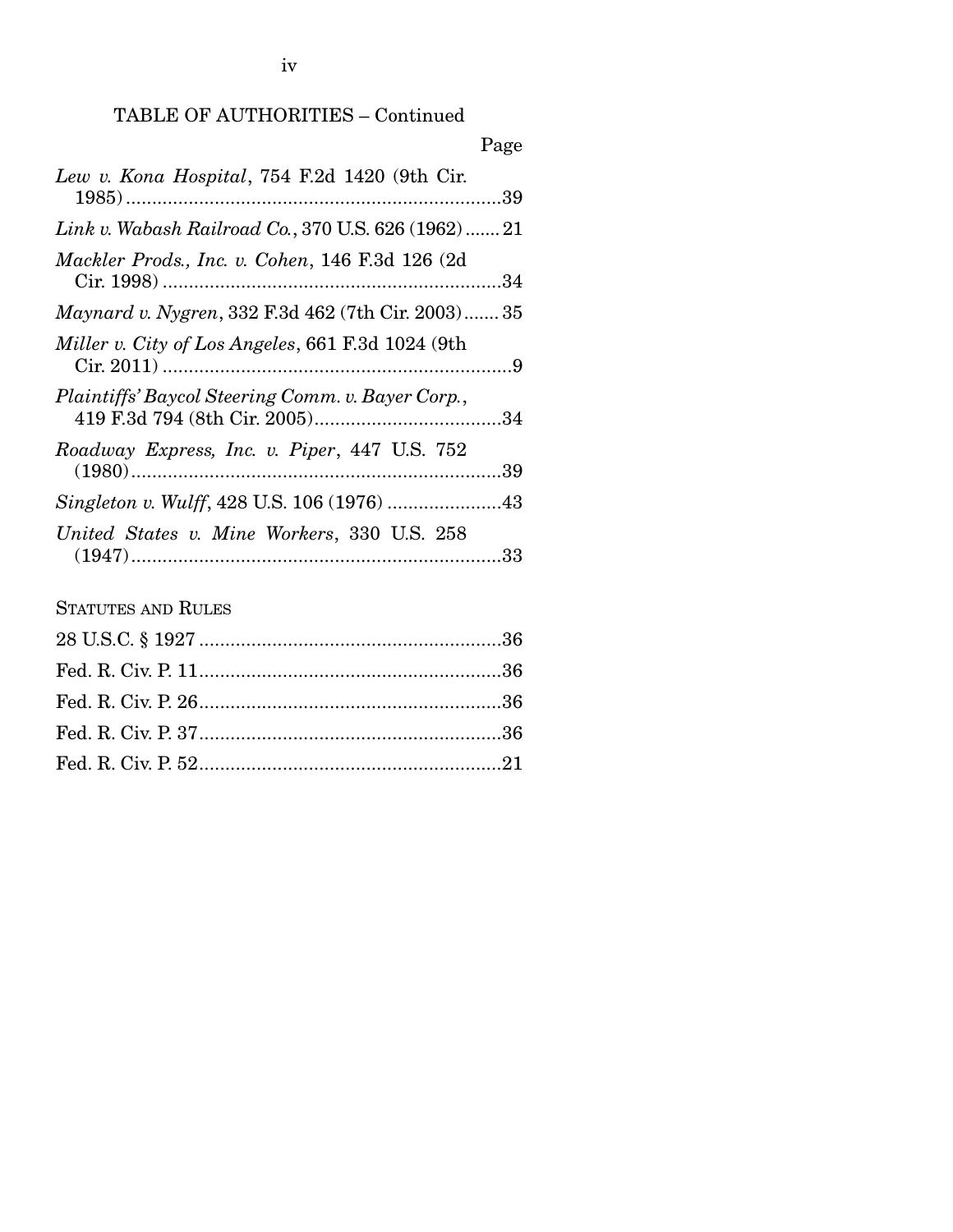iv

## TABLE OF AUTHORITIES – Continued

|                                                           | Page |
|-----------------------------------------------------------|------|
| Lew v. Kona Hospital, 754 F.2d 1420 (9th Cir.             |      |
| Link v. Wabash Railroad Co., 370 U.S. 626 (1962) 21       |      |
| Mackler Prods., Inc. v. Cohen, 146 F.3d 126 (2d)          |      |
| <i>Maynard v. Nygren, 332 F.3d 462 (7th Cir. 2003) 35</i> |      |
| Miller v. City of Los Angeles, 661 F.3d 1024 (9th         |      |
| Plaintiffs' Baycol Steering Comm. v. Bayer Corp.,         |      |
| Roadway Express, Inc. v. Piper, 447 U.S. 752              |      |
|                                                           |      |
| United States v. Mine Workers, 330 U.S. 258               |      |

### STATUTES AND RULES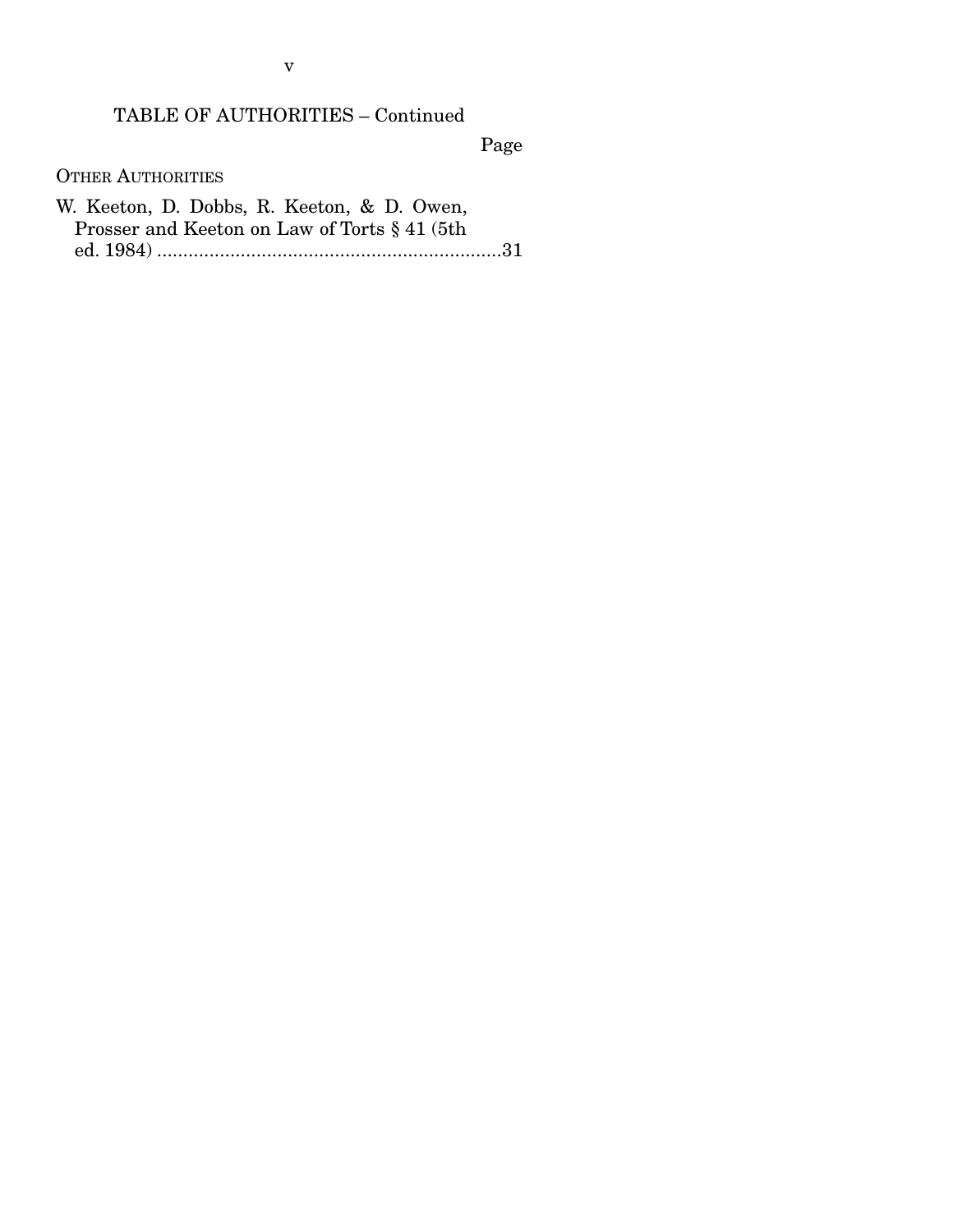### TABLE OF AUTHORITIES – Continued

Page

OTHER AUTHORITIES

W. Keeton, D. Dobbs, R. Keeton, & D. Owen, Prosser and Keeton on Law of Torts § 41 (5th ed. 1984) .................................................................. 31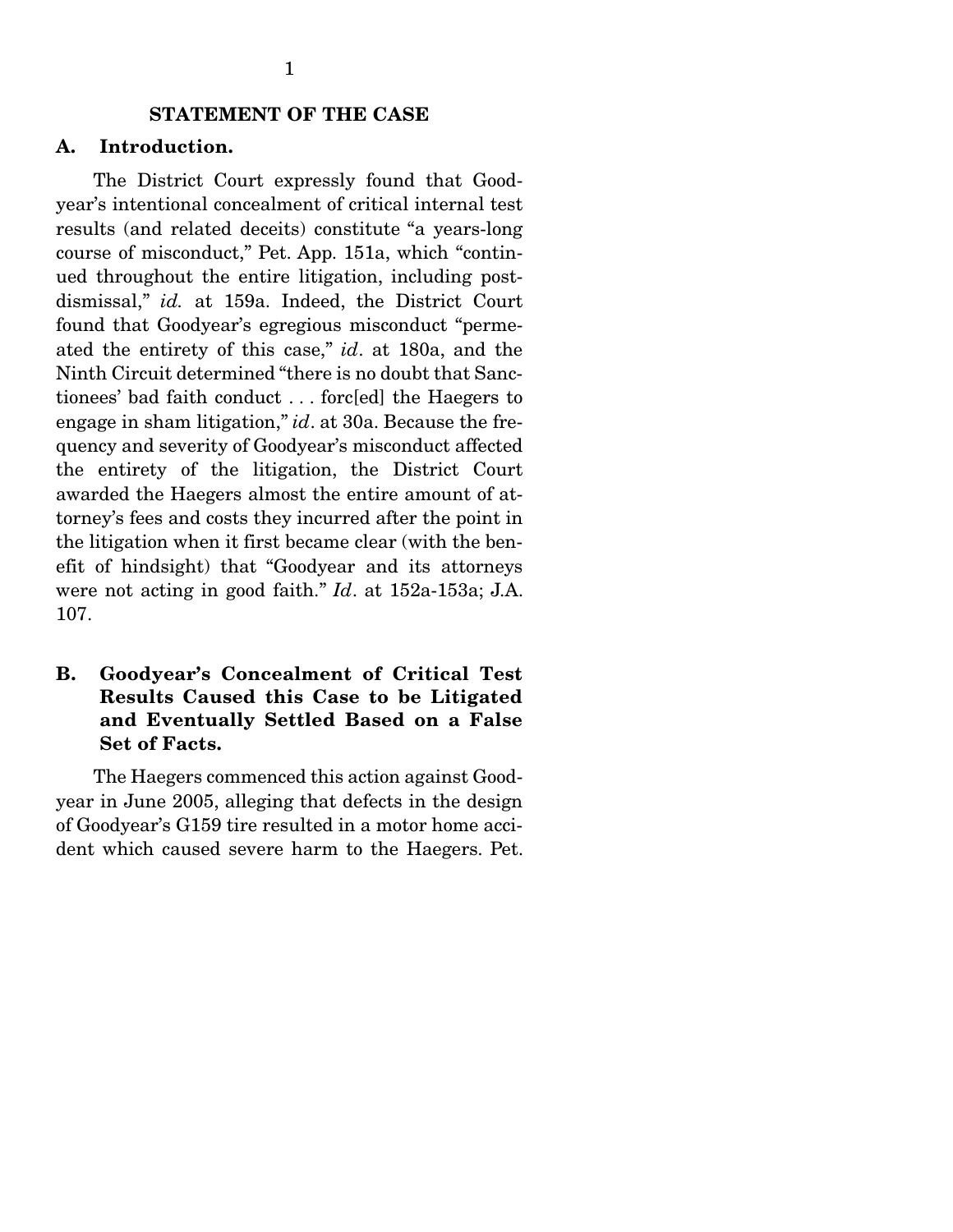#### STATEMENT OF THE CASE

#### A. Introduction.

 The District Court expressly found that Goodyear's intentional concealment of critical internal test results (and related deceits) constitute "a years-long course of misconduct," Pet. App. 151a, which "continued throughout the entire litigation, including postdismissal," *id.* at 159a. Indeed, the District Court found that Goodyear's egregious misconduct "permeated the entirety of this case," *id*. at 180a, and the Ninth Circuit determined "there is no doubt that Sanctionees' bad faith conduct . . . forc[ed] the Haegers to engage in sham litigation," *id*. at 30a. Because the frequency and severity of Goodyear's misconduct affected the entirety of the litigation, the District Court awarded the Haegers almost the entire amount of attorney's fees and costs they incurred after the point in the litigation when it first became clear (with the benefit of hindsight) that "Goodyear and its attorneys were not acting in good faith." *Id*. at 152a-153a; J.A. 107.

### B. Goodyear's Concealment of Critical Test Results Caused this Case to be Litigated and Eventually Settled Based on a False Set of Facts.

 The Haegers commenced this action against Goodyear in June 2005, alleging that defects in the design of Goodyear's G159 tire resulted in a motor home accident which caused severe harm to the Haegers. Pet.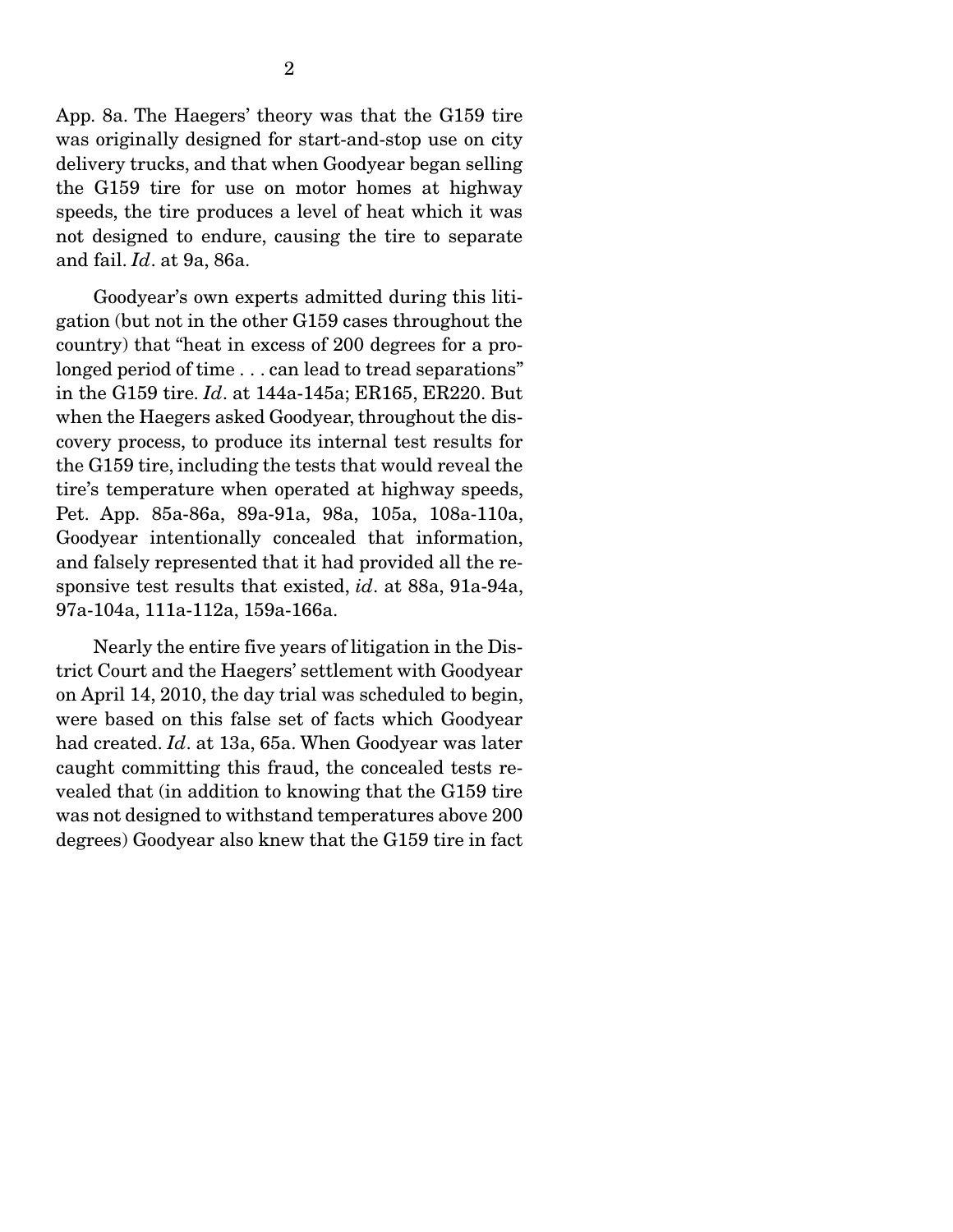App. 8a. The Haegers' theory was that the G159 tire was originally designed for start-and-stop use on city delivery trucks, and that when Goodyear began selling the G159 tire for use on motor homes at highway speeds, the tire produces a level of heat which it was not designed to endure, causing the tire to separate and fail. *Id*. at 9a, 86a.

 Goodyear's own experts admitted during this litigation (but not in the other G159 cases throughout the country) that "heat in excess of 200 degrees for a prolonged period of time . . . can lead to tread separations" in the G159 tire. *Id*. at 144a-145a; ER165, ER220. But when the Haegers asked Goodyear, throughout the discovery process, to produce its internal test results for the G159 tire, including the tests that would reveal the tire's temperature when operated at highway speeds, Pet. App. 85a-86a, 89a-91a, 98a, 105a, 108a-110a, Goodyear intentionally concealed that information, and falsely represented that it had provided all the responsive test results that existed, *id*. at 88a, 91a-94a, 97a-104a, 111a-112a, 159a-166a.

 Nearly the entire five years of litigation in the District Court and the Haegers' settlement with Goodyear on April 14, 2010, the day trial was scheduled to begin, were based on this false set of facts which Goodyear had created. *Id*. at 13a, 65a. When Goodyear was later caught committing this fraud, the concealed tests revealed that (in addition to knowing that the G159 tire was not designed to withstand temperatures above 200 degrees) Goodyear also knew that the G159 tire in fact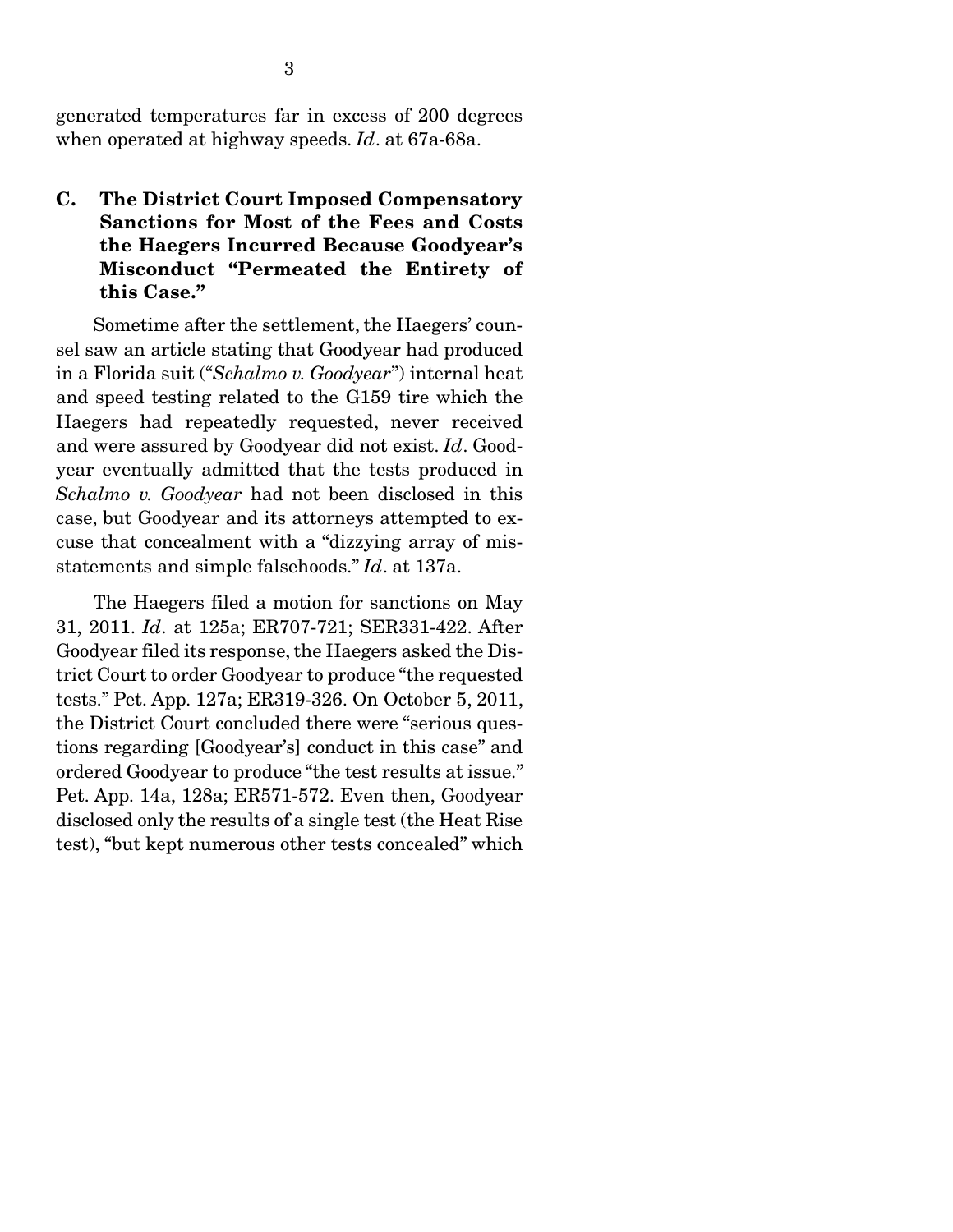generated temperatures far in excess of 200 degrees when operated at highway speeds. *Id*. at 67a-68a.

### C. The District Court Imposed Compensatory Sanctions for Most of the Fees and Costs the Haegers Incurred Because Goodyear's Misconduct "Permeated the Entirety of this Case."

 Sometime after the settlement, the Haegers' counsel saw an article stating that Goodyear had produced in a Florida suit ("*Schalmo v. Goodyear*") internal heat and speed testing related to the G159 tire which the Haegers had repeatedly requested, never received and were assured by Goodyear did not exist. *Id*. Goodyear eventually admitted that the tests produced in *Schalmo v. Goodyear* had not been disclosed in this case, but Goodyear and its attorneys attempted to excuse that concealment with a "dizzying array of misstatements and simple falsehoods." *Id*. at 137a.

 The Haegers filed a motion for sanctions on May 31, 2011. *Id*. at 125a; ER707-721; SER331-422. After Goodyear filed its response, the Haegers asked the District Court to order Goodyear to produce "the requested tests." Pet. App. 127a; ER319-326. On October 5, 2011, the District Court concluded there were "serious questions regarding [Goodyear's] conduct in this case" and ordered Goodyear to produce "the test results at issue." Pet. App. 14a, 128a; ER571-572. Even then, Goodyear disclosed only the results of a single test (the Heat Rise test), "but kept numerous other tests concealed" which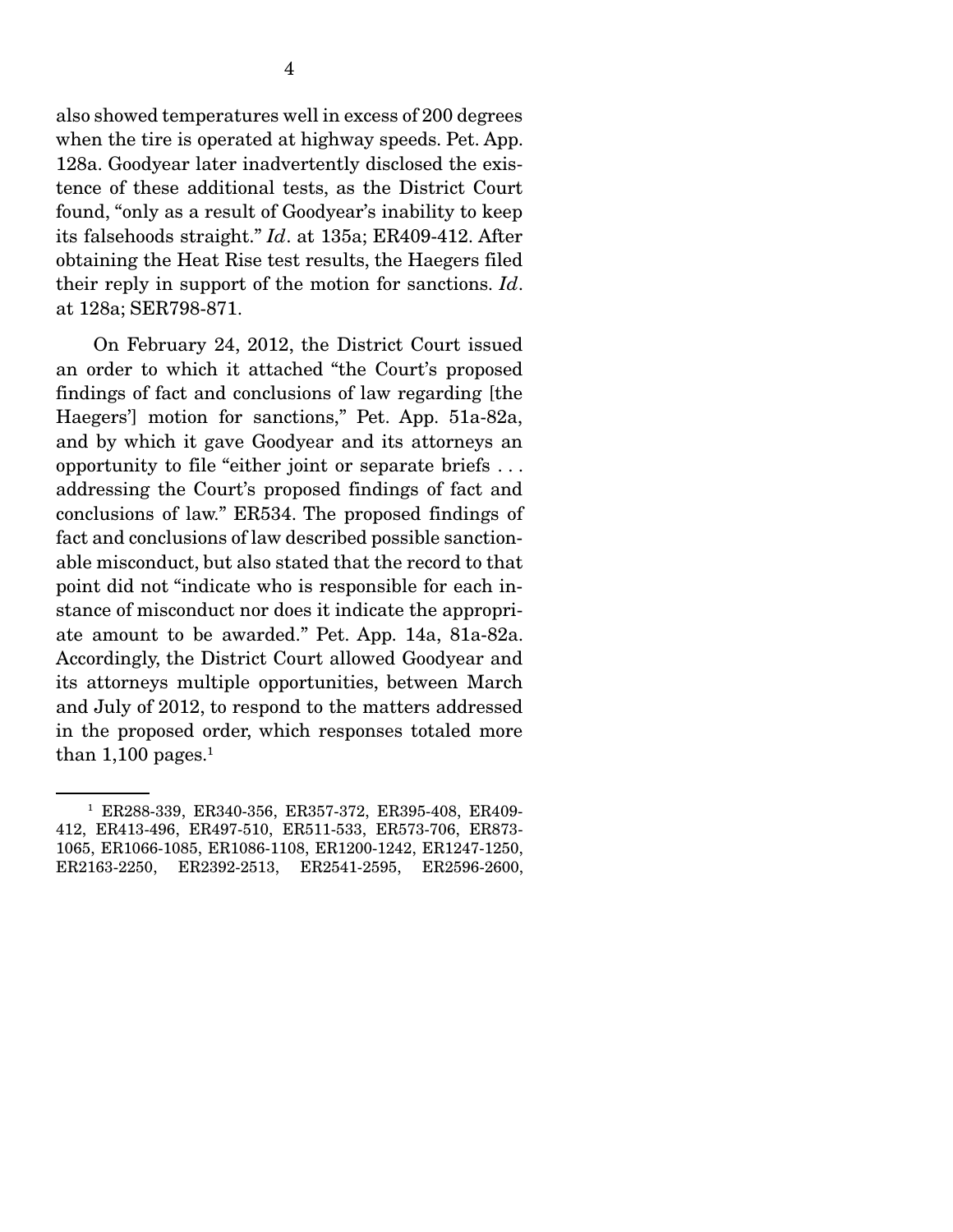also showed temperatures well in excess of 200 degrees when the tire is operated at highway speeds. Pet. App. 128a. Goodyear later inadvertently disclosed the existence of these additional tests, as the District Court found, "only as a result of Goodyear's inability to keep its falsehoods straight." *Id*. at 135a; ER409-412. After obtaining the Heat Rise test results, the Haegers filed their reply in support of the motion for sanctions. *Id*. at 128a; SER798-871.

 On February 24, 2012, the District Court issued an order to which it attached "the Court's proposed findings of fact and conclusions of law regarding [the Haegers'] motion for sanctions," Pet. App. 51a-82a, and by which it gave Goodyear and its attorneys an opportunity to file "either joint or separate briefs . . . addressing the Court's proposed findings of fact and conclusions of law." ER534. The proposed findings of fact and conclusions of law described possible sanctionable misconduct, but also stated that the record to that point did not "indicate who is responsible for each instance of misconduct nor does it indicate the appropriate amount to be awarded." Pet. App. 14a, 81a-82a. Accordingly, the District Court allowed Goodyear and its attorneys multiple opportunities, between March and July of 2012, to respond to the matters addressed in the proposed order, which responses totaled more than  $1,\!100$  pages.<sup>1</sup>

<sup>1</sup> ER288-339, ER340-356, ER357-372, ER395-408, ER409- 412, ER413-496, ER497-510, ER511-533, ER573-706, ER873- 1065, ER1066-1085, ER1086-1108, ER1200-1242, ER1247-1250, ER2163-2250, ER2392-2513, ER2541-2595, ER2596-2600,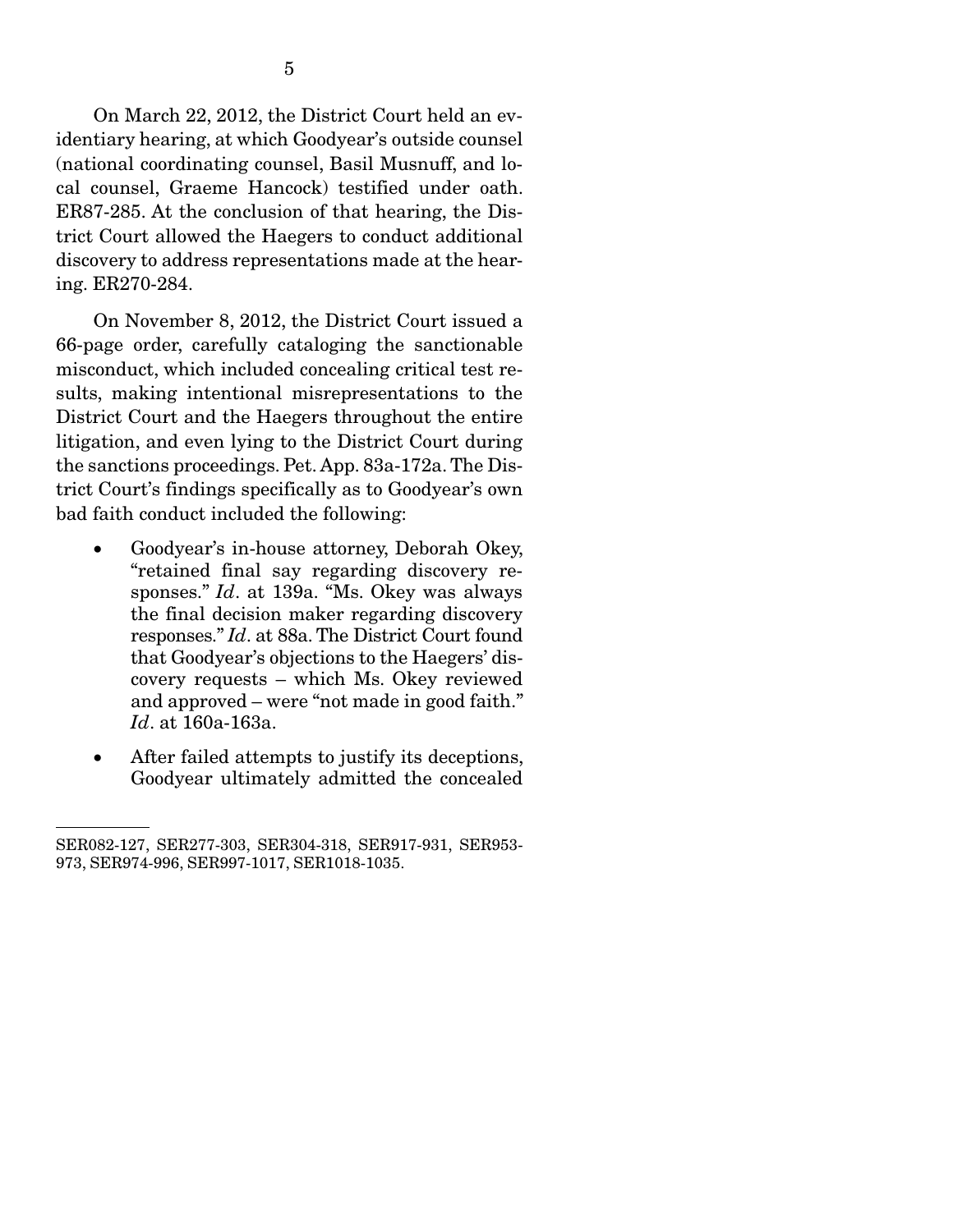On March 22, 2012, the District Court held an evidentiary hearing, at which Goodyear's outside counsel (national coordinating counsel, Basil Musnuff, and local counsel, Graeme Hancock) testified under oath. ER87-285. At the conclusion of that hearing, the District Court allowed the Haegers to conduct additional discovery to address representations made at the hearing. ER270-284.

 On November 8, 2012, the District Court issued a 66-page order, carefully cataloging the sanctionable misconduct, which included concealing critical test results, making intentional misrepresentations to the District Court and the Haegers throughout the entire litigation, and even lying to the District Court during the sanctions proceedings. Pet. App. 83a-172a. The District Court's findings specifically as to Goodyear's own bad faith conduct included the following:

- Goodyear's in-house attorney, Deborah Okey, "retained final say regarding discovery responses." *Id*. at 139a. "Ms. Okey was always the final decision maker regarding discovery responses." *Id*. at 88a. The District Court found that Goodyear's objections to the Haegers' discovery requests – which Ms. Okey reviewed and approved – were "not made in good faith." *Id*. at 160a-163a.
- After failed attempts to justify its deceptions, Goodyear ultimately admitted the concealed

SER082-127, SER277-303, SER304-318, SER917-931, SER953- 973, SER974-996, SER997-1017, SER1018-1035.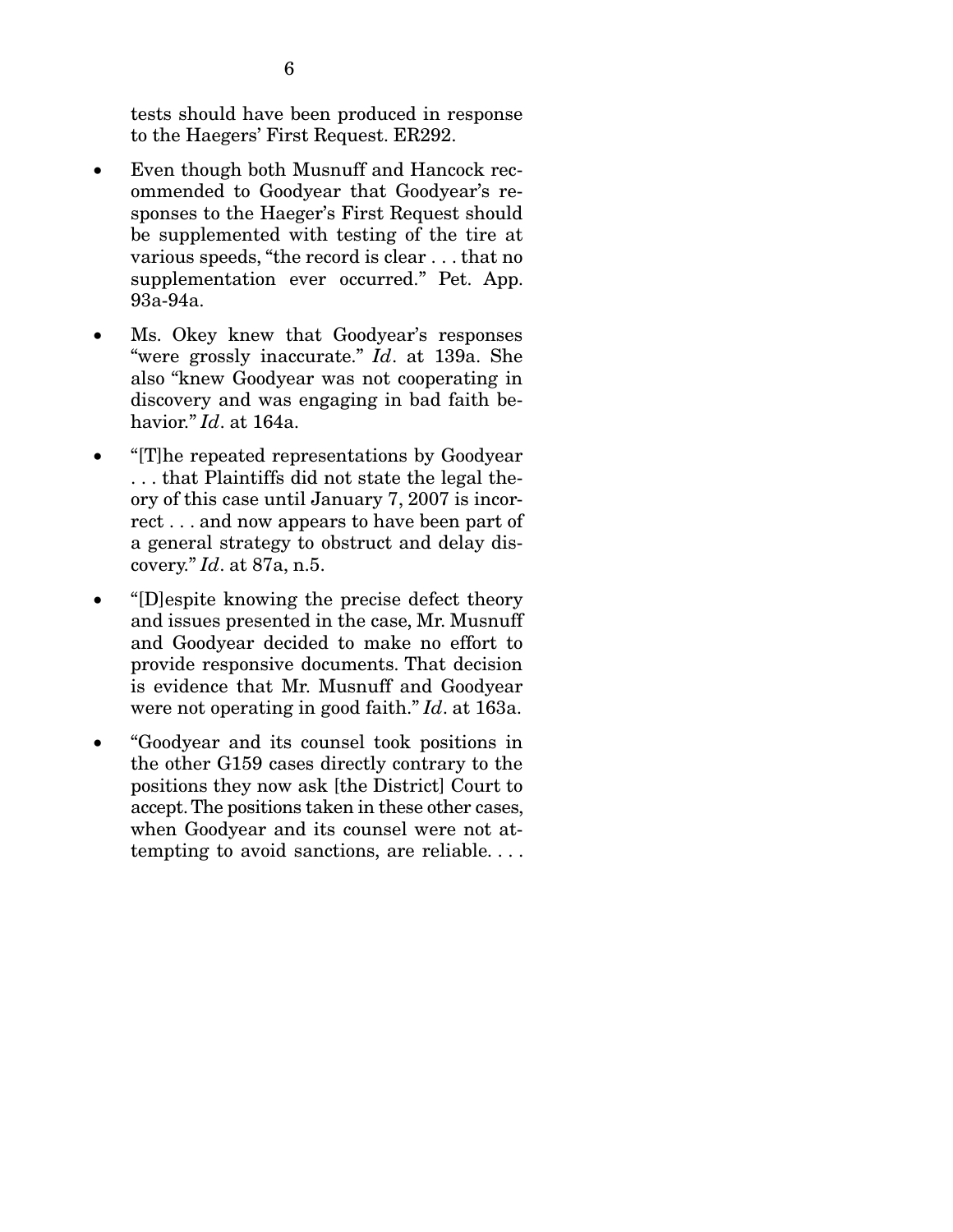tests should have been produced in response to the Haegers' First Request. ER292.

- Even though both Musnuff and Hancock recommended to Goodyear that Goodyear's responses to the Haeger's First Request should be supplemented with testing of the tire at various speeds, "the record is clear . . . that no supplementation ever occurred." Pet. App. 93a-94a.
- Ms. Okey knew that Goodyear's responses "were grossly inaccurate." *Id*. at 139a. She also "knew Goodyear was not cooperating in discovery and was engaging in bad faith behavior." *Id*. at 164a.
- "[T]he repeated representations by Goodyear . . . that Plaintiffs did not state the legal theory of this case until January 7, 2007 is incorrect . . . and now appears to have been part of a general strategy to obstruct and delay discovery." *Id*. at 87a, n.5.
- "[D]espite knowing the precise defect theory and issues presented in the case, Mr. Musnuff and Goodyear decided to make no effort to provide responsive documents. That decision is evidence that Mr. Musnuff and Goodyear were not operating in good faith." *Id*. at 163a.
- "Goodyear and its counsel took positions in the other G159 cases directly contrary to the positions they now ask [the District] Court to accept. The positions taken in these other cases, when Goodyear and its counsel were not attempting to avoid sanctions, are reliable. . . .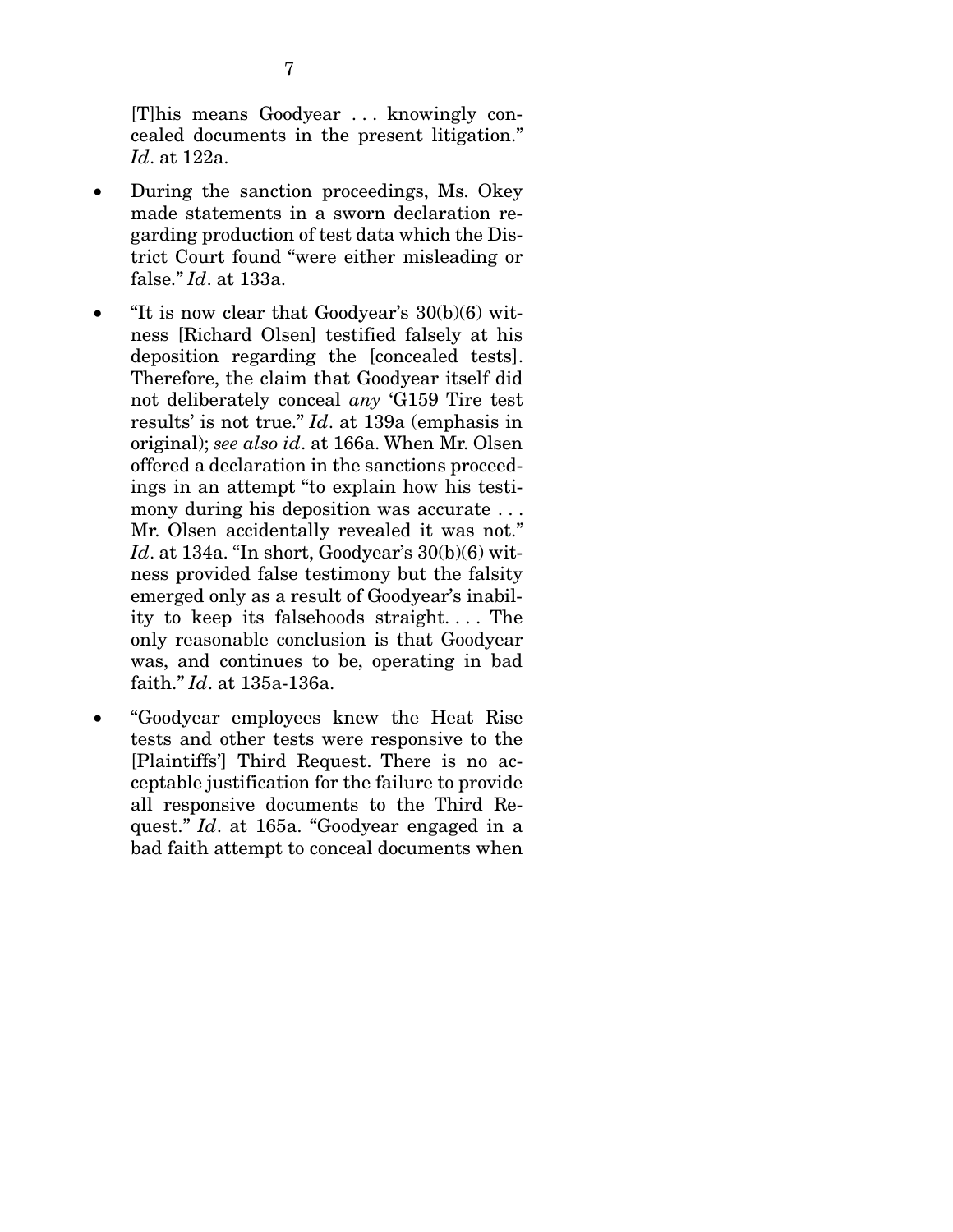[T]his means Goodyear . . . knowingly concealed documents in the present litigation." *Id*. at 122a.

- During the sanction proceedings, Ms. Okey made statements in a sworn declaration regarding production of test data which the District Court found "were either misleading or false." *Id*. at 133a.
- $\bullet$  "It is now clear that Goodyear's 30(b)(6) witness [Richard Olsen] testified falsely at his deposition regarding the [concealed tests]. Therefore, the claim that Goodyear itself did not deliberately conceal *any* 'G159 Tire test results' is not true." *Id*. at 139a (emphasis in original); *see also id*. at 166a. When Mr. Olsen offered a declaration in the sanctions proceedings in an attempt "to explain how his testimony during his deposition was accurate . . . Mr. Olsen accidentally revealed it was not." *Id*. at 134a. "In short, Goodyear's 30(b)(6) witness provided false testimony but the falsity emerged only as a result of Goodyear's inability to keep its falsehoods straight. . . . The only reasonable conclusion is that Goodyear was, and continues to be, operating in bad faith." *Id*. at 135a-136a.
- "Goodyear employees knew the Heat Rise tests and other tests were responsive to the [Plaintiffs'] Third Request. There is no acceptable justification for the failure to provide all responsive documents to the Third Request." *Id*. at 165a. "Goodyear engaged in a bad faith attempt to conceal documents when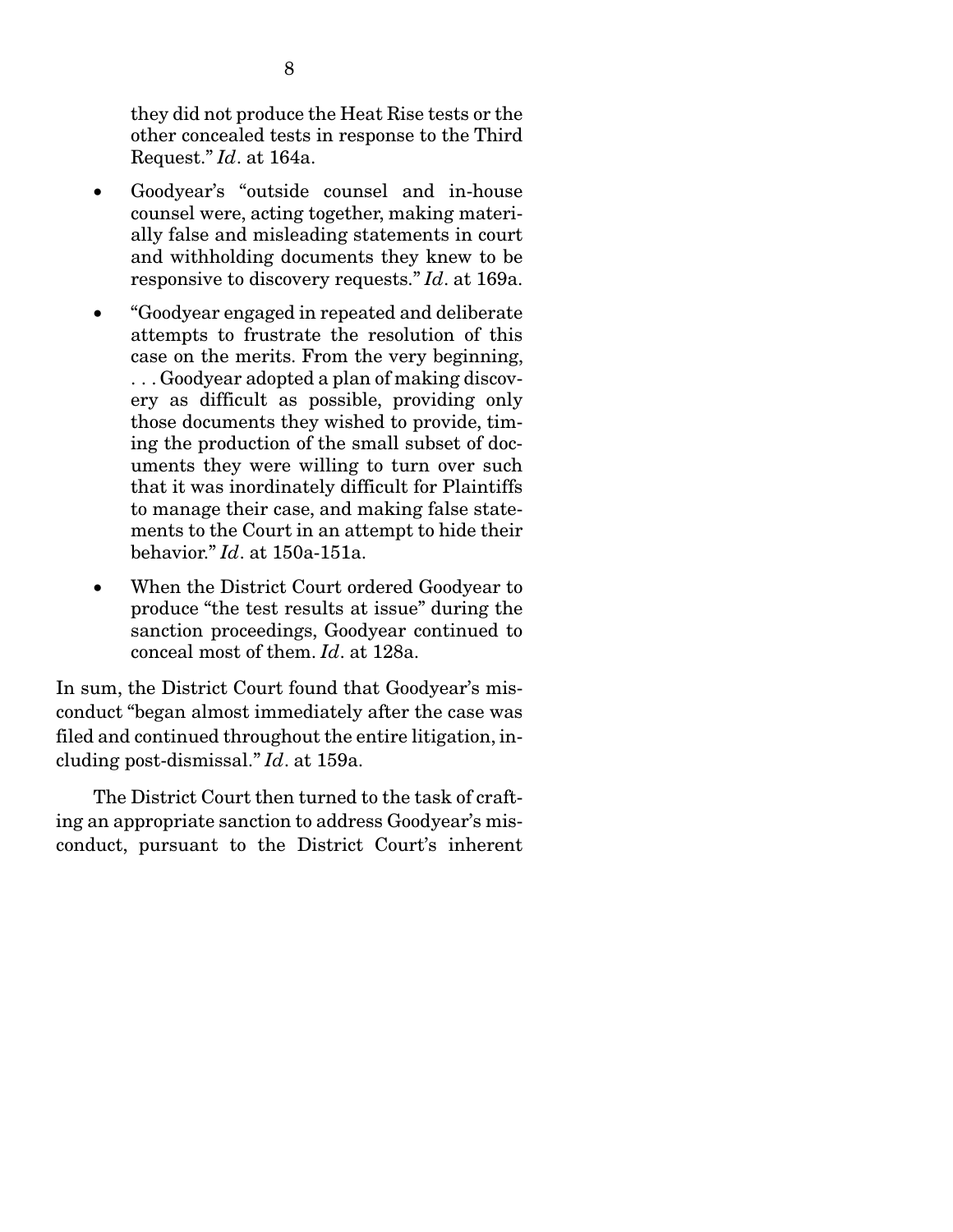they did not produce the Heat Rise tests or the other concealed tests in response to the Third Request." *Id*. at 164a.

- Goodyear's "outside counsel and in-house counsel were, acting together, making materially false and misleading statements in court and withholding documents they knew to be responsive to discovery requests." *Id*. at 169a.
- "Goodyear engaged in repeated and deliberate attempts to frustrate the resolution of this case on the merits. From the very beginning, . . . Goodyear adopted a plan of making discovery as difficult as possible, providing only those documents they wished to provide, timing the production of the small subset of documents they were willing to turn over such that it was inordinately difficult for Plaintiffs to manage their case, and making false statements to the Court in an attempt to hide their behavior." *Id*. at 150a-151a.
- When the District Court ordered Goodyear to produce "the test results at issue" during the sanction proceedings, Goodyear continued to conceal most of them. *Id*. at 128a.

In sum, the District Court found that Goodyear's misconduct "began almost immediately after the case was filed and continued throughout the entire litigation, including post-dismissal." *Id*. at 159a.

 The District Court then turned to the task of crafting an appropriate sanction to address Goodyear's misconduct, pursuant to the District Court's inherent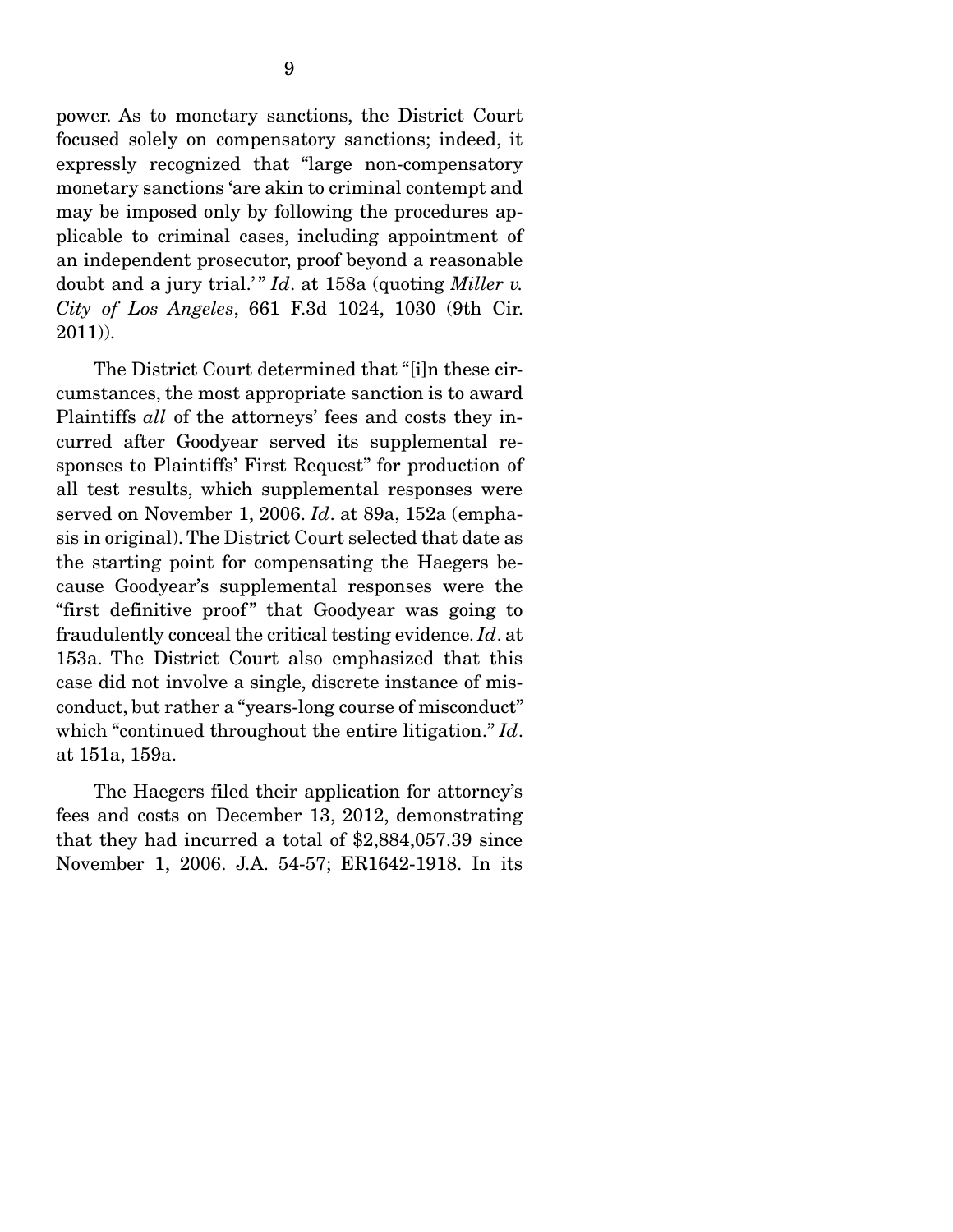power. As to monetary sanctions, the District Court focused solely on compensatory sanctions; indeed, it expressly recognized that "large non-compensatory monetary sanctions 'are akin to criminal contempt and may be imposed only by following the procedures applicable to criminal cases, including appointment of an independent prosecutor, proof beyond a reasonable doubt and a jury trial.'" *Id*. at 158a (quoting *Miller v. City of Los Angeles*, 661 F.3d 1024, 1030 (9th Cir. 2011)).

 The District Court determined that "[i]n these circumstances, the most appropriate sanction is to award Plaintiffs *all* of the attorneys' fees and costs they incurred after Goodyear served its supplemental responses to Plaintiffs' First Request" for production of all test results, which supplemental responses were served on November 1, 2006. *Id*. at 89a, 152a (emphasis in original). The District Court selected that date as the starting point for compensating the Haegers because Goodyear's supplemental responses were the "first definitive proof" that Goodyear was going to fraudulently conceal the critical testing evidence. *Id*. at 153a. The District Court also emphasized that this case did not involve a single, discrete instance of misconduct, but rather a "years-long course of misconduct" which "continued throughout the entire litigation." *Id*. at 151a, 159a.

 The Haegers filed their application for attorney's fees and costs on December 13, 2012, demonstrating that they had incurred a total of \$2,884,057.39 since November 1, 2006. J.A. 54-57; ER1642-1918. In its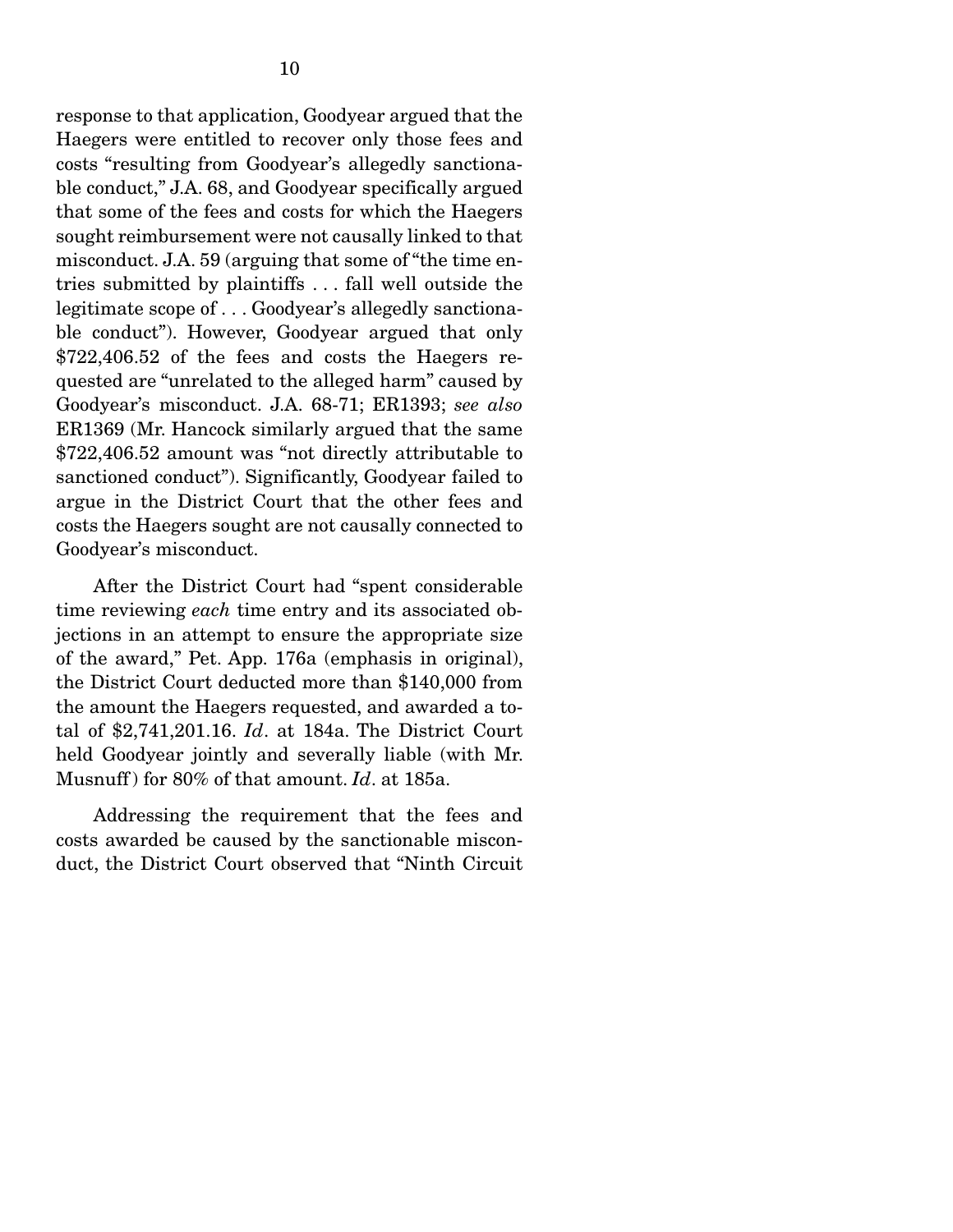response to that application, Goodyear argued that the Haegers were entitled to recover only those fees and costs "resulting from Goodyear's allegedly sanctionable conduct," J.A. 68, and Goodyear specifically argued that some of the fees and costs for which the Haegers sought reimbursement were not causally linked to that misconduct. J.A. 59 (arguing that some of "the time entries submitted by plaintiffs . . . fall well outside the legitimate scope of . . . Goodyear's allegedly sanctionable conduct"). However, Goodyear argued that only \$722,406.52 of the fees and costs the Haegers requested are "unrelated to the alleged harm" caused by Goodyear's misconduct. J.A. 68-71; ER1393; *see also* ER1369 (Mr. Hancock similarly argued that the same \$722,406.52 amount was "not directly attributable to sanctioned conduct"). Significantly, Goodyear failed to argue in the District Court that the other fees and costs the Haegers sought are not causally connected to Goodyear's misconduct.

 After the District Court had "spent considerable time reviewing *each* time entry and its associated objections in an attempt to ensure the appropriate size of the award," Pet. App. 176a (emphasis in original), the District Court deducted more than \$140,000 from the amount the Haegers requested, and awarded a total of \$2,741,201.16. *Id*. at 184a. The District Court held Goodyear jointly and severally liable (with Mr. Musnuff ) for 80% of that amount. *Id*. at 185a.

 Addressing the requirement that the fees and costs awarded be caused by the sanctionable misconduct, the District Court observed that "Ninth Circuit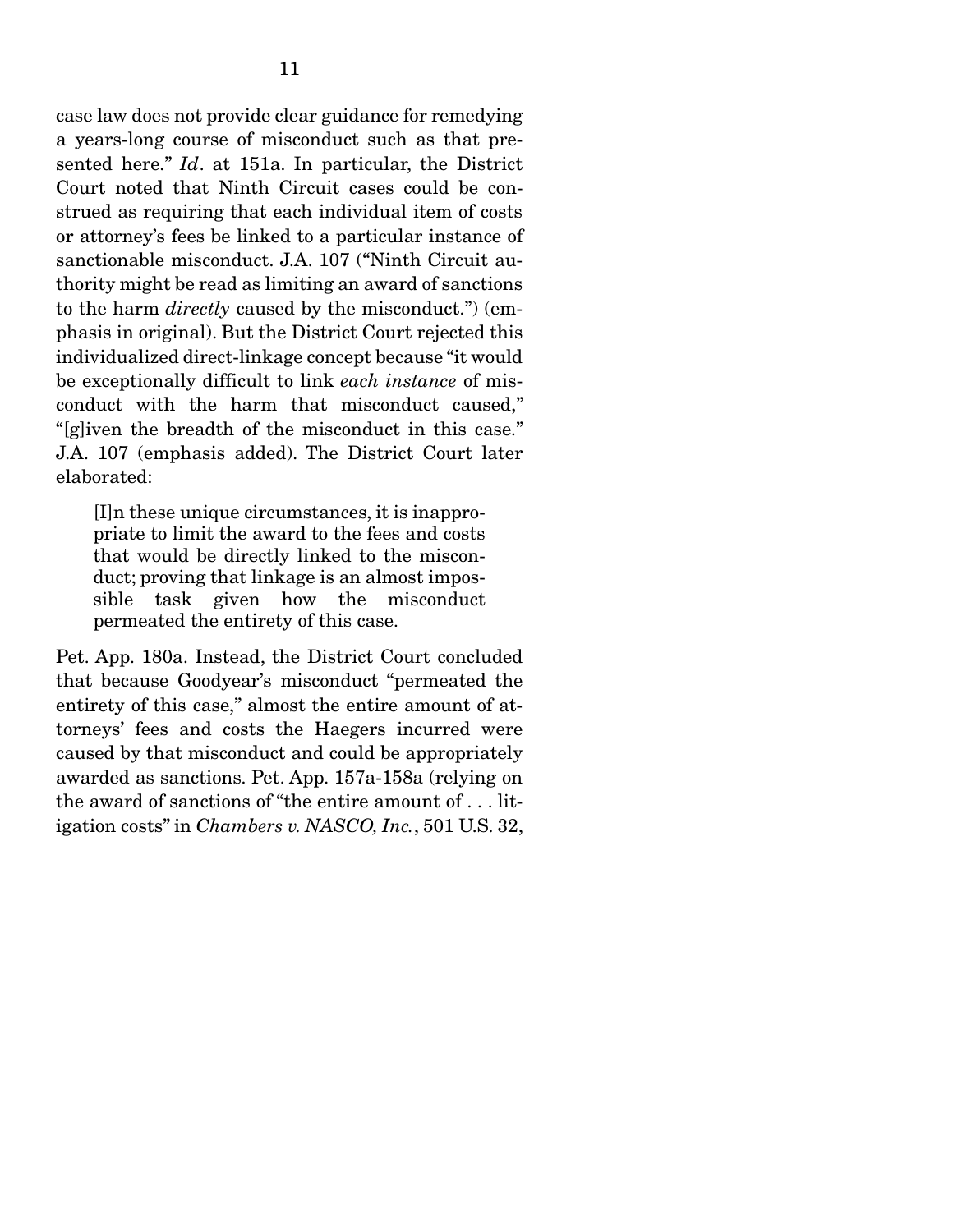case law does not provide clear guidance for remedying a years-long course of misconduct such as that presented here." *Id*. at 151a. In particular, the District Court noted that Ninth Circuit cases could be construed as requiring that each individual item of costs or attorney's fees be linked to a particular instance of sanctionable misconduct. J.A. 107 ("Ninth Circuit authority might be read as limiting an award of sanctions to the harm *directly* caused by the misconduct.") (emphasis in original). But the District Court rejected this individualized direct-linkage concept because "it would be exceptionally difficult to link *each instance* of misconduct with the harm that misconduct caused," "[g]iven the breadth of the misconduct in this case." J.A. 107 (emphasis added). The District Court later elaborated:

[I]n these unique circumstances, it is inappropriate to limit the award to the fees and costs that would be directly linked to the misconduct; proving that linkage is an almost impossible task given how the misconduct permeated the entirety of this case.

Pet. App. 180a. Instead, the District Court concluded that because Goodyear's misconduct "permeated the entirety of this case," almost the entire amount of attorneys' fees and costs the Haegers incurred were caused by that misconduct and could be appropriately awarded as sanctions. Pet. App. 157a-158a (relying on the award of sanctions of "the entire amount of . . . litigation costs" in *Chambers v. NASCO, Inc.*, 501 U.S. 32,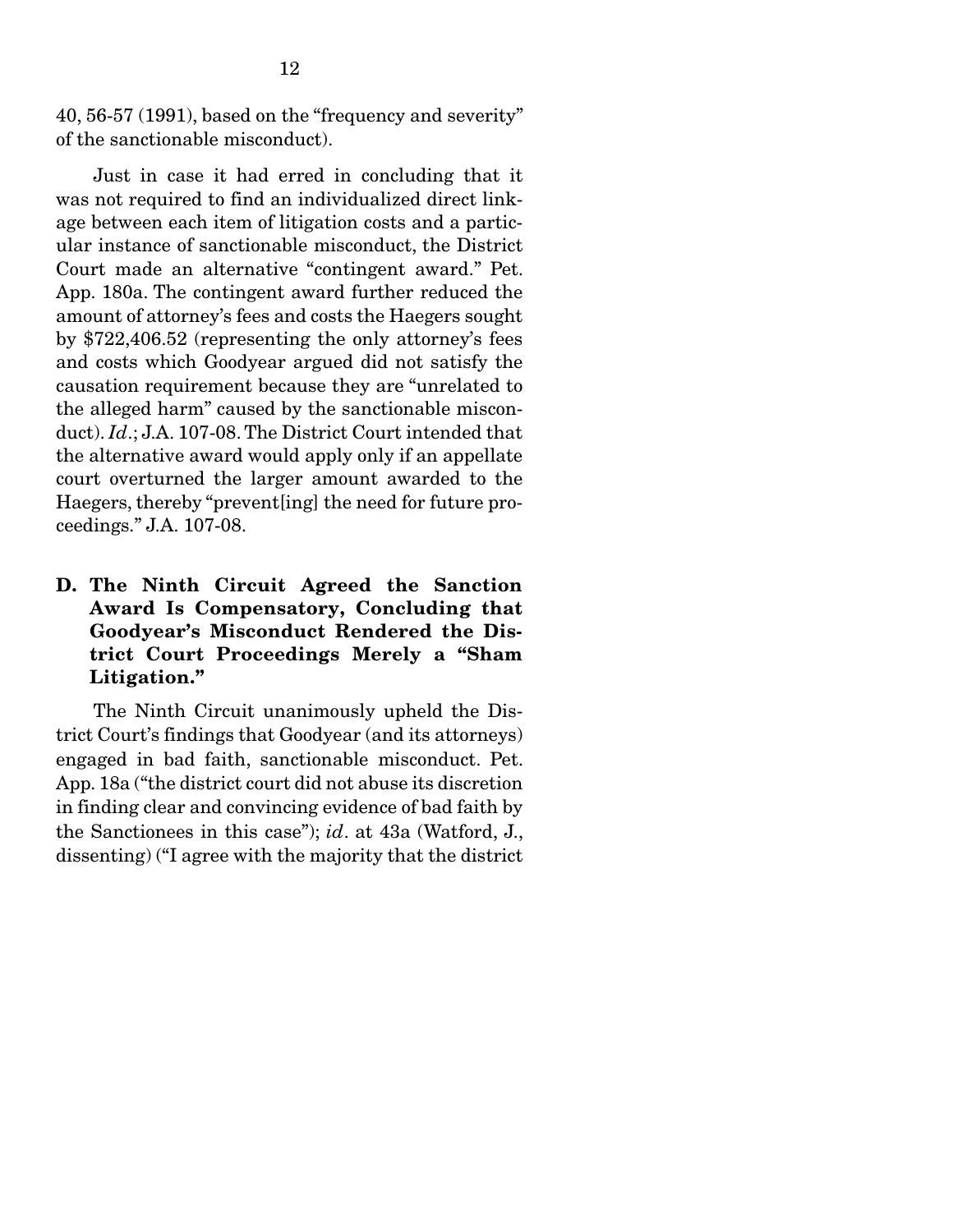40, 56-57 (1991), based on the "frequency and severity" of the sanctionable misconduct).

 Just in case it had erred in concluding that it was not required to find an individualized direct linkage between each item of litigation costs and a particular instance of sanctionable misconduct, the District Court made an alternative "contingent award." Pet. App. 180a. The contingent award further reduced the amount of attorney's fees and costs the Haegers sought by \$722,406.52 (representing the only attorney's fees and costs which Goodyear argued did not satisfy the causation requirement because they are "unrelated to the alleged harm" caused by the sanctionable misconduct). *Id*.; J.A. 107-08. The District Court intended that the alternative award would apply only if an appellate court overturned the larger amount awarded to the Haegers, thereby "prevent[ing] the need for future proceedings." J.A. 107-08.

D. The Ninth Circuit Agreed the Sanction Award Is Compensatory, Concluding that Goodyear's Misconduct Rendered the District Court Proceedings Merely a "Sham Litigation."

 The Ninth Circuit unanimously upheld the District Court's findings that Goodyear (and its attorneys) engaged in bad faith, sanctionable misconduct. Pet. App. 18a ("the district court did not abuse its discretion in finding clear and convincing evidence of bad faith by the Sanctionees in this case"); *id*. at 43a (Watford, J., dissenting) ("I agree with the majority that the district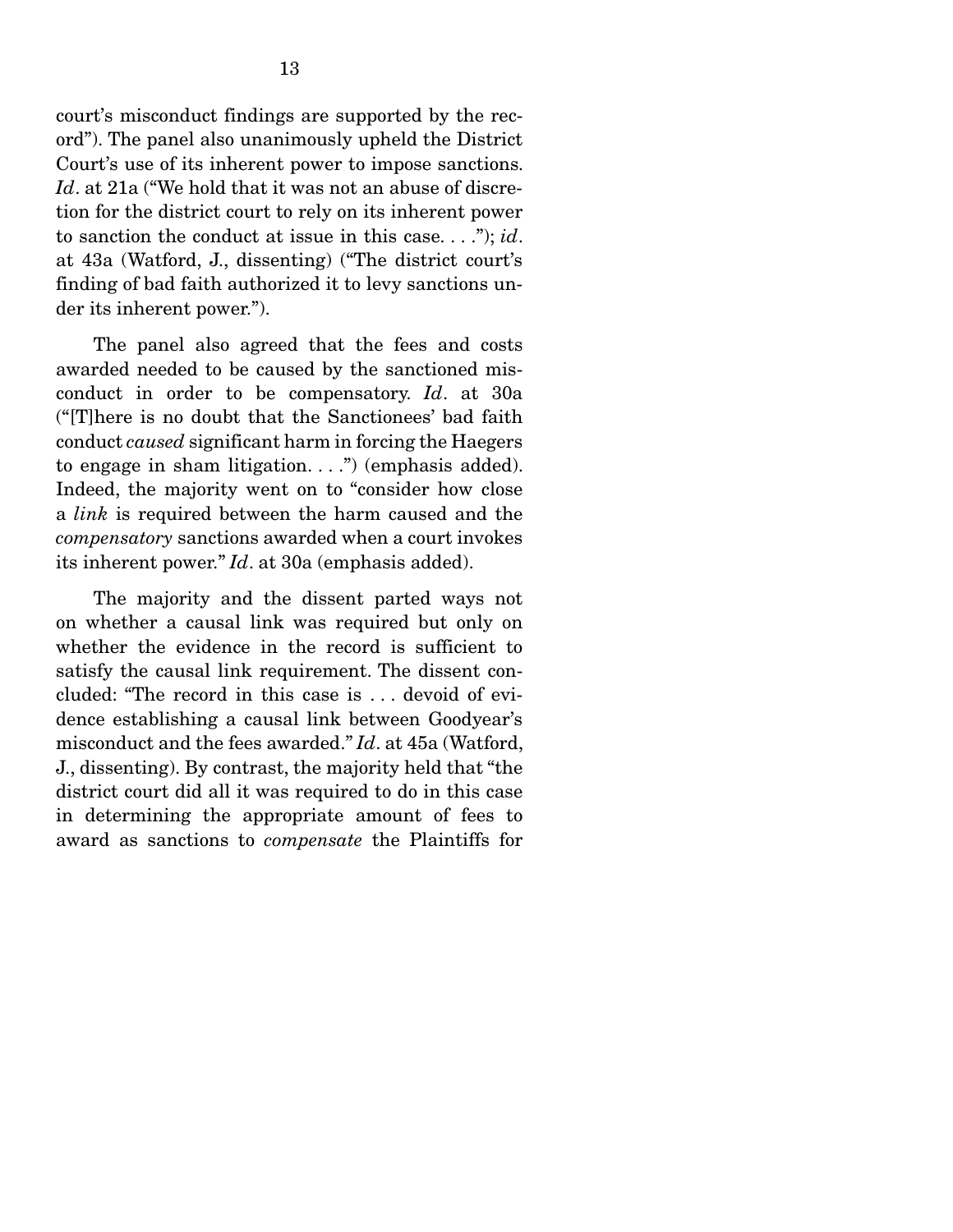court's misconduct findings are supported by the record"). The panel also unanimously upheld the District Court's use of its inherent power to impose sanctions. *Id*. at 21a ("We hold that it was not an abuse of discretion for the district court to rely on its inherent power to sanction the conduct at issue in this case. . . ."); *id*. at 43a (Watford, J., dissenting) ("The district court's finding of bad faith authorized it to levy sanctions under its inherent power.").

 The panel also agreed that the fees and costs awarded needed to be caused by the sanctioned misconduct in order to be compensatory. *Id*. at 30a ("[T]here is no doubt that the Sanctionees' bad faith conduct *caused* significant harm in forcing the Haegers to engage in sham litigation. . . .") (emphasis added). Indeed, the majority went on to "consider how close a *link* is required between the harm caused and the *compensatory* sanctions awarded when a court invokes its inherent power." *Id*. at 30a (emphasis added).

 The majority and the dissent parted ways not on whether a causal link was required but only on whether the evidence in the record is sufficient to satisfy the causal link requirement. The dissent concluded: "The record in this case is . . . devoid of evidence establishing a causal link between Goodyear's misconduct and the fees awarded." *Id*. at 45a (Watford, J., dissenting). By contrast, the majority held that "the district court did all it was required to do in this case in determining the appropriate amount of fees to award as sanctions to *compensate* the Plaintiffs for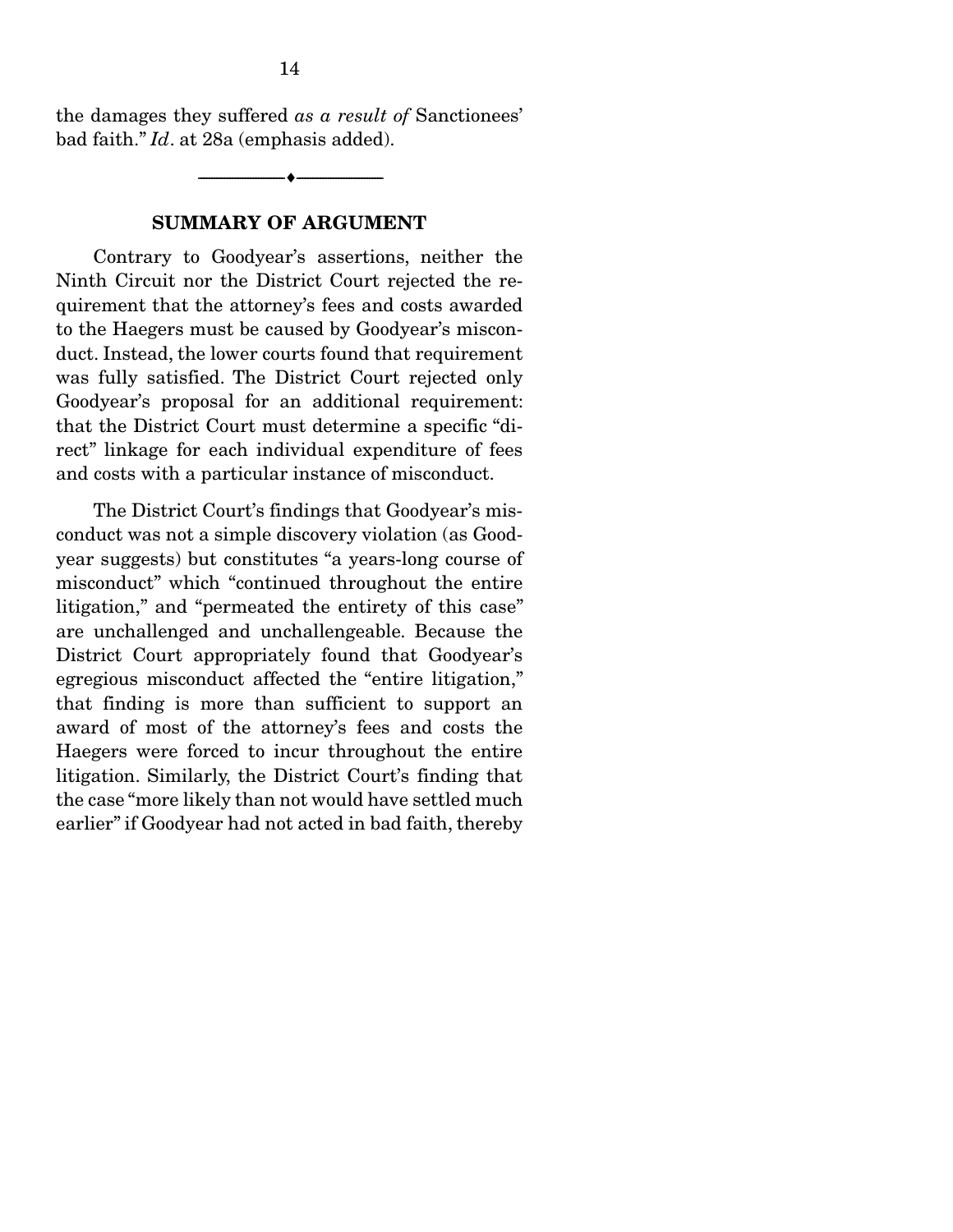the damages they suffered *as a result of* Sanctionees' bad faith." *Id*. at 28a (emphasis added).

--------------------------------- ---------------------------------

#### SUMMARY OF ARGUMENT

 Contrary to Goodyear's assertions, neither the Ninth Circuit nor the District Court rejected the requirement that the attorney's fees and costs awarded to the Haegers must be caused by Goodyear's misconduct. Instead, the lower courts found that requirement was fully satisfied. The District Court rejected only Goodyear's proposal for an additional requirement: that the District Court must determine a specific "direct" linkage for each individual expenditure of fees and costs with a particular instance of misconduct.

 The District Court's findings that Goodyear's misconduct was not a simple discovery violation (as Goodyear suggests) but constitutes "a years-long course of misconduct" which "continued throughout the entire litigation," and "permeated the entirety of this case" are unchallenged and unchallengeable. Because the District Court appropriately found that Goodyear's egregious misconduct affected the "entire litigation," that finding is more than sufficient to support an award of most of the attorney's fees and costs the Haegers were forced to incur throughout the entire litigation. Similarly, the District Court's finding that the case "more likely than not would have settled much earlier" if Goodyear had not acted in bad faith, thereby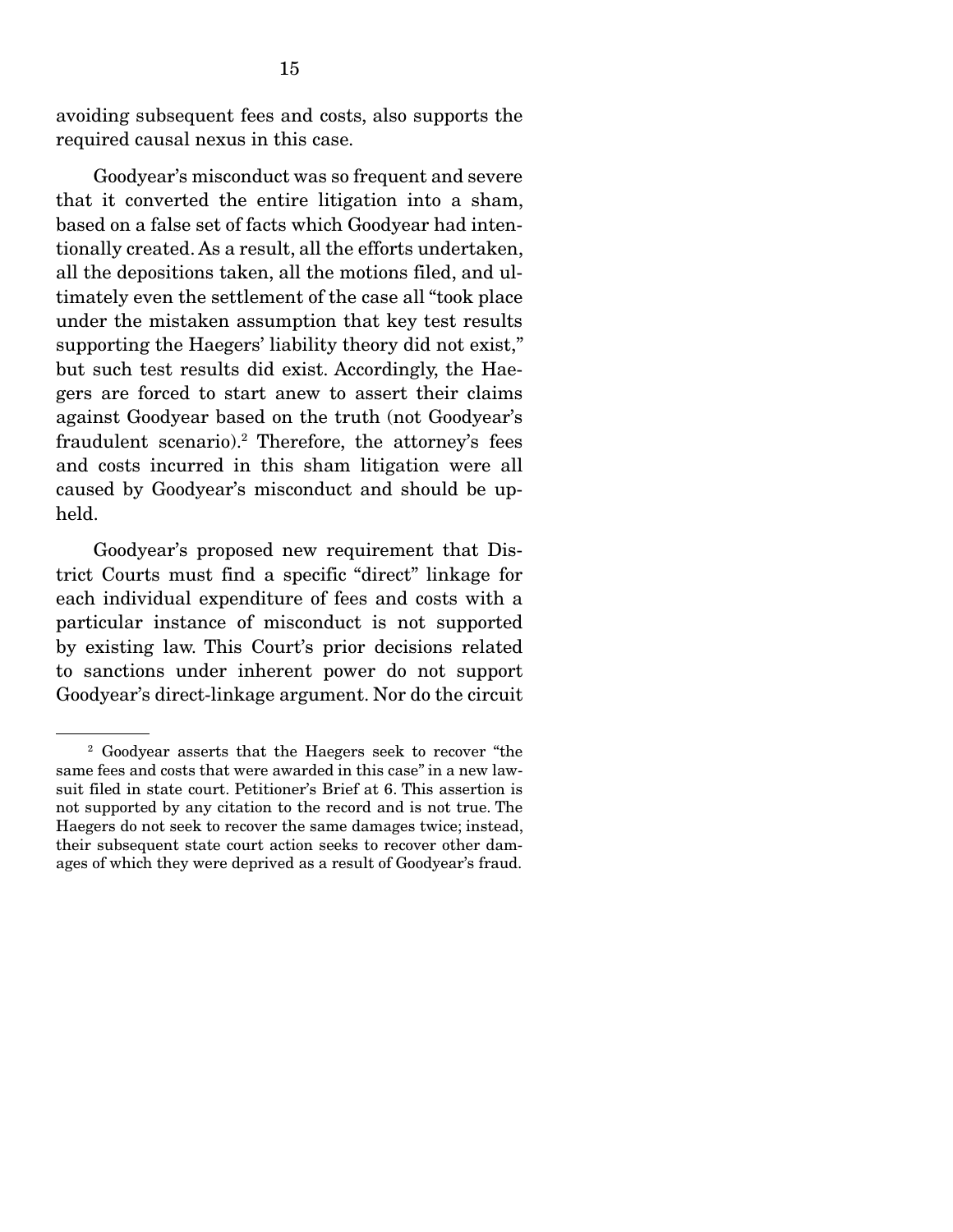avoiding subsequent fees and costs, also supports the required causal nexus in this case.

 Goodyear's misconduct was so frequent and severe that it converted the entire litigation into a sham, based on a false set of facts which Goodyear had intentionally created. As a result, all the efforts undertaken, all the depositions taken, all the motions filed, and ultimately even the settlement of the case all "took place under the mistaken assumption that key test results supporting the Haegers' liability theory did not exist," but such test results did exist. Accordingly, the Haegers are forced to start anew to assert their claims against Goodyear based on the truth (not Goodyear's fraudulent scenario).<sup>2</sup> Therefore, the attorney's fees and costs incurred in this sham litigation were all caused by Goodyear's misconduct and should be upheld.

 Goodyear's proposed new requirement that District Courts must find a specific "direct" linkage for each individual expenditure of fees and costs with a particular instance of misconduct is not supported by existing law. This Court's prior decisions related to sanctions under inherent power do not support Goodyear's direct-linkage argument. Nor do the circuit

<sup>2</sup> Goodyear asserts that the Haegers seek to recover "the same fees and costs that were awarded in this case" in a new lawsuit filed in state court. Petitioner's Brief at 6. This assertion is not supported by any citation to the record and is not true. The Haegers do not seek to recover the same damages twice; instead, their subsequent state court action seeks to recover other damages of which they were deprived as a result of Goodyear's fraud.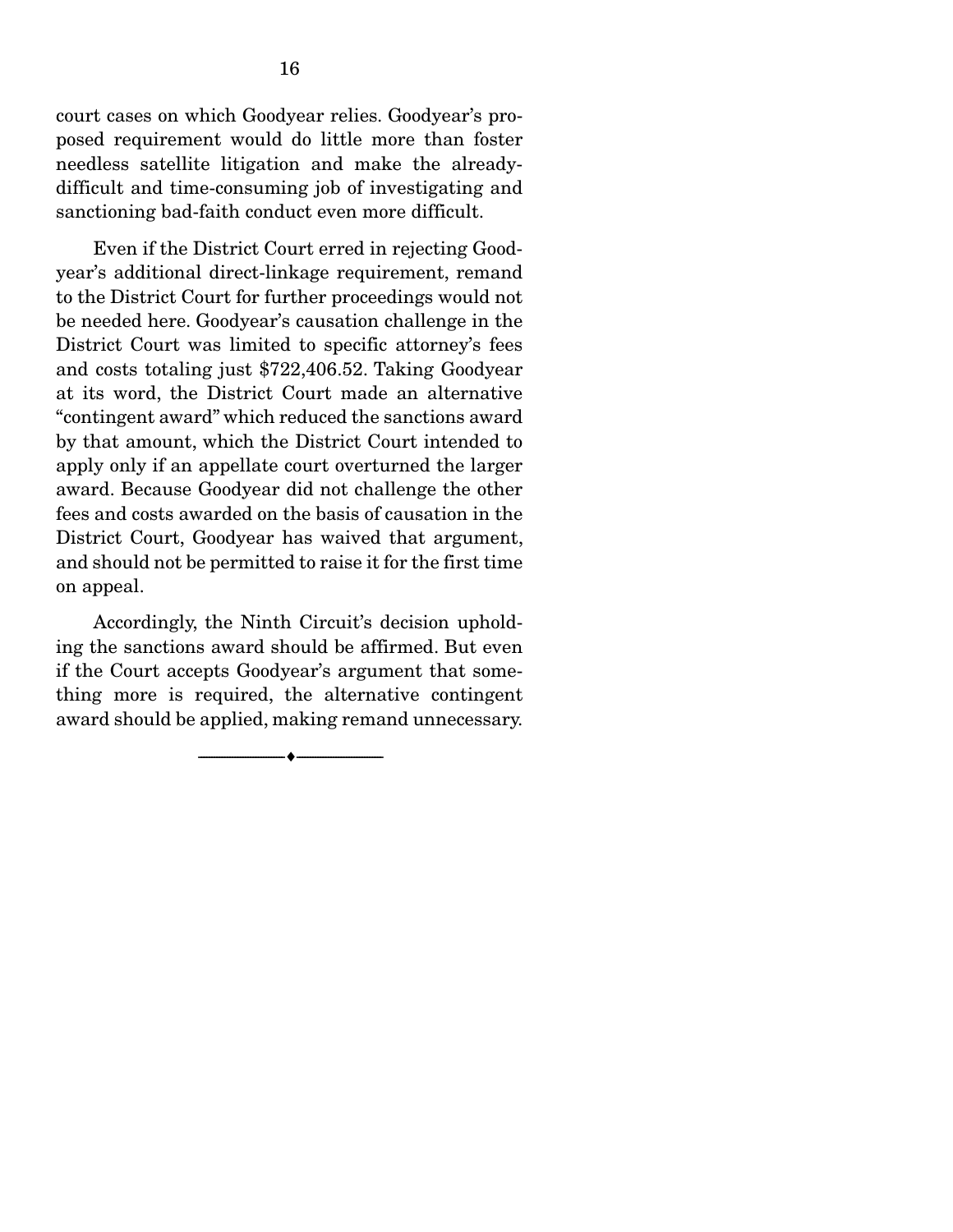court cases on which Goodyear relies. Goodyear's proposed requirement would do little more than foster needless satellite litigation and make the alreadydifficult and time-consuming job of investigating and sanctioning bad-faith conduct even more difficult.

 Even if the District Court erred in rejecting Goodyear's additional direct-linkage requirement, remand to the District Court for further proceedings would not be needed here. Goodyear's causation challenge in the District Court was limited to specific attorney's fees and costs totaling just \$722,406.52. Taking Goodyear at its word, the District Court made an alternative "contingent award" which reduced the sanctions award by that amount, which the District Court intended to apply only if an appellate court overturned the larger award. Because Goodyear did not challenge the other fees and costs awarded on the basis of causation in the District Court, Goodyear has waived that argument, and should not be permitted to raise it for the first time on appeal.

 Accordingly, the Ninth Circuit's decision upholding the sanctions award should be affirmed. But even if the Court accepts Goodyear's argument that something more is required, the alternative contingent award should be applied, making remand unnecessary.

--------------------------------- ---------------------------------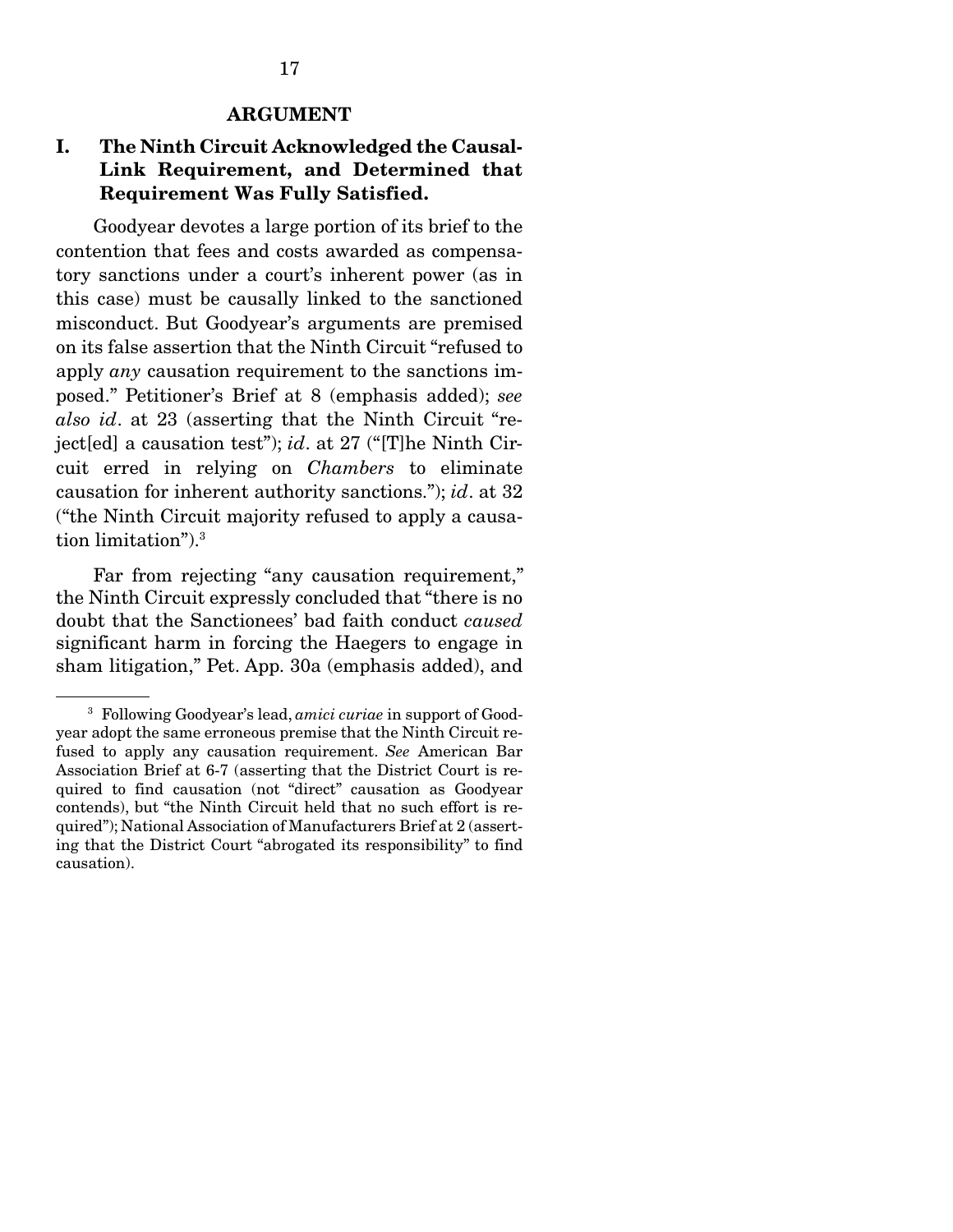### I. The Ninth Circuit Acknowledged the Causal-Link Requirement, and Determined that Requirement Was Fully Satisfied.

 Goodyear devotes a large portion of its brief to the contention that fees and costs awarded as compensatory sanctions under a court's inherent power (as in this case) must be causally linked to the sanctioned misconduct. But Goodyear's arguments are premised on its false assertion that the Ninth Circuit "refused to apply *any* causation requirement to the sanctions imposed." Petitioner's Brief at 8 (emphasis added); *see also id*. at 23 (asserting that the Ninth Circuit "reject[ed] a causation test"); *id*. at 27 ("[T]he Ninth Circuit erred in relying on *Chambers* to eliminate causation for inherent authority sanctions."); *id*. at 32 ("the Ninth Circuit majority refused to apply a causation limitation").3

 Far from rejecting "any causation requirement," the Ninth Circuit expressly concluded that "there is no doubt that the Sanctionees' bad faith conduct *caused* significant harm in forcing the Haegers to engage in sham litigation," Pet. App. 30a (emphasis added), and

<sup>3</sup> Following Goodyear's lead, *amici curiae* in support of Goodyear adopt the same erroneous premise that the Ninth Circuit refused to apply any causation requirement. *See* American Bar Association Brief at 6-7 (asserting that the District Court is required to find causation (not "direct" causation as Goodyear contends), but "the Ninth Circuit held that no such effort is required"); National Association of Manufacturers Brief at 2 (asserting that the District Court "abrogated its responsibility" to find causation).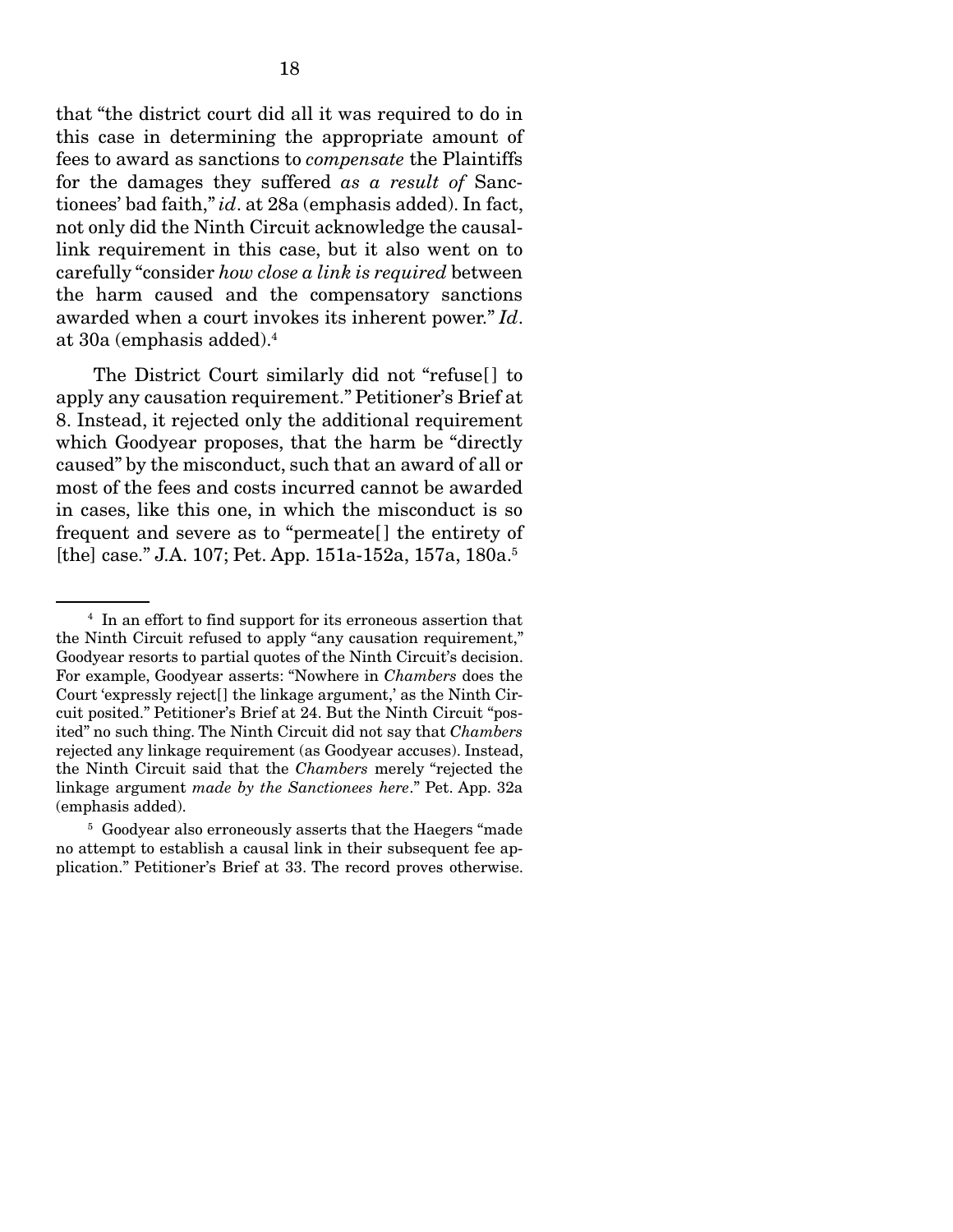that "the district court did all it was required to do in this case in determining the appropriate amount of fees to award as sanctions to *compensate* the Plaintiffs for the damages they suffered *as a result of* Sanctionees' bad faith," *id*. at 28a (emphasis added). In fact, not only did the Ninth Circuit acknowledge the causallink requirement in this case, but it also went on to carefully "consider *how close a link is required* between the harm caused and the compensatory sanctions awarded when a court invokes its inherent power." *Id*. at 30a (emphasis added).4

 The District Court similarly did not "refuse[ ] to apply any causation requirement." Petitioner's Brief at 8. Instead, it rejected only the additional requirement which Goodyear proposes, that the harm be "directly caused" by the misconduct, such that an award of all or most of the fees and costs incurred cannot be awarded in cases, like this one, in which the misconduct is so frequent and severe as to "permeate[ ] the entirety of [the] case." J.A. 107; Pet. App. 151a-152a, 157a, 180a.5

<sup>4</sup> In an effort to find support for its erroneous assertion that the Ninth Circuit refused to apply "any causation requirement," Goodyear resorts to partial quotes of the Ninth Circuit's decision. For example, Goodyear asserts: "Nowhere in *Chambers* does the Court 'expressly reject[] the linkage argument,' as the Ninth Circuit posited." Petitioner's Brief at 24. But the Ninth Circuit "posited" no such thing. The Ninth Circuit did not say that *Chambers* rejected any linkage requirement (as Goodyear accuses). Instead, the Ninth Circuit said that the *Chambers* merely "rejected the linkage argument *made by the Sanctionees here*." Pet. App. 32a (emphasis added).

<sup>5</sup> Goodyear also erroneously asserts that the Haegers "made no attempt to establish a causal link in their subsequent fee application." Petitioner's Brief at 33. The record proves otherwise.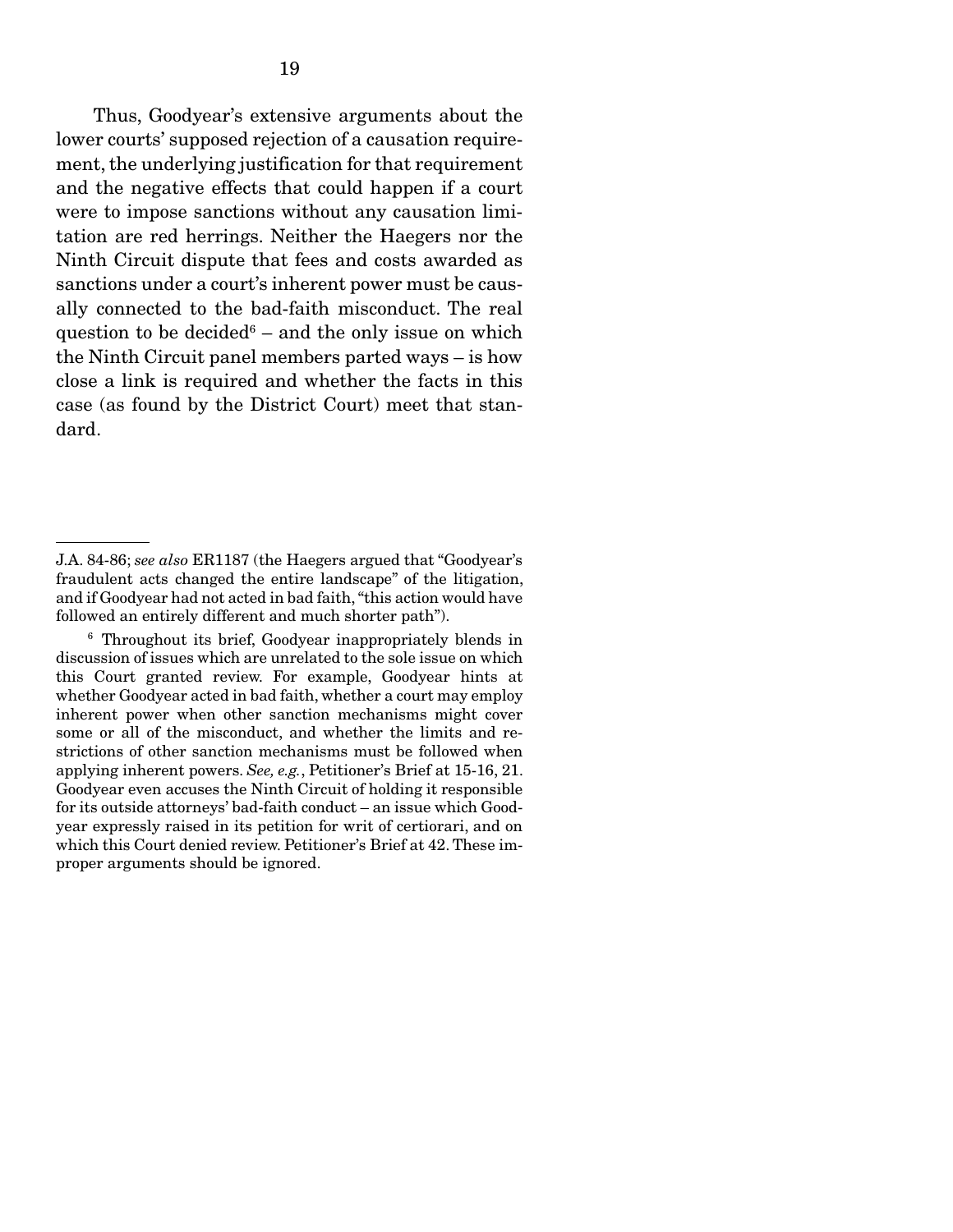Thus, Goodyear's extensive arguments about the lower courts' supposed rejection of a causation requirement, the underlying justification for that requirement and the negative effects that could happen if a court were to impose sanctions without any causation limitation are red herrings. Neither the Haegers nor the Ninth Circuit dispute that fees and costs awarded as sanctions under a court's inherent power must be causally connected to the bad-faith misconduct. The real question to be decided $6-$  and the only issue on which the Ninth Circuit panel members parted ways – is how close a link is required and whether the facts in this case (as found by the District Court) meet that standard.

J.A. 84-86; *see also* ER1187 (the Haegers argued that "Goodyear's fraudulent acts changed the entire landscape" of the litigation, and if Goodyear had not acted in bad faith, "this action would have followed an entirely different and much shorter path").

<sup>6</sup> Throughout its brief, Goodyear inappropriately blends in discussion of issues which are unrelated to the sole issue on which this Court granted review. For example, Goodyear hints at whether Goodyear acted in bad faith, whether a court may employ inherent power when other sanction mechanisms might cover some or all of the misconduct, and whether the limits and restrictions of other sanction mechanisms must be followed when applying inherent powers. *See, e.g.*, Petitioner's Brief at 15-16, 21. Goodyear even accuses the Ninth Circuit of holding it responsible for its outside attorneys' bad-faith conduct – an issue which Goodyear expressly raised in its petition for writ of certiorari, and on which this Court denied review. Petitioner's Brief at 42. These improper arguments should be ignored.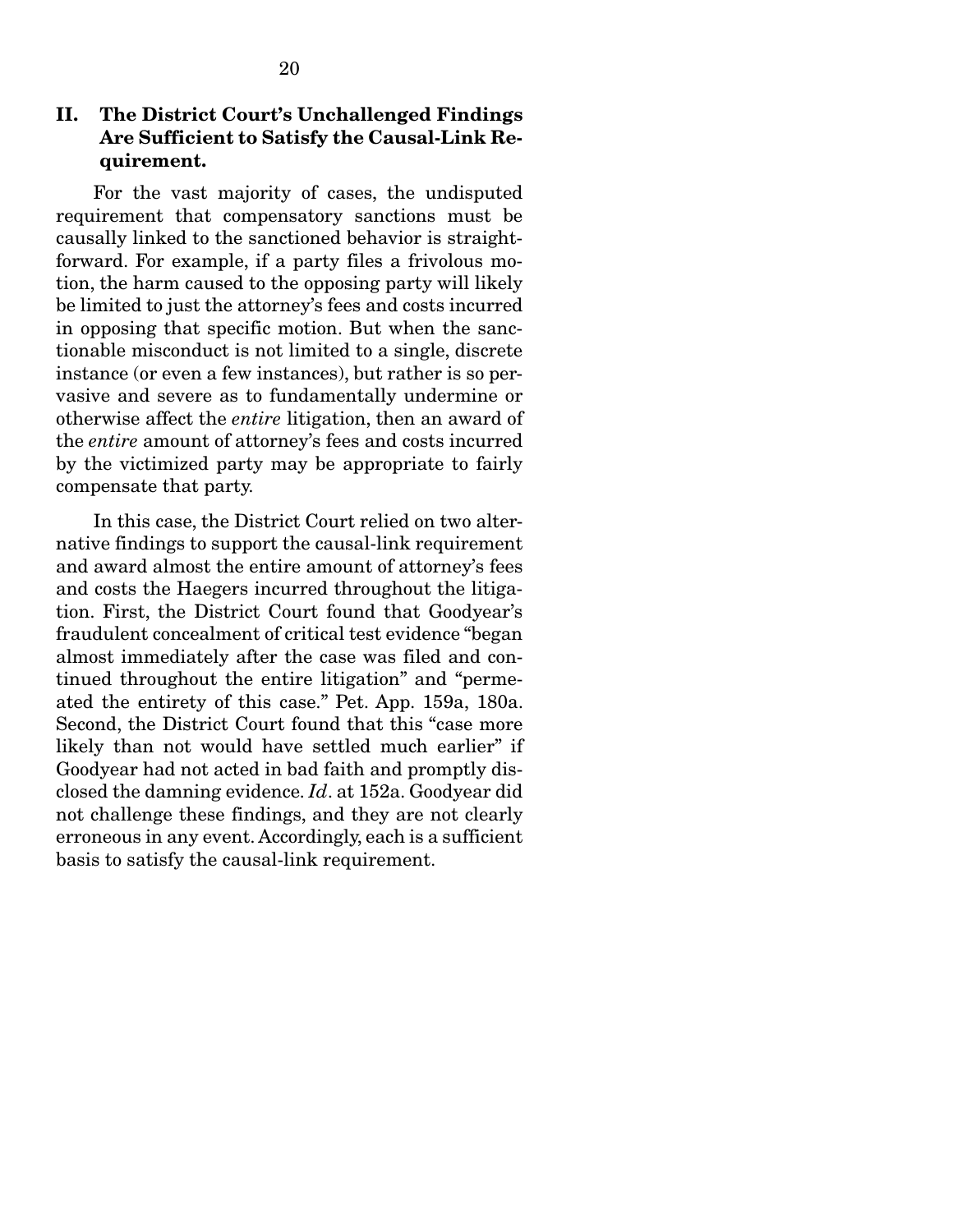#### II. The District Court's Unchallenged Findings Are Sufficient to Satisfy the Causal-Link Requirement.

 For the vast majority of cases, the undisputed requirement that compensatory sanctions must be causally linked to the sanctioned behavior is straightforward. For example, if a party files a frivolous motion, the harm caused to the opposing party will likely be limited to just the attorney's fees and costs incurred in opposing that specific motion. But when the sanctionable misconduct is not limited to a single, discrete instance (or even a few instances), but rather is so pervasive and severe as to fundamentally undermine or otherwise affect the *entire* litigation, then an award of the *entire* amount of attorney's fees and costs incurred by the victimized party may be appropriate to fairly compensate that party.

 In this case, the District Court relied on two alternative findings to support the causal-link requirement and award almost the entire amount of attorney's fees and costs the Haegers incurred throughout the litigation. First, the District Court found that Goodyear's fraudulent concealment of critical test evidence "began almost immediately after the case was filed and continued throughout the entire litigation" and "permeated the entirety of this case." Pet. App. 159a, 180a. Second, the District Court found that this "case more likely than not would have settled much earlier" if Goodyear had not acted in bad faith and promptly disclosed the damning evidence. *Id*. at 152a. Goodyear did not challenge these findings, and they are not clearly erroneous in any event. Accordingly, each is a sufficient basis to satisfy the causal-link requirement.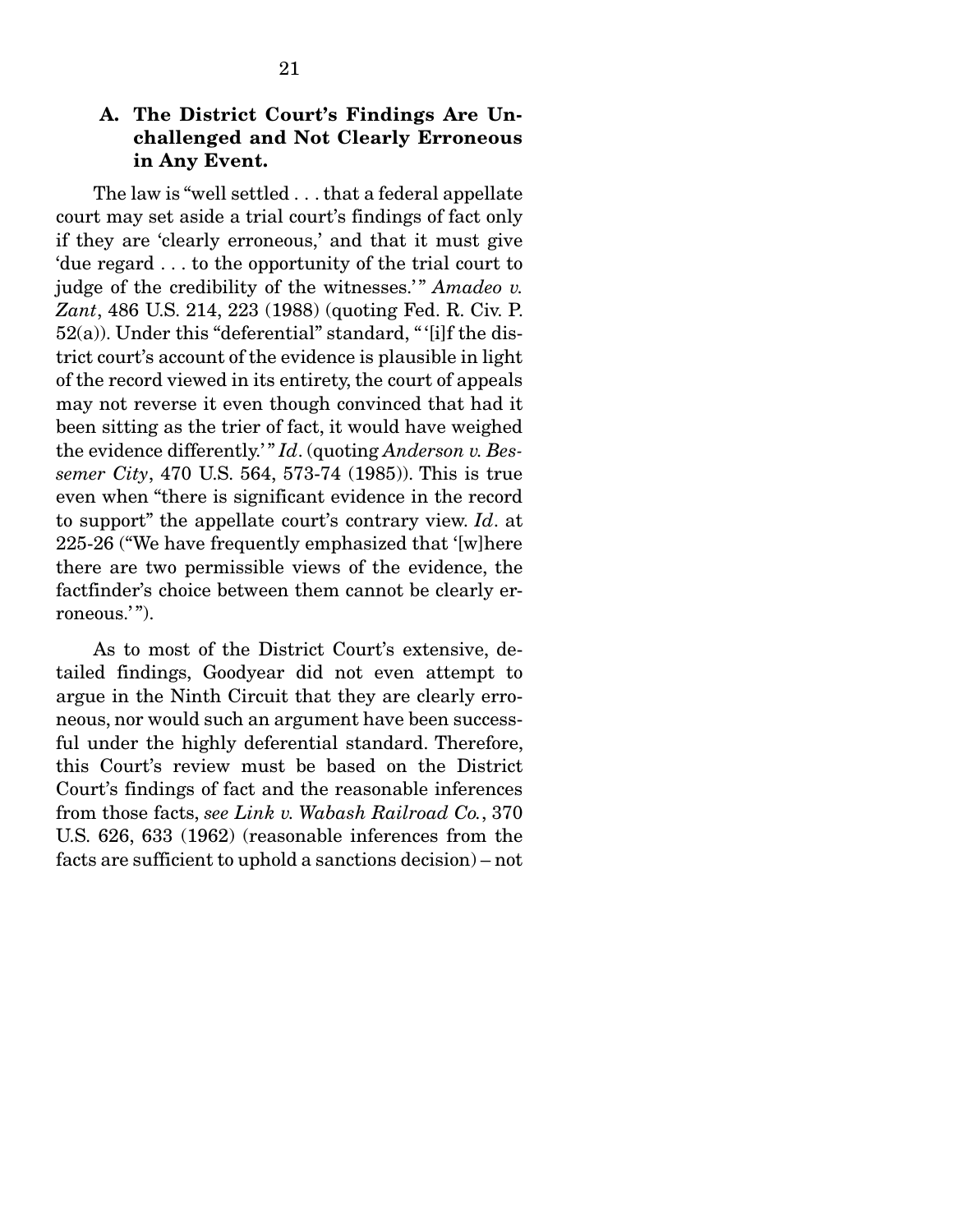21

 The law is "well settled . . . that a federal appellate court may set aside a trial court's findings of fact only if they are 'clearly erroneous,' and that it must give 'due regard . . . to the opportunity of the trial court to judge of the credibility of the witnesses.'" *Amadeo v. Zant*, 486 U.S. 214, 223 (1988) (quoting Fed. R. Civ. P.  $52(a)$ ). Under this "deferential" standard, "'[i]f the district court's account of the evidence is plausible in light of the record viewed in its entirety, the court of appeals may not reverse it even though convinced that had it been sitting as the trier of fact, it would have weighed the evidence differently.' " *Id*. (quoting *Anderson v. Bessemer City*, 470 U.S. 564, 573-74 (1985)). This is true even when "there is significant evidence in the record to support" the appellate court's contrary view. *Id*. at 225-26 ("We have frequently emphasized that '[w]here there are two permissible views of the evidence, the factfinder's choice between them cannot be clearly erroneous.'").

 As to most of the District Court's extensive, detailed findings, Goodyear did not even attempt to argue in the Ninth Circuit that they are clearly erroneous, nor would such an argument have been successful under the highly deferential standard. Therefore, this Court's review must be based on the District Court's findings of fact and the reasonable inferences from those facts, *see Link v. Wabash Railroad Co.*, 370 U.S. 626, 633 (1962) (reasonable inferences from the facts are sufficient to uphold a sanctions decision) – not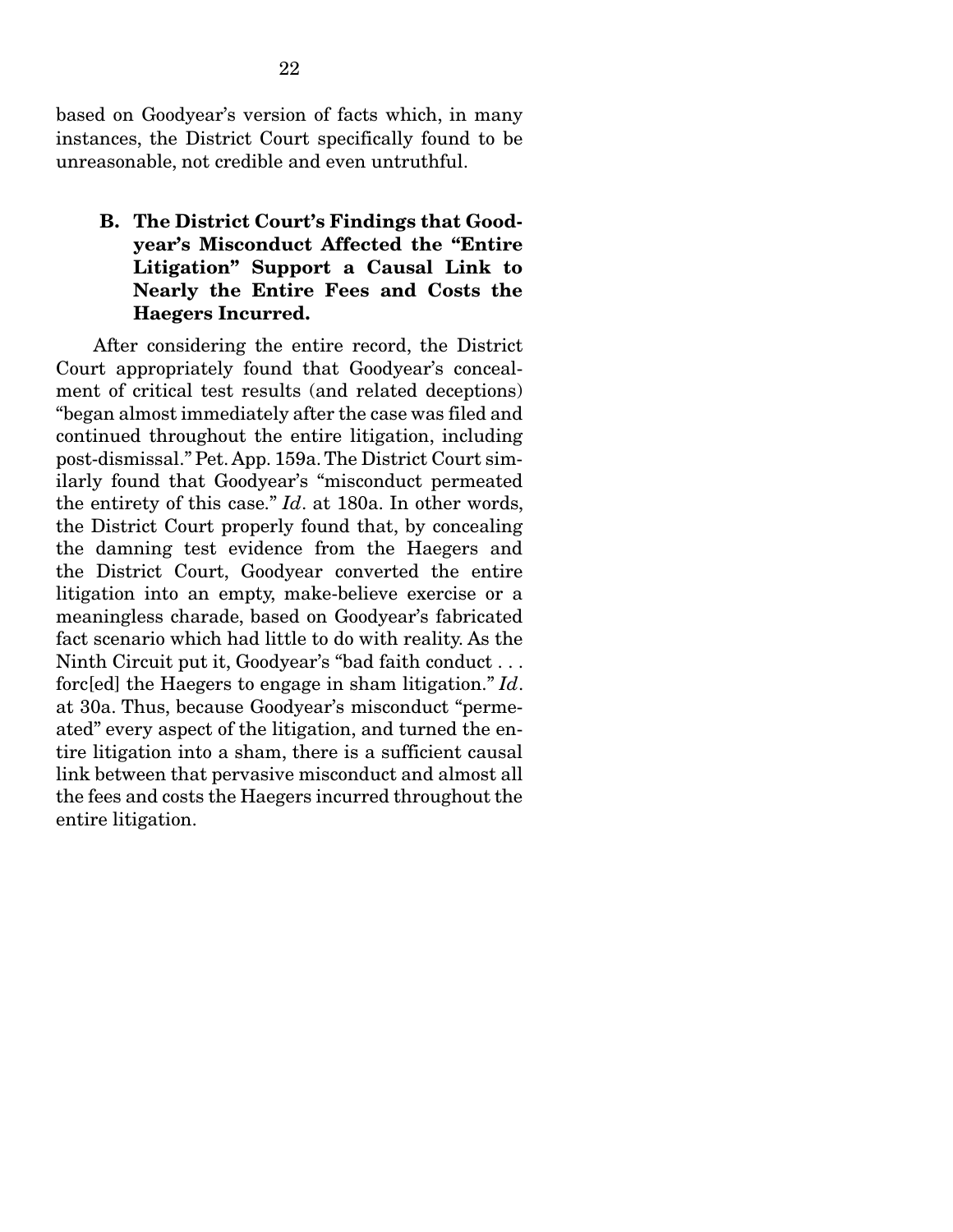based on Goodyear's version of facts which, in many instances, the District Court specifically found to be unreasonable, not credible and even untruthful.

#### B. The District Court's Findings that Goodyear's Misconduct Affected the "Entire Litigation" Support a Causal Link to Nearly the Entire Fees and Costs the Haegers Incurred.

 After considering the entire record, the District Court appropriately found that Goodyear's concealment of critical test results (and related deceptions) "began almost immediately after the case was filed and continued throughout the entire litigation, including post-dismissal." Pet. App. 159a. The District Court similarly found that Goodyear's "misconduct permeated the entirety of this case." *Id*. at 180a. In other words, the District Court properly found that, by concealing the damning test evidence from the Haegers and the District Court, Goodyear converted the entire litigation into an empty, make-believe exercise or a meaningless charade, based on Goodyear's fabricated fact scenario which had little to do with reality. As the Ninth Circuit put it, Goodyear's "bad faith conduct . . . forc[ed] the Haegers to engage in sham litigation." *Id*. at 30a. Thus, because Goodyear's misconduct "permeated" every aspect of the litigation, and turned the entire litigation into a sham, there is a sufficient causal link between that pervasive misconduct and almost all the fees and costs the Haegers incurred throughout the entire litigation.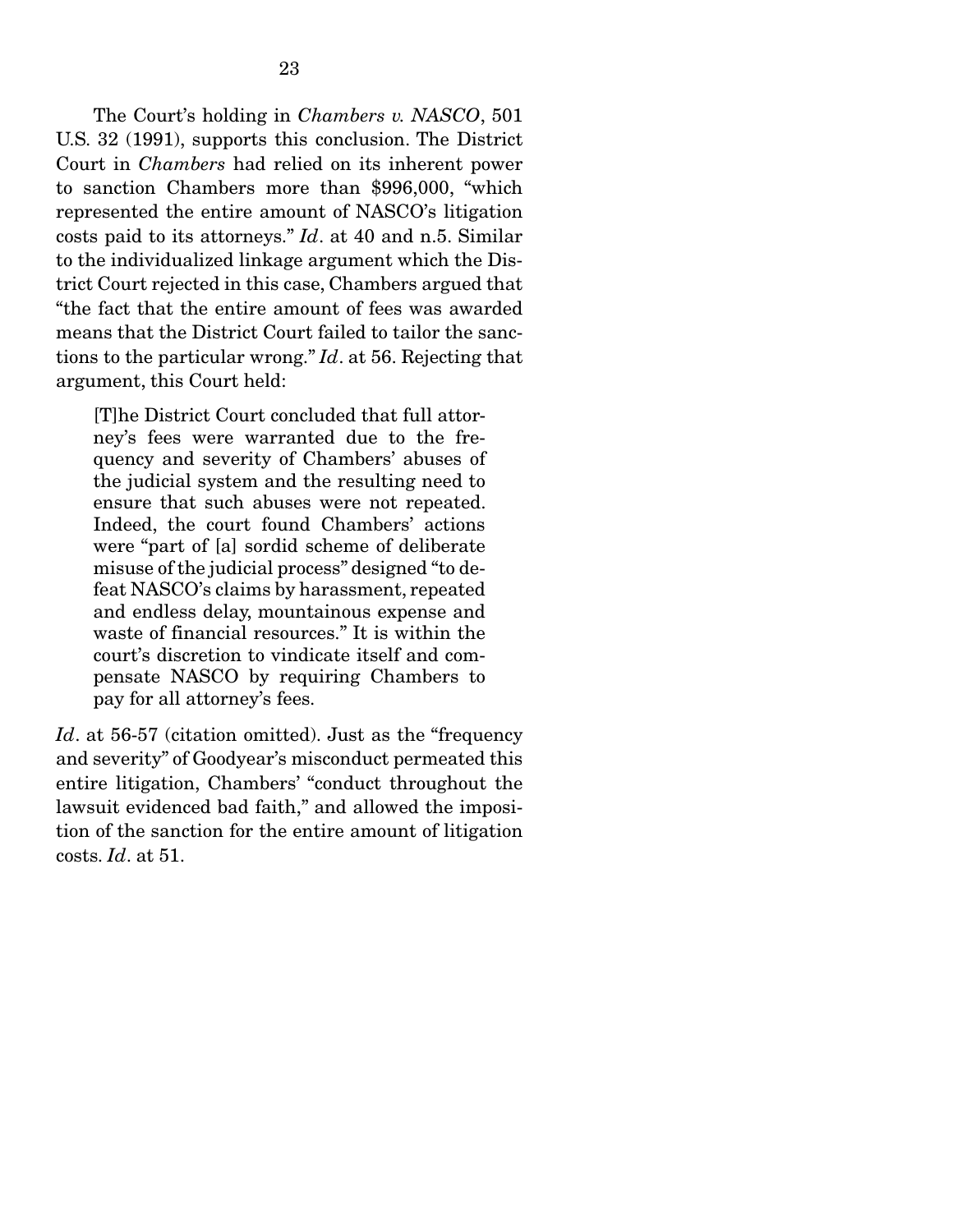The Court's holding in *Chambers v. NASCO*, 501 U.S. 32 (1991), supports this conclusion. The District Court in *Chambers* had relied on its inherent power to sanction Chambers more than \$996,000, "which represented the entire amount of NASCO's litigation costs paid to its attorneys." *Id*. at 40 and n.5. Similar to the individualized linkage argument which the District Court rejected in this case, Chambers argued that "the fact that the entire amount of fees was awarded means that the District Court failed to tailor the sanctions to the particular wrong." *Id*. at 56. Rejecting that argument, this Court held:

[T]he District Court concluded that full attorney's fees were warranted due to the frequency and severity of Chambers' abuses of the judicial system and the resulting need to ensure that such abuses were not repeated. Indeed, the court found Chambers' actions were "part of [a] sordid scheme of deliberate misuse of the judicial process" designed "to defeat NASCO's claims by harassment, repeated and endless delay, mountainous expense and waste of financial resources." It is within the court's discretion to vindicate itself and compensate NASCO by requiring Chambers to pay for all attorney's fees.

Id. at 56-57 (citation omitted). Just as the "frequency" and severity" of Goodyear's misconduct permeated this entire litigation, Chambers' "conduct throughout the lawsuit evidenced bad faith," and allowed the imposition of the sanction for the entire amount of litigation costs. *Id*. at 51.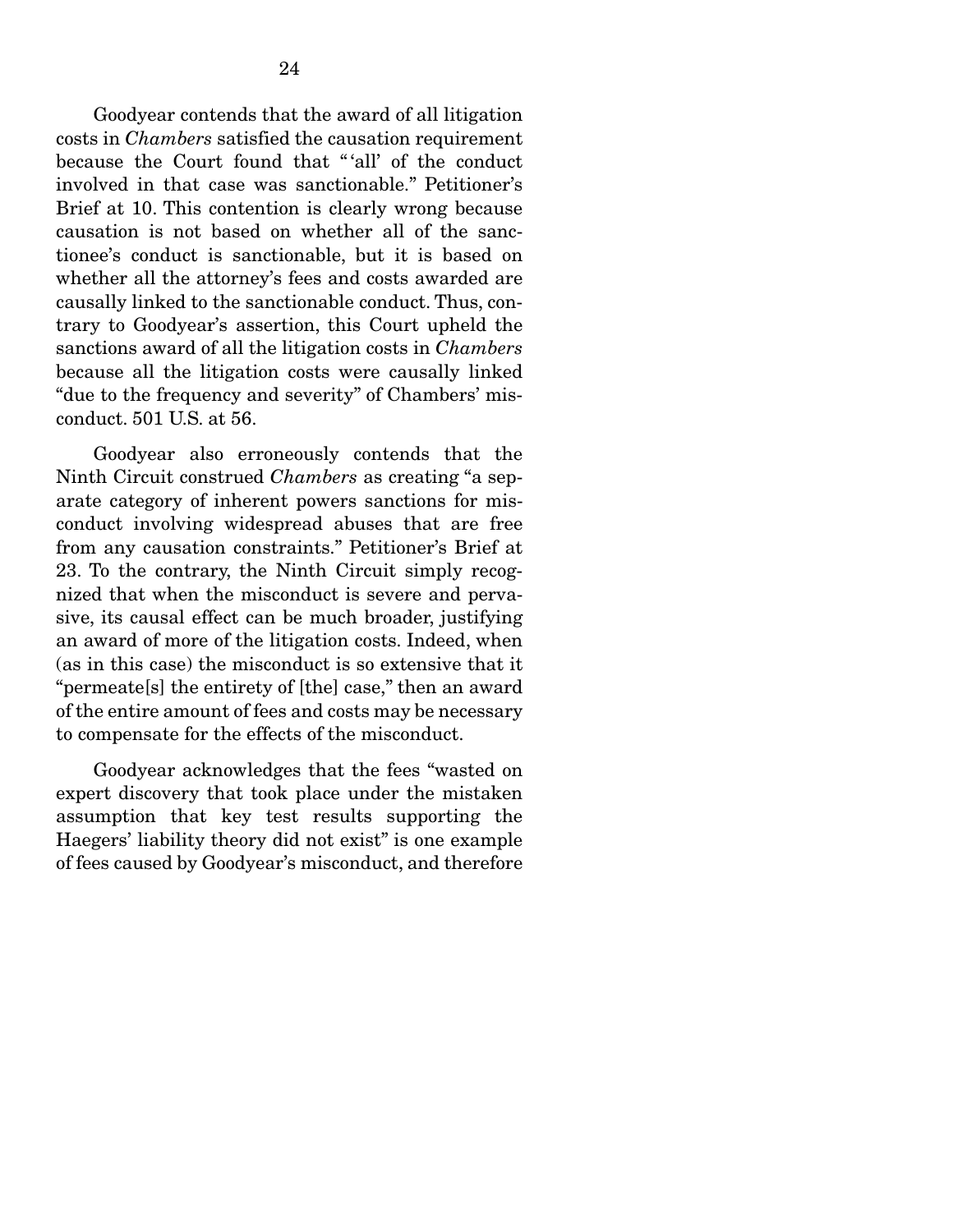Goodyear contends that the award of all litigation costs in *Chambers* satisfied the causation requirement because the Court found that " 'all' of the conduct involved in that case was sanctionable." Petitioner's Brief at 10. This contention is clearly wrong because causation is not based on whether all of the sanctionee's conduct is sanctionable, but it is based on whether all the attorney's fees and costs awarded are causally linked to the sanctionable conduct. Thus, contrary to Goodyear's assertion, this Court upheld the sanctions award of all the litigation costs in *Chambers* because all the litigation costs were causally linked "due to the frequency and severity" of Chambers' misconduct. 501 U.S. at 56.

 Goodyear also erroneously contends that the Ninth Circuit construed *Chambers* as creating "a separate category of inherent powers sanctions for misconduct involving widespread abuses that are free from any causation constraints." Petitioner's Brief at 23. To the contrary, the Ninth Circuit simply recognized that when the misconduct is severe and pervasive, its causal effect can be much broader, justifying an award of more of the litigation costs. Indeed, when (as in this case) the misconduct is so extensive that it "permeate[s] the entirety of [the] case," then an award of the entire amount of fees and costs may be necessary to compensate for the effects of the misconduct.

 Goodyear acknowledges that the fees "wasted on expert discovery that took place under the mistaken assumption that key test results supporting the Haegers' liability theory did not exist" is one example of fees caused by Goodyear's misconduct, and therefore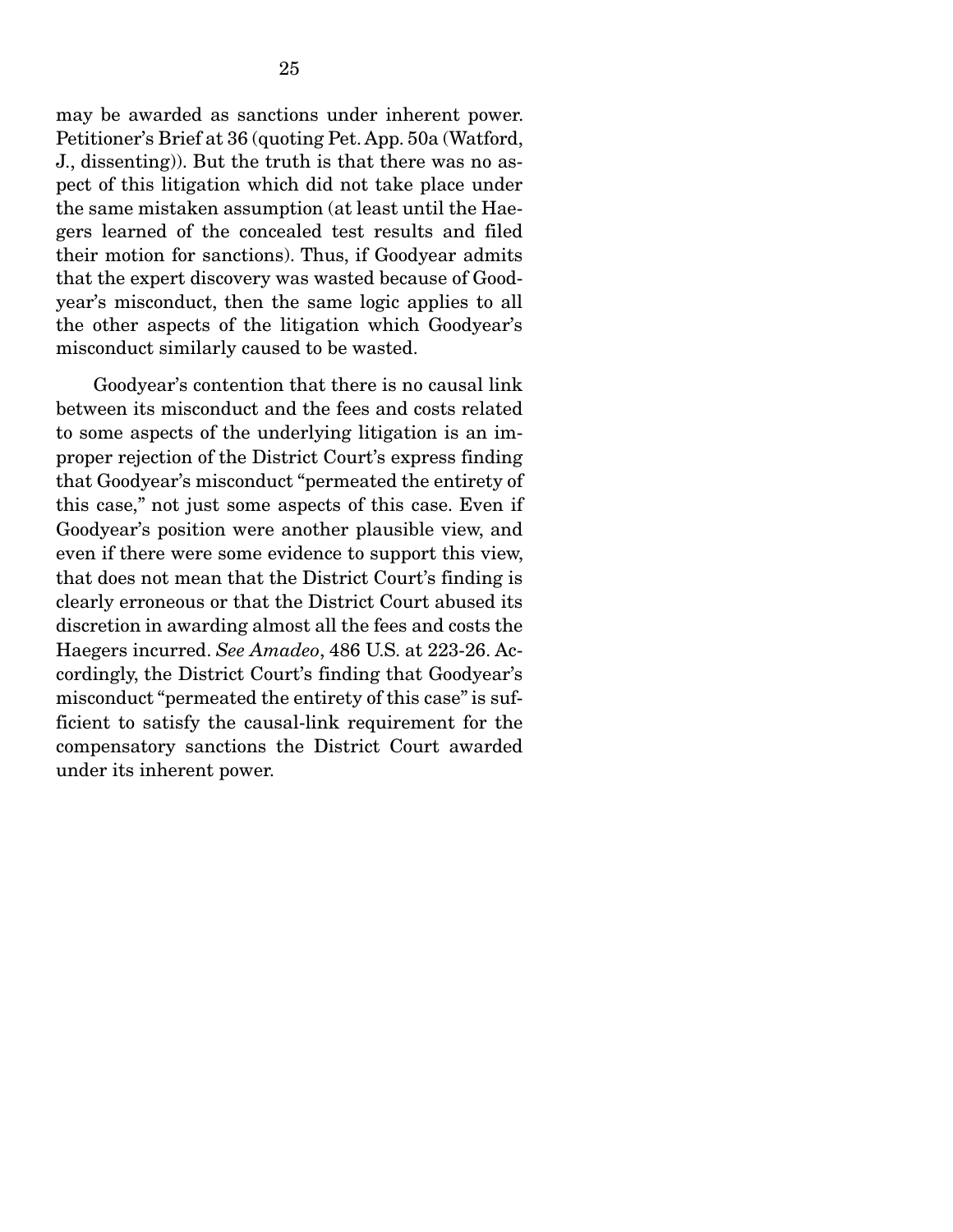may be awarded as sanctions under inherent power. Petitioner's Brief at 36 (quoting Pet. App. 50a (Watford, J., dissenting)). But the truth is that there was no aspect of this litigation which did not take place under the same mistaken assumption (at least until the Haegers learned of the concealed test results and filed their motion for sanctions). Thus, if Goodyear admits that the expert discovery was wasted because of Goodyear's misconduct, then the same logic applies to all the other aspects of the litigation which Goodyear's misconduct similarly caused to be wasted.

 Goodyear's contention that there is no causal link between its misconduct and the fees and costs related to some aspects of the underlying litigation is an improper rejection of the District Court's express finding that Goodyear's misconduct "permeated the entirety of this case," not just some aspects of this case. Even if Goodyear's position were another plausible view, and even if there were some evidence to support this view, that does not mean that the District Court's finding is clearly erroneous or that the District Court abused its discretion in awarding almost all the fees and costs the Haegers incurred. *See Amadeo*, 486 U.S. at 223-26. Accordingly, the District Court's finding that Goodyear's misconduct "permeated the entirety of this case" is sufficient to satisfy the causal-link requirement for the compensatory sanctions the District Court awarded under its inherent power.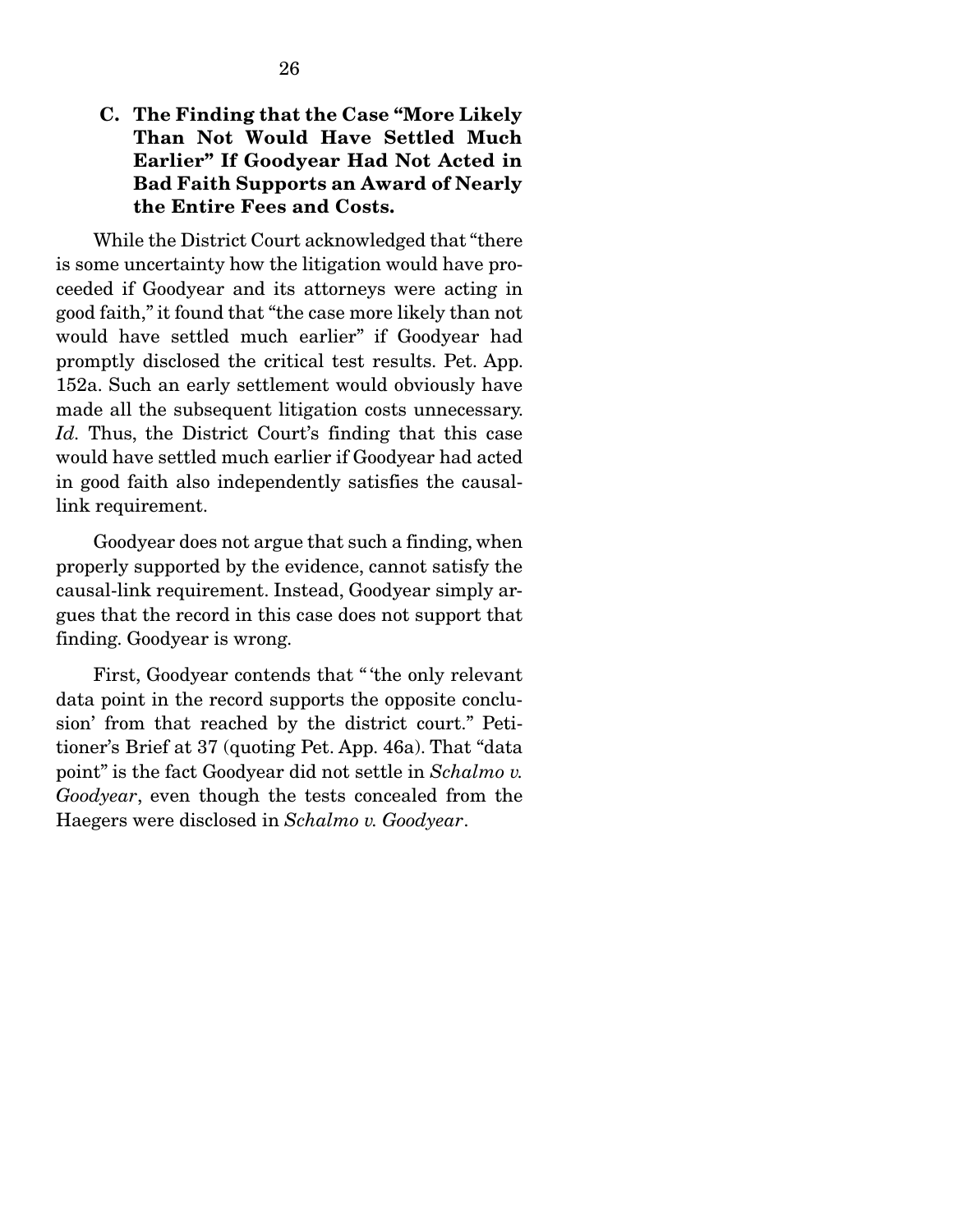#### C. The Finding that the Case "More Likely Than Not Would Have Settled Much Earlier" If Goodyear Had Not Acted in Bad Faith Supports an Award of Nearly the Entire Fees and Costs.

 While the District Court acknowledged that "there is some uncertainty how the litigation would have proceeded if Goodyear and its attorneys were acting in good faith," it found that "the case more likely than not would have settled much earlier" if Goodyear had promptly disclosed the critical test results. Pet. App. 152a. Such an early settlement would obviously have made all the subsequent litigation costs unnecessary. Id. Thus, the District Court's finding that this case would have settled much earlier if Goodyear had acted in good faith also independently satisfies the causallink requirement.

 Goodyear does not argue that such a finding, when properly supported by the evidence, cannot satisfy the causal-link requirement. Instead, Goodyear simply argues that the record in this case does not support that finding. Goodyear is wrong.

 First, Goodyear contends that " 'the only relevant data point in the record supports the opposite conclusion' from that reached by the district court." Petitioner's Brief at 37 (quoting Pet. App. 46a). That "data point" is the fact Goodyear did not settle in *Schalmo v. Goodyear*, even though the tests concealed from the Haegers were disclosed in *Schalmo v. Goodyear*.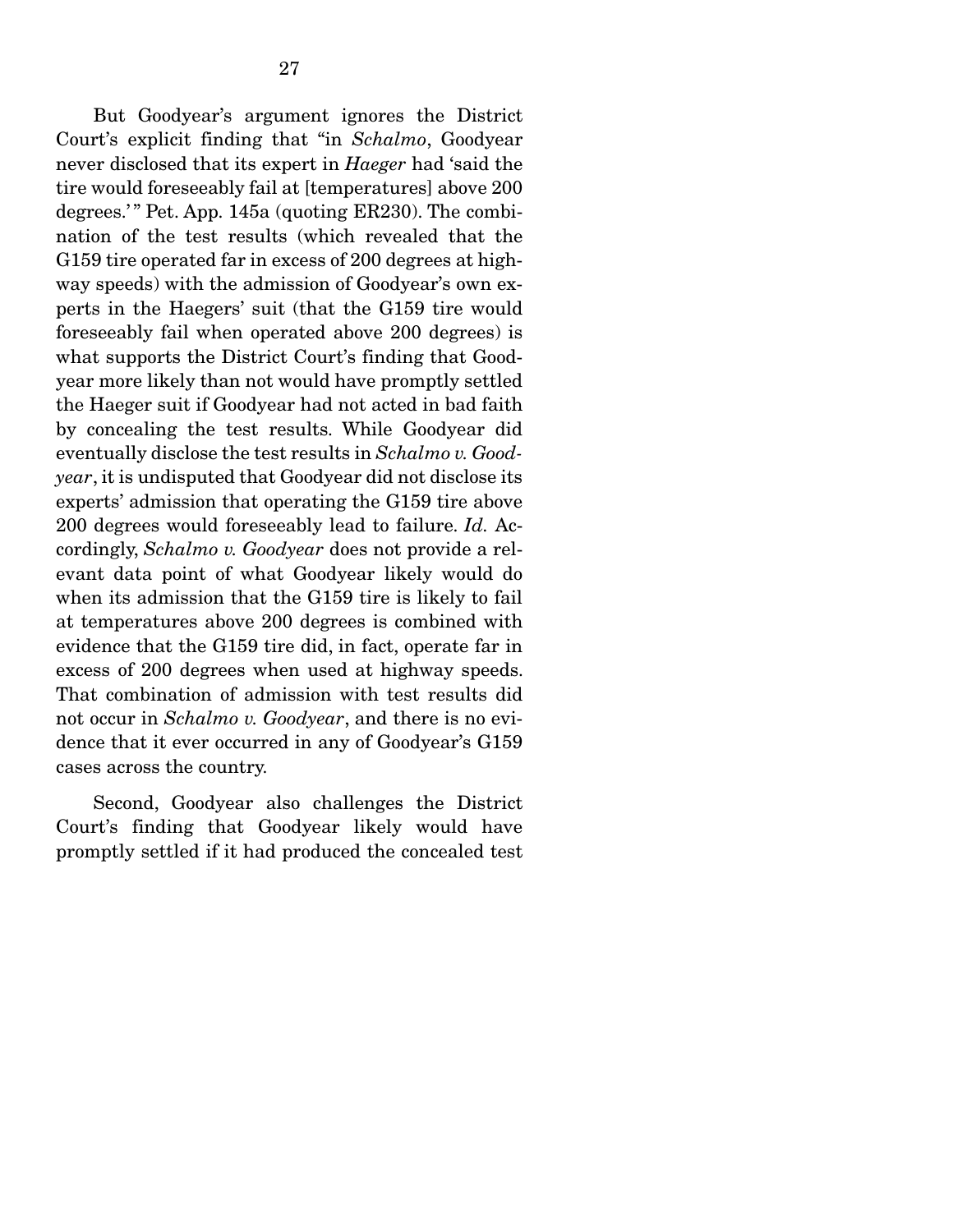But Goodyear's argument ignores the District Court's explicit finding that "in *Schalmo*, Goodyear never disclosed that its expert in *Haeger* had 'said the tire would foreseeably fail at [temperatures] above 200 degrees.'" Pet. App. 145a (quoting ER230). The combination of the test results (which revealed that the G159 tire operated far in excess of 200 degrees at highway speeds) with the admission of Goodyear's own experts in the Haegers' suit (that the G159 tire would foreseeably fail when operated above 200 degrees) is what supports the District Court's finding that Goodyear more likely than not would have promptly settled the Haeger suit if Goodyear had not acted in bad faith by concealing the test results. While Goodyear did eventually disclose the test results in *Schalmo v. Goodyear*, it is undisputed that Goodyear did not disclose its experts' admission that operating the G159 tire above 200 degrees would foreseeably lead to failure. *Id.* Accordingly, *Schalmo v. Goodyear* does not provide a relevant data point of what Goodyear likely would do when its admission that the G159 tire is likely to fail at temperatures above 200 degrees is combined with evidence that the G159 tire did, in fact, operate far in excess of 200 degrees when used at highway speeds. That combination of admission with test results did not occur in *Schalmo v. Goodyear*, and there is no evidence that it ever occurred in any of Goodyear's G159 cases across the country.

 Second, Goodyear also challenges the District Court's finding that Goodyear likely would have promptly settled if it had produced the concealed test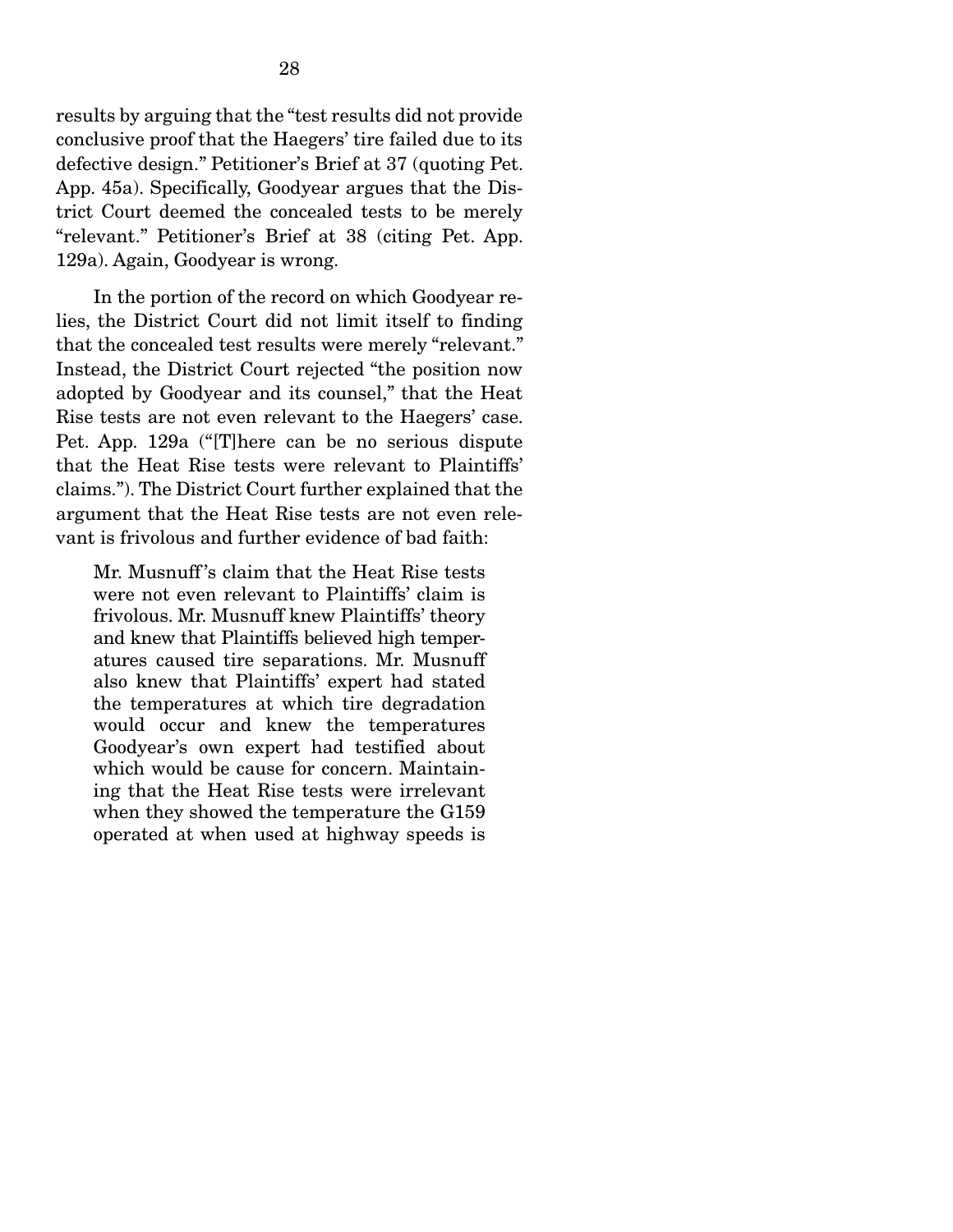results by arguing that the "test results did not provide conclusive proof that the Haegers' tire failed due to its defective design." Petitioner's Brief at 37 (quoting Pet. App. 45a). Specifically, Goodyear argues that the District Court deemed the concealed tests to be merely "relevant." Petitioner's Brief at 38 (citing Pet. App. 129a). Again, Goodyear is wrong.

 In the portion of the record on which Goodyear relies, the District Court did not limit itself to finding that the concealed test results were merely "relevant." Instead, the District Court rejected "the position now adopted by Goodyear and its counsel," that the Heat Rise tests are not even relevant to the Haegers' case. Pet. App. 129a ("[T]here can be no serious dispute that the Heat Rise tests were relevant to Plaintiffs' claims."). The District Court further explained that the argument that the Heat Rise tests are not even relevant is frivolous and further evidence of bad faith:

Mr. Musnuff 's claim that the Heat Rise tests were not even relevant to Plaintiffs' claim is frivolous. Mr. Musnuff knew Plaintiffs' theory and knew that Plaintiffs believed high temperatures caused tire separations. Mr. Musnuff also knew that Plaintiffs' expert had stated the temperatures at which tire degradation would occur and knew the temperatures Goodyear's own expert had testified about which would be cause for concern. Maintaining that the Heat Rise tests were irrelevant when they showed the temperature the G159 operated at when used at highway speeds is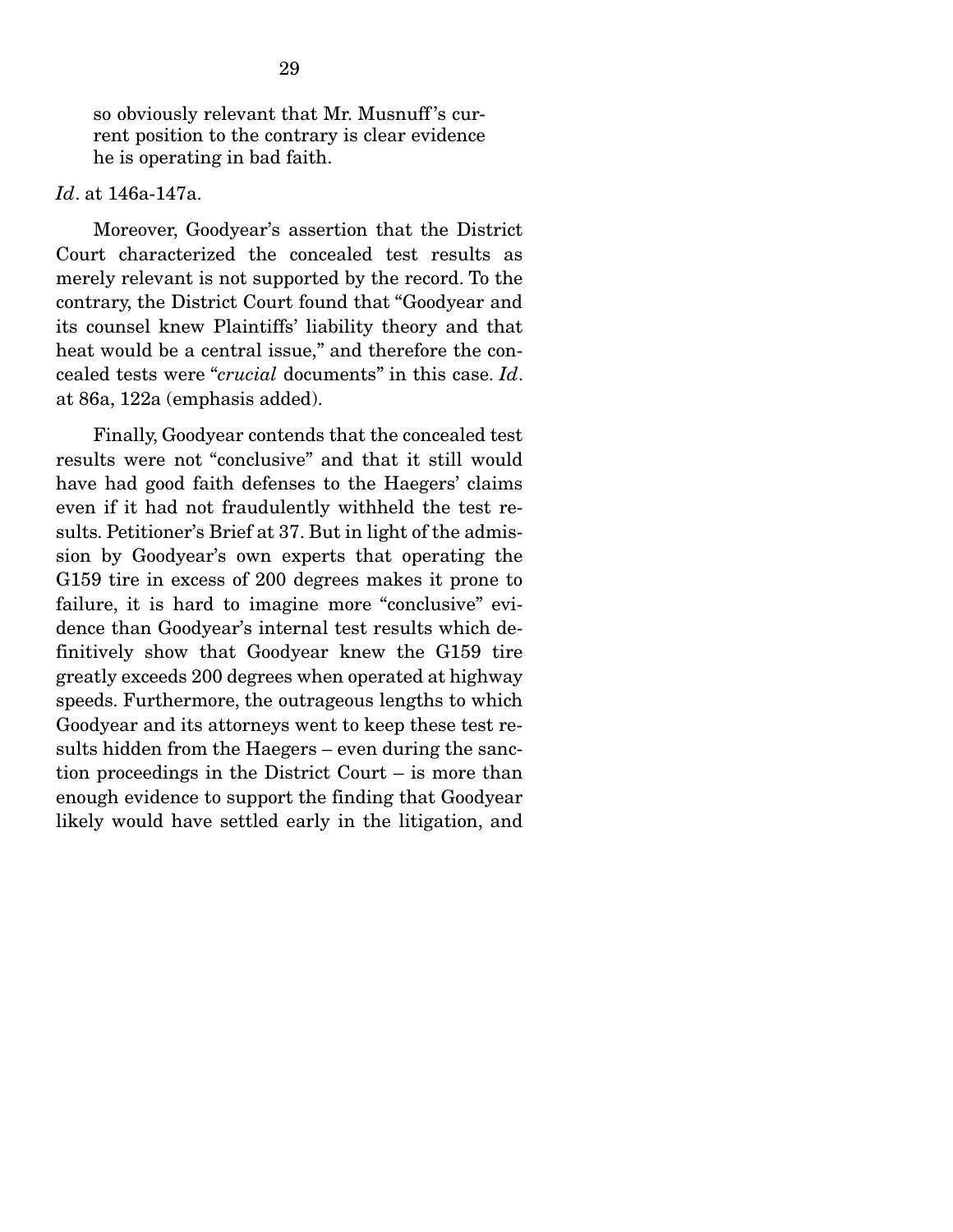so obviously relevant that Mr. Musnuff 's current position to the contrary is clear evidence he is operating in bad faith.

#### *Id*. at 146a-147a.

 Moreover, Goodyear's assertion that the District Court characterized the concealed test results as merely relevant is not supported by the record. To the contrary, the District Court found that "Goodyear and its counsel knew Plaintiffs' liability theory and that heat would be a central issue," and therefore the concealed tests were "*crucial* documents" in this case. *Id*. at 86a, 122a (emphasis added).

 Finally, Goodyear contends that the concealed test results were not "conclusive" and that it still would have had good faith defenses to the Haegers' claims even if it had not fraudulently withheld the test results. Petitioner's Brief at 37. But in light of the admission by Goodyear's own experts that operating the G159 tire in excess of 200 degrees makes it prone to failure, it is hard to imagine more "conclusive" evidence than Goodyear's internal test results which definitively show that Goodyear knew the G159 tire greatly exceeds 200 degrees when operated at highway speeds. Furthermore, the outrageous lengths to which Goodyear and its attorneys went to keep these test results hidden from the Haegers – even during the sanction proceedings in the District Court – is more than enough evidence to support the finding that Goodyear likely would have settled early in the litigation, and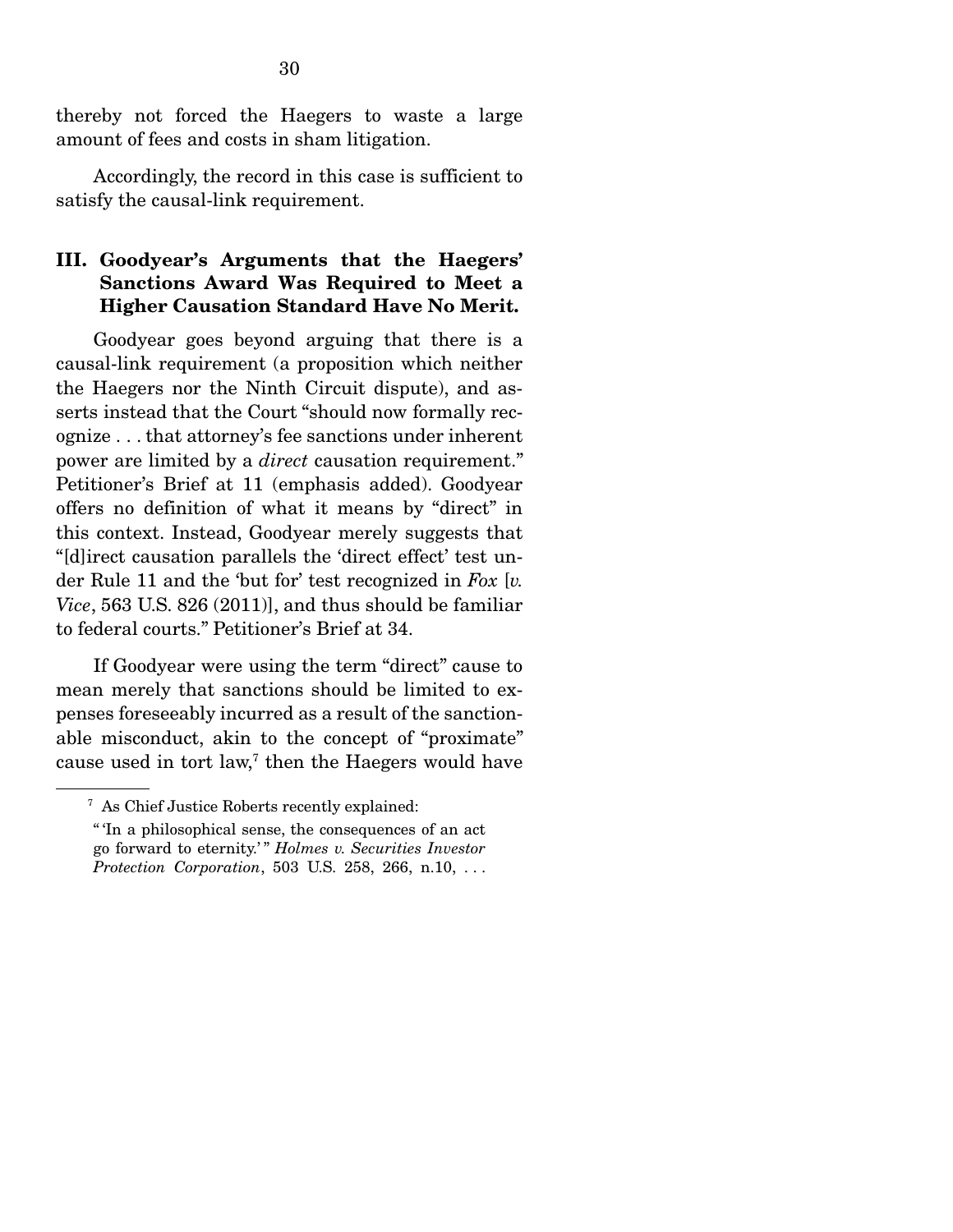thereby not forced the Haegers to waste a large amount of fees and costs in sham litigation.

 Accordingly, the record in this case is sufficient to satisfy the causal-link requirement.

#### III. Goodyear's Arguments that the Haegers' Sanctions Award Was Required to Meet a Higher Causation Standard Have No Merit.

 Goodyear goes beyond arguing that there is a causal-link requirement (a proposition which neither the Haegers nor the Ninth Circuit dispute), and asserts instead that the Court "should now formally recognize . . . that attorney's fee sanctions under inherent power are limited by a *direct* causation requirement." Petitioner's Brief at 11 (emphasis added). Goodyear offers no definition of what it means by "direct" in this context. Instead, Goodyear merely suggests that "[d]irect causation parallels the 'direct effect' test under Rule 11 and the 'but for' test recognized in *Fox* [*v. Vice*, 563 U.S. 826 (2011)], and thus should be familiar to federal courts." Petitioner's Brief at 34.

 If Goodyear were using the term "direct" cause to mean merely that sanctions should be limited to expenses foreseeably incurred as a result of the sanctionable misconduct, akin to the concept of "proximate" cause used in tort law,<sup>7</sup> then the Haegers would have

<sup>7</sup> As Chief Justice Roberts recently explained:

<sup>&</sup>quot; 'In a philosophical sense, the consequences of an act go forward to eternity.' " *Holmes v. Securities Investor Protection Corporation*, 503 U.S. 258, 266, n.10, . . .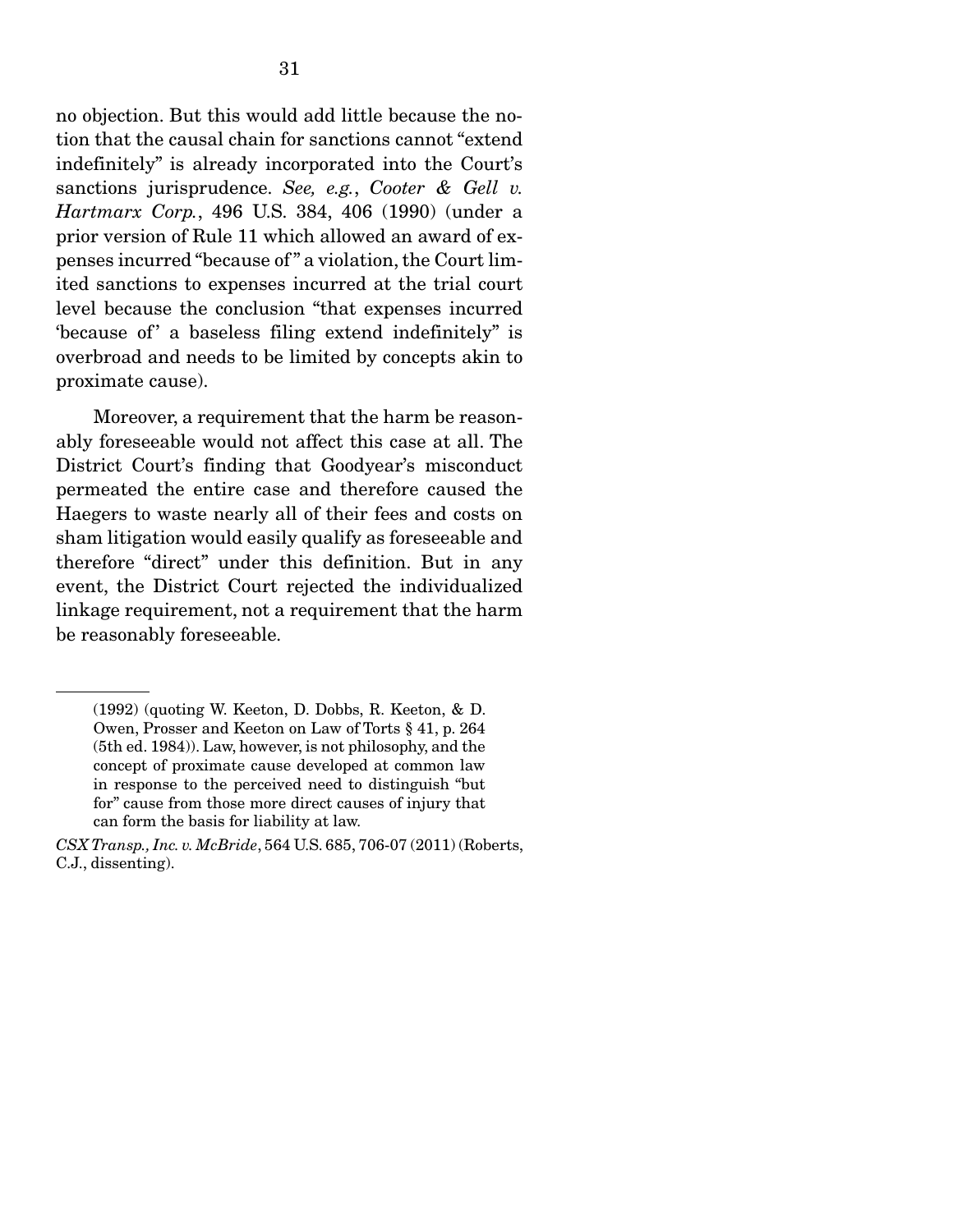no objection. But this would add little because the notion that the causal chain for sanctions cannot "extend" indefinitely" is already incorporated into the Court's sanctions jurisprudence. *See, e.g.*, *Cooter & Gell v. Hartmarx Corp.*, 496 U.S. 384, 406 (1990) (under a prior version of Rule 11 which allowed an award of expenses incurred "because of " a violation, the Court limited sanctions to expenses incurred at the trial court level because the conclusion "that expenses incurred because of a baseless filing extend indefinitely" is overbroad and needs to be limited by concepts akin to proximate cause).

 Moreover, a requirement that the harm be reasonably foreseeable would not affect this case at all. The District Court's finding that Goodyear's misconduct permeated the entire case and therefore caused the Haegers to waste nearly all of their fees and costs on sham litigation would easily qualify as foreseeable and therefore "direct" under this definition. But in any event, the District Court rejected the individualized linkage requirement, not a requirement that the harm be reasonably foreseeable.

<sup>(1992) (</sup>quoting W. Keeton, D. Dobbs, R. Keeton, & D. Owen, Prosser and Keeton on Law of Torts § 41, p. 264 (5th ed. 1984)). Law, however, is not philosophy, and the concept of proximate cause developed at common law in response to the perceived need to distinguish "but for" cause from those more direct causes of injury that can form the basis for liability at law.

*CSX Transp., Inc. v. McBride*, 564 U.S. 685, 706-07 (2011) (Roberts, C.J., dissenting).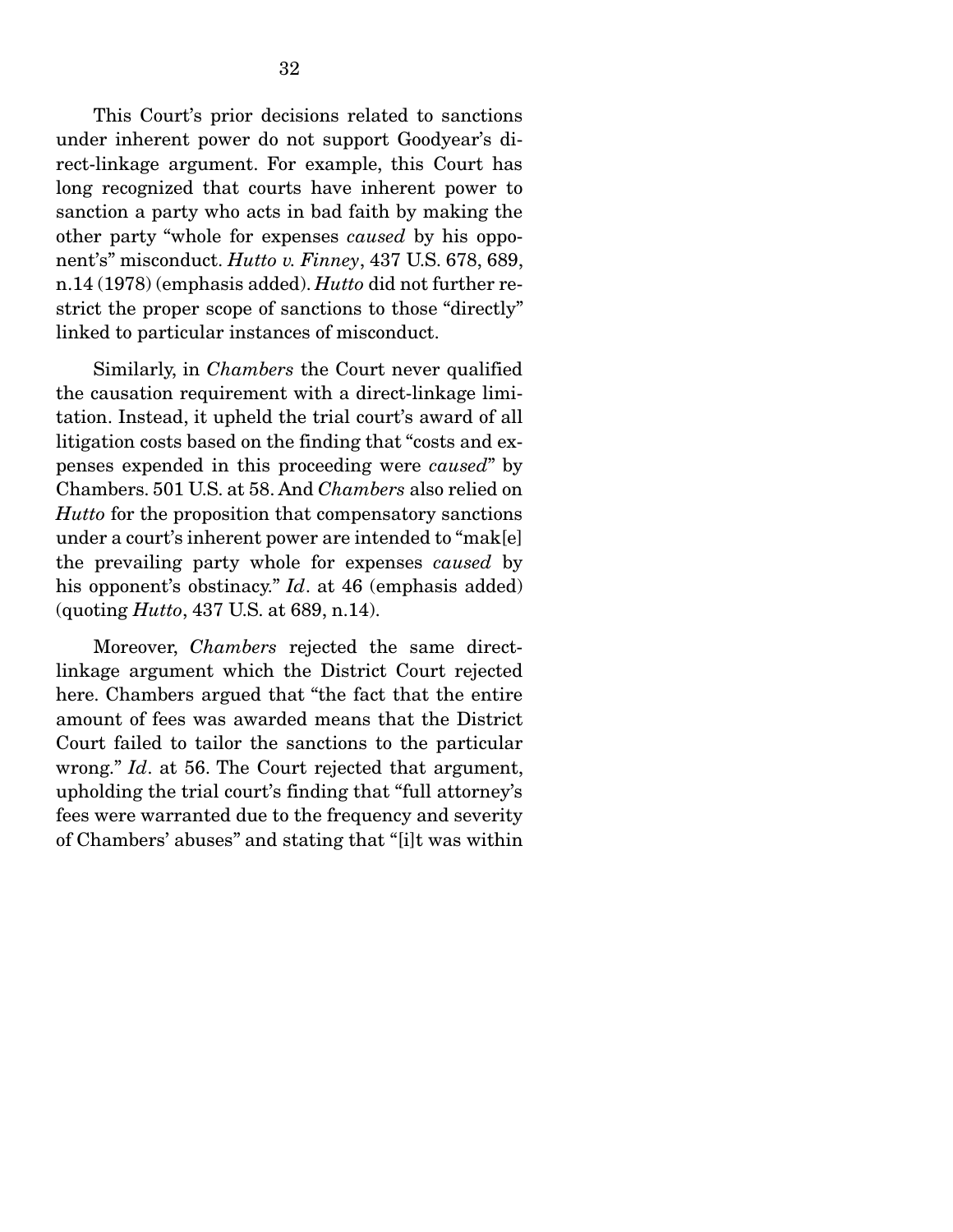This Court's prior decisions related to sanctions under inherent power do not support Goodyear's direct-linkage argument. For example, this Court has long recognized that courts have inherent power to sanction a party who acts in bad faith by making the other party "whole for expenses *caused* by his opponent's" misconduct. *Hutto v. Finney*, 437 U.S. 678, 689, n.14 (1978) (emphasis added). *Hutto* did not further restrict the proper scope of sanctions to those "directly" linked to particular instances of misconduct.

Similarly, in *Chambers* the Court never qualified the causation requirement with a direct-linkage limitation. Instead, it upheld the trial court's award of all litigation costs based on the finding that "costs and expenses expended in this proceeding were *caused*" by Chambers. 501 U.S. at 58. And *Chambers* also relied on *Hutto* for the proposition that compensatory sanctions under a court's inherent power are intended to "mak[e] the prevailing party whole for expenses *caused* by his opponent's obstinacy." *Id*. at 46 (emphasis added) (quoting *Hutto*, 437 U.S. at 689, n.14).

 Moreover, *Chambers* rejected the same directlinkage argument which the District Court rejected here. Chambers argued that "the fact that the entire amount of fees was awarded means that the District Court failed to tailor the sanctions to the particular wrong." *Id*. at 56. The Court rejected that argument, upholding the trial court's finding that "full attorney's fees were warranted due to the frequency and severity of Chambers' abuses" and stating that "[i]t was within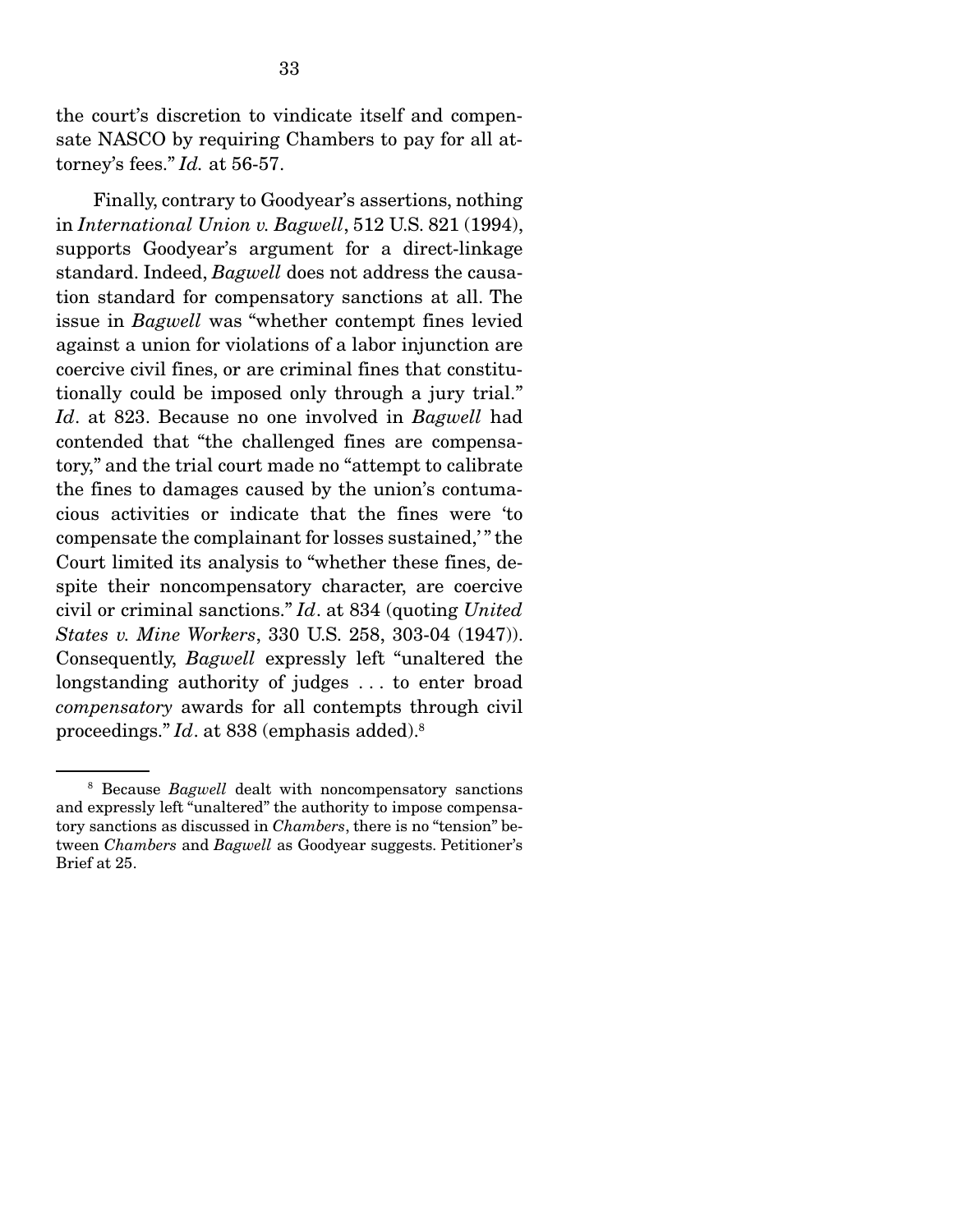the court's discretion to vindicate itself and compensate NASCO by requiring Chambers to pay for all attorney's fees." *Id.* at 56-57.

 Finally, contrary to Goodyear's assertions, nothing in *International Union v. Bagwell*, 512 U.S. 821 (1994), supports Goodyear's argument for a direct-linkage standard. Indeed, *Bagwell* does not address the causation standard for compensatory sanctions at all. The issue in *Bagwell* was "whether contempt fines levied against a union for violations of a labor injunction are coercive civil fines, or are criminal fines that constitutionally could be imposed only through a jury trial." *Id*. at 823. Because no one involved in *Bagwell* had contended that "the challenged fines are compensatory," and the trial court made no "attempt to calibrate the fines to damages caused by the union's contumacious activities or indicate that the fines were 'to compensate the complainant for losses sustained,' " the Court limited its analysis to "whether these fines, despite their noncompensatory character, are coercive civil or criminal sanctions." *Id*. at 834 (quoting *United States v. Mine Workers*, 330 U.S. 258, 303-04 (1947)). Consequently, *Bagwell* expressly left "unaltered the longstanding authority of judges . . . to enter broad *compensatory* awards for all contempts through civil proceedings." *Id*. at 838 (emphasis added).8

<sup>8</sup> Because *Bagwell* dealt with noncompensatory sanctions and expressly left "unaltered" the authority to impose compensatory sanctions as discussed in *Chambers*, there is no "tension" between *Chambers* and *Bagwell* as Goodyear suggests. Petitioner's Brief at 25.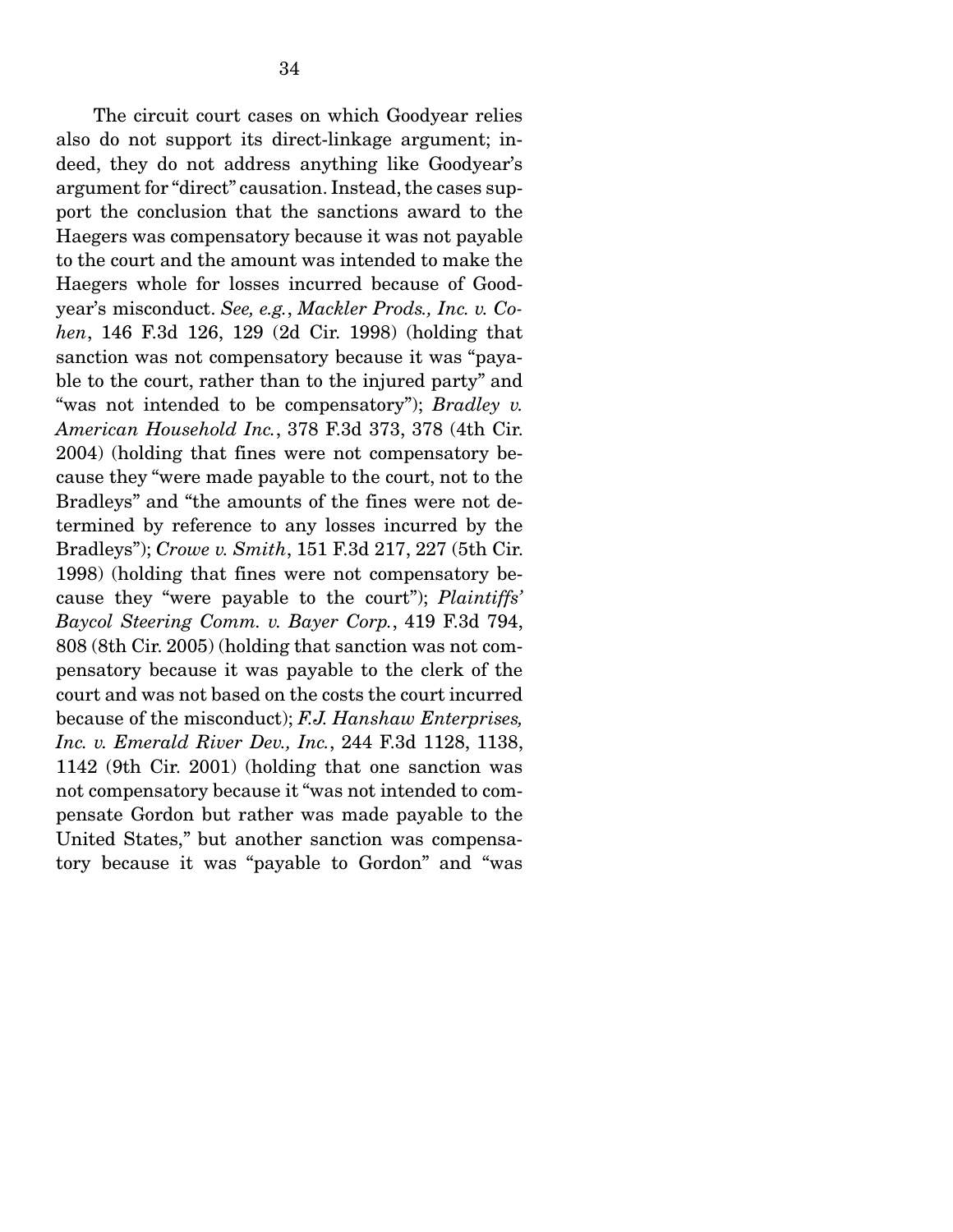The circuit court cases on which Goodyear relies also do not support its direct-linkage argument; indeed, they do not address anything like Goodyear's argument for "direct" causation. Instead, the cases support the conclusion that the sanctions award to the Haegers was compensatory because it was not payable to the court and the amount was intended to make the Haegers whole for losses incurred because of Goodyear's misconduct. *See, e.g.*, *Mackler Prods., Inc. v. Cohen*, 146 F.3d 126, 129 (2d Cir. 1998) (holding that sanction was not compensatory because it was "payable to the court, rather than to the injured party" and "was not intended to be compensatory"); *Bradley v. American Household Inc.*, 378 F.3d 373, 378 (4th Cir. 2004) (holding that fines were not compensatory because they "were made payable to the court, not to the Bradleys" and "the amounts of the fines were not determined by reference to any losses incurred by the Bradleys"); *Crowe v. Smith*, 151 F.3d 217, 227 (5th Cir. 1998) (holding that fines were not compensatory because they "were payable to the court"); *Plaintiffs' Baycol Steering Comm. v. Bayer Corp.*, 419 F.3d 794, 808 (8th Cir. 2005) (holding that sanction was not compensatory because it was payable to the clerk of the court and was not based on the costs the court incurred because of the misconduct); *F.J. Hanshaw Enterprises, Inc. v. Emerald River Dev., Inc.*, 244 F.3d 1128, 1138, 1142 (9th Cir. 2001) (holding that one sanction was not compensatory because it "was not intended to compensate Gordon but rather was made payable to the United States," but another sanction was compensatory because it was "payable to Gordon" and "was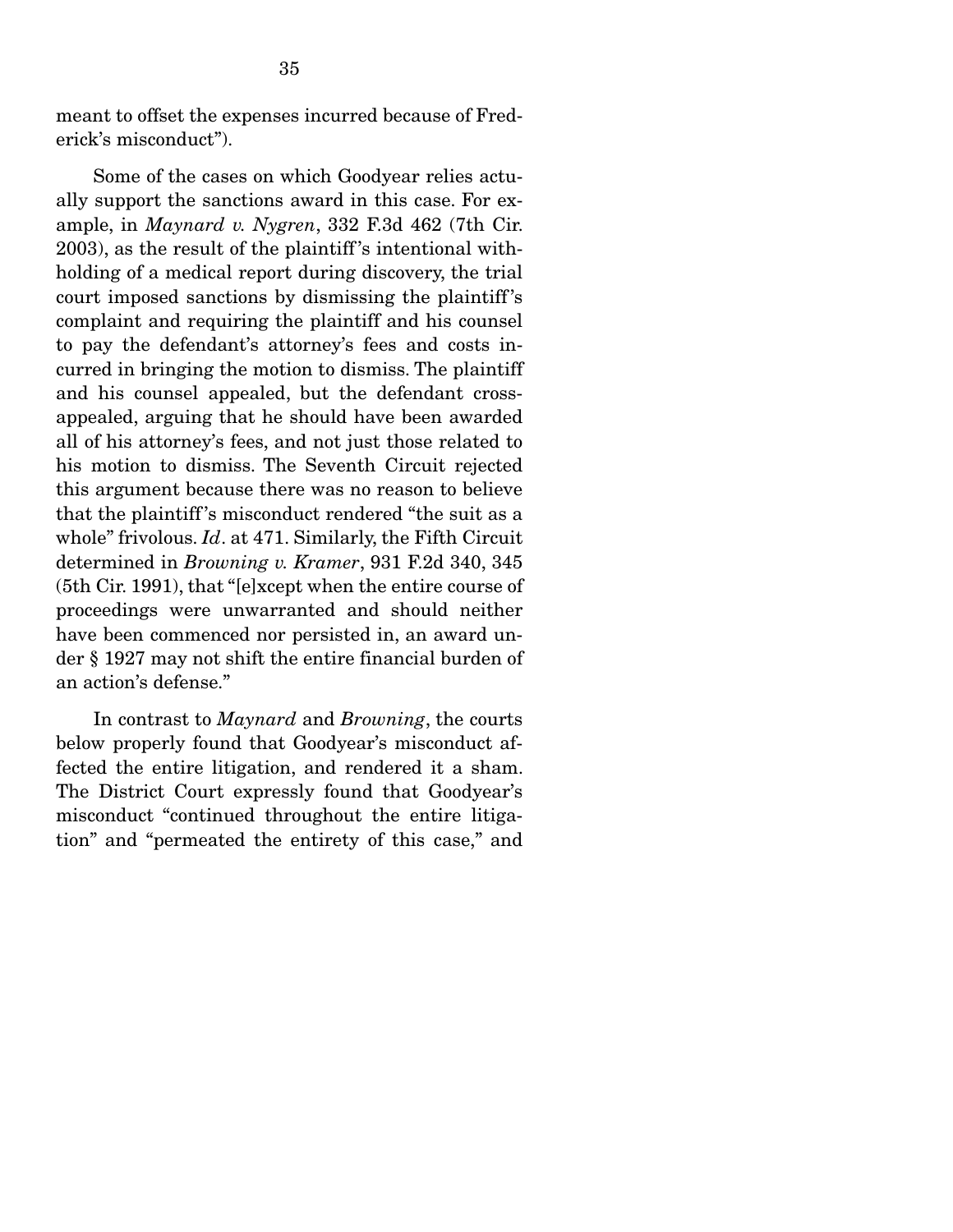meant to offset the expenses incurred because of Frederick's misconduct").

 Some of the cases on which Goodyear relies actually support the sanctions award in this case. For example, in *Maynard v. Nygren*, 332 F.3d 462 (7th Cir. 2003), as the result of the plaintiff 's intentional withholding of a medical report during discovery, the trial court imposed sanctions by dismissing the plaintiff 's complaint and requiring the plaintiff and his counsel to pay the defendant's attorney's fees and costs incurred in bringing the motion to dismiss. The plaintiff and his counsel appealed, but the defendant crossappealed, arguing that he should have been awarded all of his attorney's fees, and not just those related to his motion to dismiss. The Seventh Circuit rejected this argument because there was no reason to believe that the plaintiff 's misconduct rendered "the suit as a whole" frivolous. *Id*. at 471. Similarly, the Fifth Circuit determined in *Browning v. Kramer*, 931 F.2d 340, 345 (5th Cir. 1991), that "[e]xcept when the entire course of proceedings were unwarranted and should neither have been commenced nor persisted in, an award under § 1927 may not shift the entire financial burden of an action's defense."

 In contrast to *Maynard* and *Browning*, the courts below properly found that Goodyear's misconduct affected the entire litigation, and rendered it a sham. The District Court expressly found that Goodyear's misconduct "continued throughout the entire litigation" and "permeated the entirety of this case," and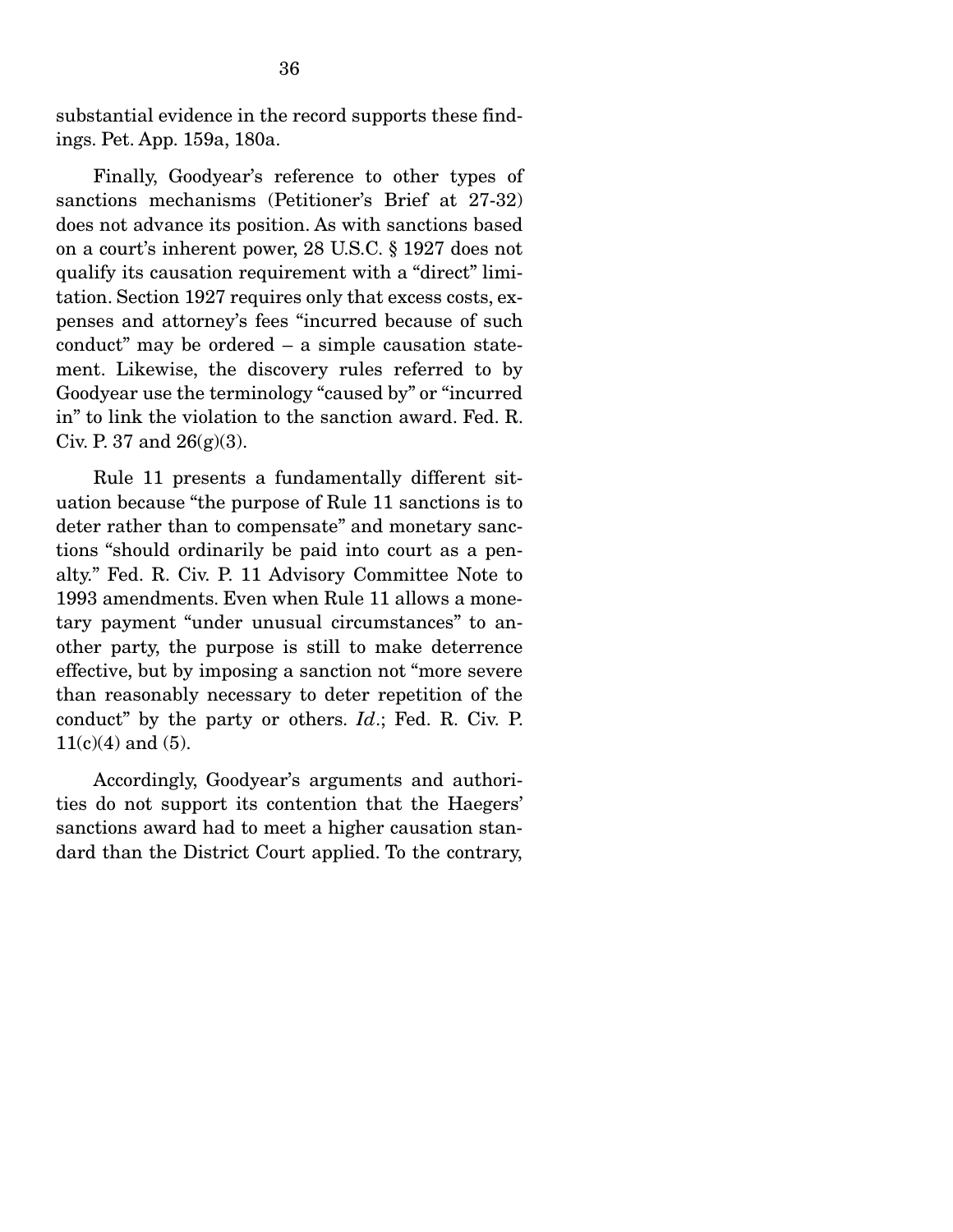substantial evidence in the record supports these findings. Pet. App. 159a, 180a.

 Finally, Goodyear's reference to other types of sanctions mechanisms (Petitioner's Brief at 27-32) does not advance its position. As with sanctions based on a court's inherent power, 28 U.S.C. § 1927 does not qualify its causation requirement with a "direct" limitation. Section 1927 requires only that excess costs, expenses and attorney's fees "incurred because of such conduct" may be ordered – a simple causation statement. Likewise, the discovery rules referred to by Goodyear use the terminology "caused by" or "incurred in" to link the violation to the sanction award. Fed. R. Civ. P. 37 and  $26(g)(3)$ .

 Rule 11 presents a fundamentally different situation because "the purpose of Rule 11 sanctions is to deter rather than to compensate" and monetary sanctions "should ordinarily be paid into court as a penalty." Fed. R. Civ. P. 11 Advisory Committee Note to 1993 amendments. Even when Rule 11 allows a monetary payment "under unusual circumstances" to another party, the purpose is still to make deterrence effective, but by imposing a sanction not "more severe than reasonably necessary to deter repetition of the conduct" by the party or others. *Id*.; Fed. R. Civ. P.  $11(c)(4)$  and  $(5)$ .

 Accordingly, Goodyear's arguments and authorities do not support its contention that the Haegers' sanctions award had to meet a higher causation standard than the District Court applied. To the contrary,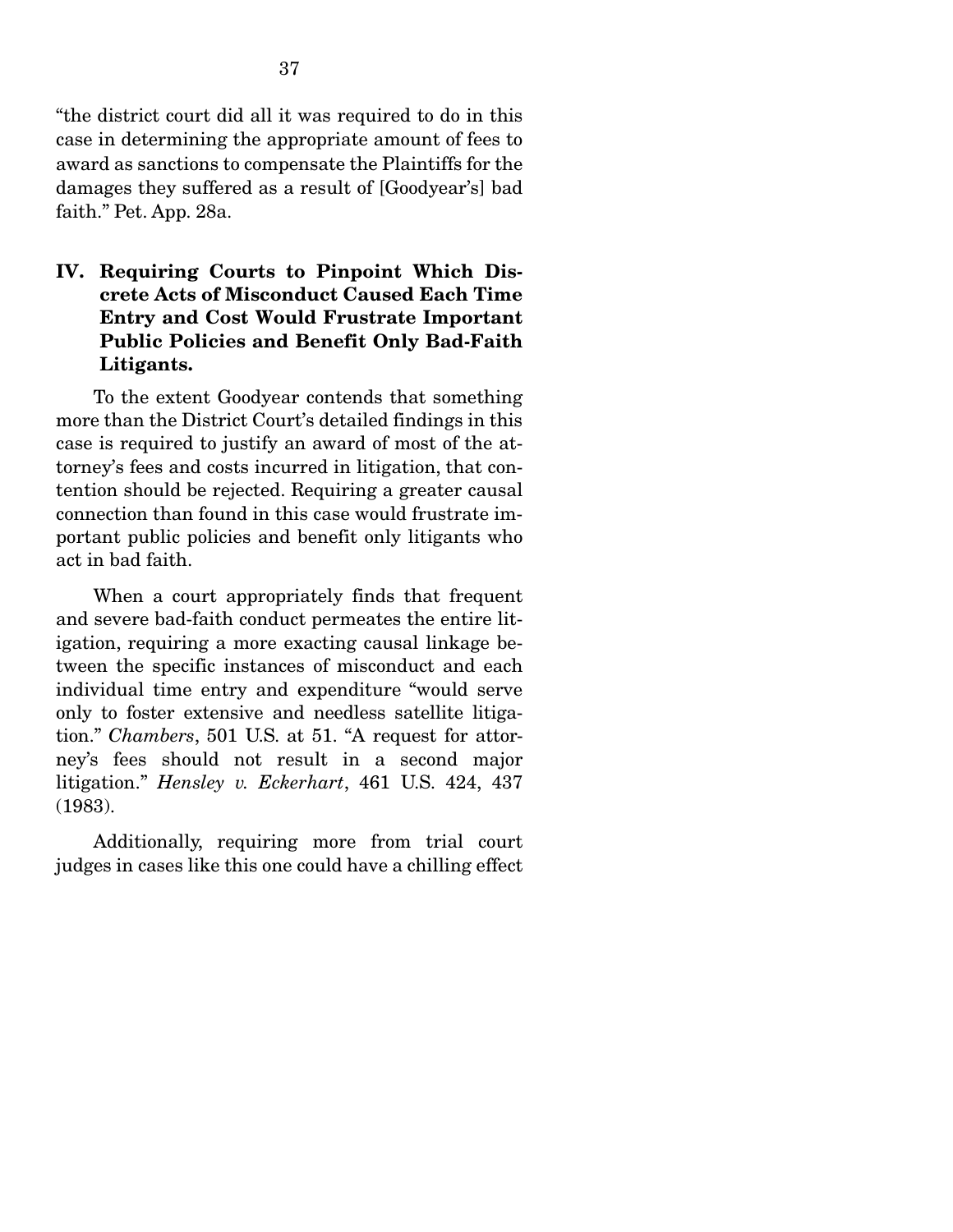"the district court did all it was required to do in this case in determining the appropriate amount of fees to award as sanctions to compensate the Plaintiffs for the damages they suffered as a result of [Goodyear's] bad faith." Pet. App. 28a.

#### IV. Requiring Courts to Pinpoint Which Discrete Acts of Misconduct Caused Each Time Entry and Cost Would Frustrate Important Public Policies and Benefit Only Bad-Faith Litigants.

 To the extent Goodyear contends that something more than the District Court's detailed findings in this case is required to justify an award of most of the attorney's fees and costs incurred in litigation, that contention should be rejected. Requiring a greater causal connection than found in this case would frustrate important public policies and benefit only litigants who act in bad faith.

 When a court appropriately finds that frequent and severe bad-faith conduct permeates the entire litigation, requiring a more exacting causal linkage between the specific instances of misconduct and each individual time entry and expenditure "would serve only to foster extensive and needless satellite litigation." *Chambers*, 501 U.S. at 51. "A request for attorney's fees should not result in a second major litigation." *Hensley v. Eckerhart*, 461 U.S. 424, 437 (1983).

 Additionally, requiring more from trial court judges in cases like this one could have a chilling effect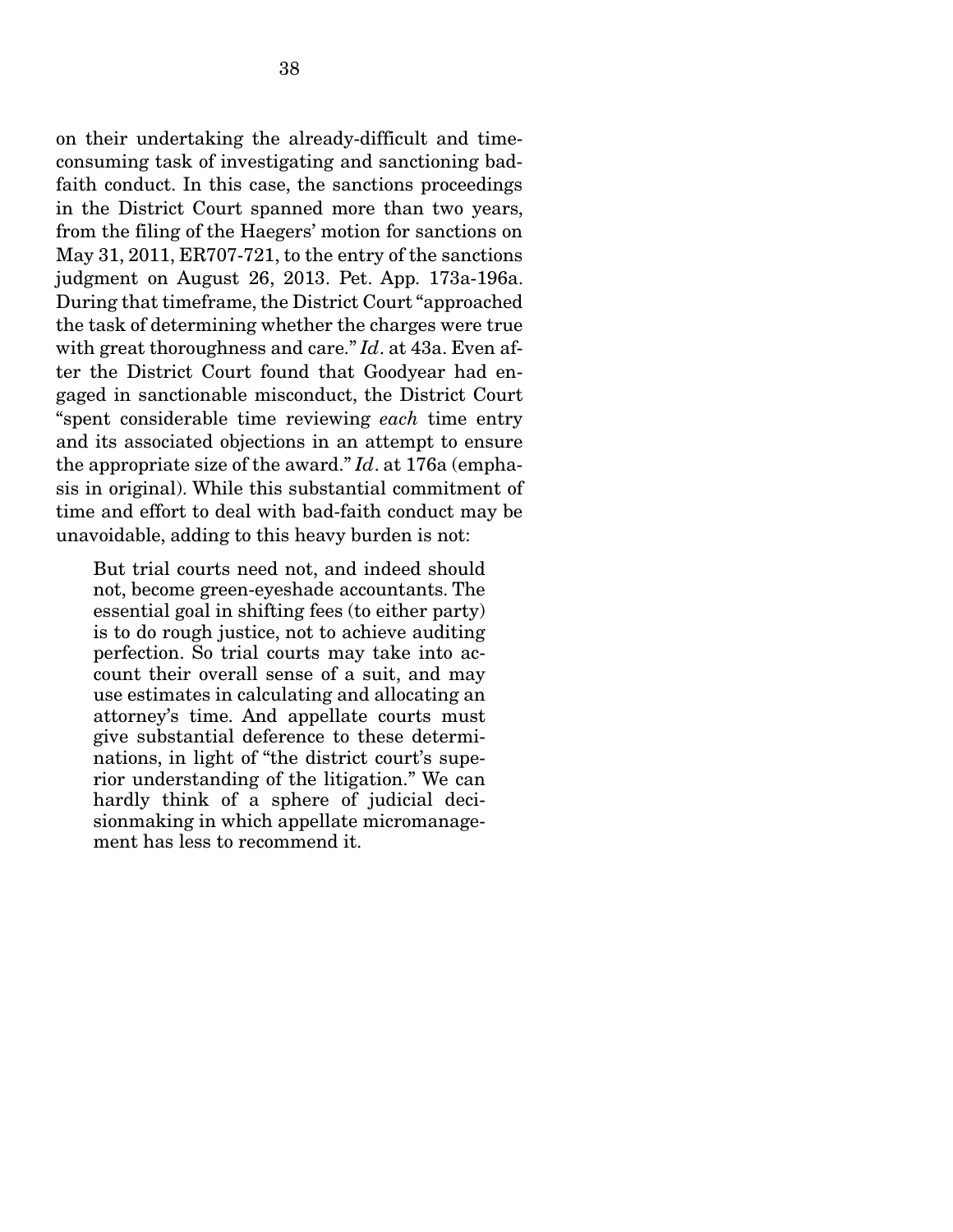on their undertaking the already-difficult and timeconsuming task of investigating and sanctioning badfaith conduct. In this case, the sanctions proceedings in the District Court spanned more than two years, from the filing of the Haegers' motion for sanctions on May 31, 2011, ER707-721, to the entry of the sanctions judgment on August 26, 2013. Pet. App. 173a-196a. During that timeframe, the District Court "approached the task of determining whether the charges were true with great thoroughness and care." *Id*. at 43a. Even after the District Court found that Goodyear had engaged in sanctionable misconduct, the District Court "spent considerable time reviewing *each* time entry and its associated objections in an attempt to ensure the appropriate size of the award." *Id*. at 176a (emphasis in original). While this substantial commitment of time and effort to deal with bad-faith conduct may be unavoidable, adding to this heavy burden is not:

But trial courts need not, and indeed should not, become green-eyeshade accountants. The essential goal in shifting fees (to either party) is to do rough justice, not to achieve auditing perfection. So trial courts may take into account their overall sense of a suit, and may use estimates in calculating and allocating an attorney's time. And appellate courts must give substantial deference to these determinations, in light of "the district court's superior understanding of the litigation." We can hardly think of a sphere of judicial decisionmaking in which appellate micromanagement has less to recommend it.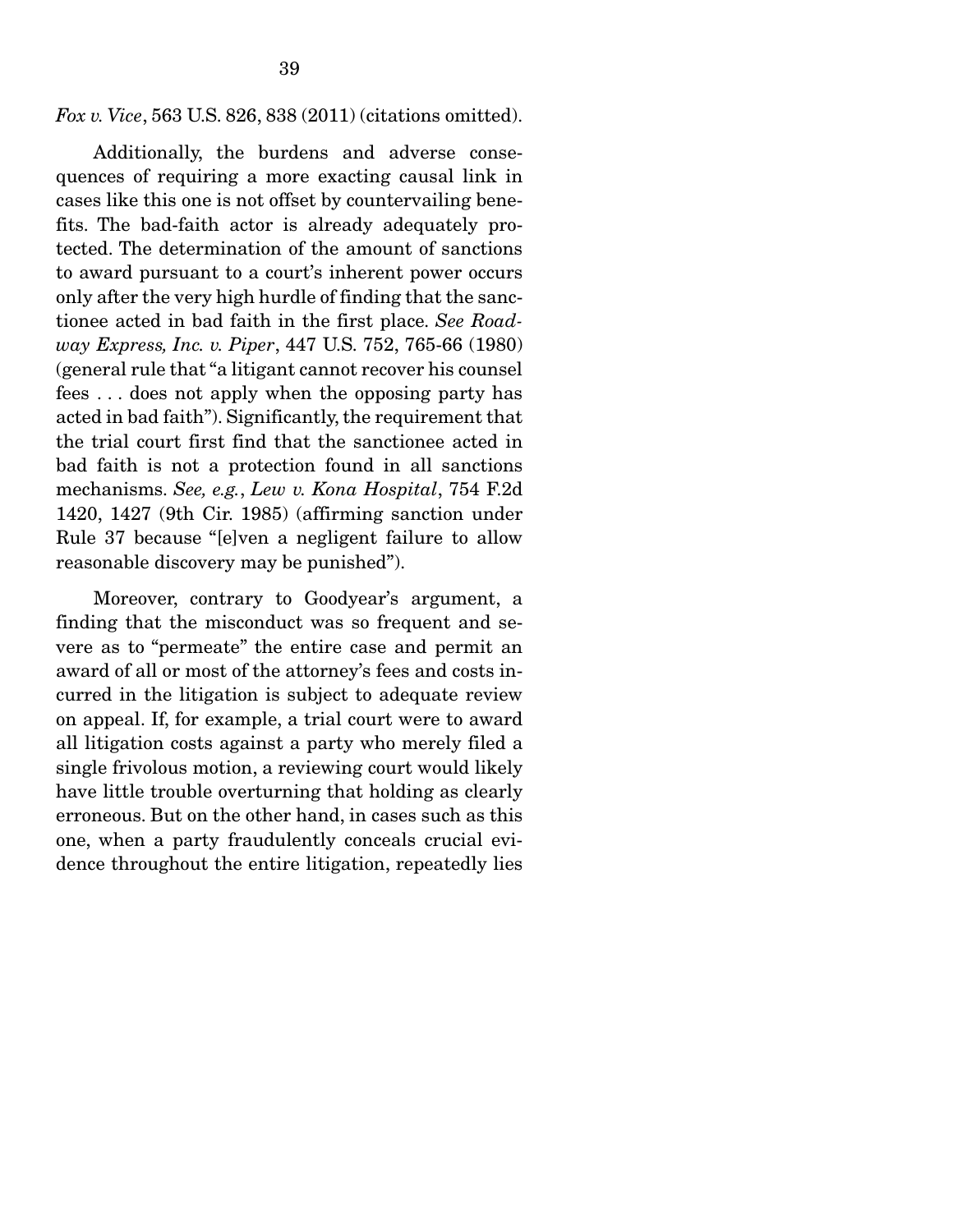*Fox v. Vice*, 563 U.S. 826, 838 (2011) (citations omitted).

 Additionally, the burdens and adverse consequences of requiring a more exacting causal link in cases like this one is not offset by countervailing benefits. The bad-faith actor is already adequately protected. The determination of the amount of sanctions to award pursuant to a court's inherent power occurs only after the very high hurdle of finding that the sanctionee acted in bad faith in the first place. *See Roadway Express, Inc. v. Piper*, 447 U.S. 752, 765-66 (1980) (general rule that "a litigant cannot recover his counsel fees . . . does not apply when the opposing party has acted in bad faith"). Significantly, the requirement that the trial court first find that the sanctionee acted in bad faith is not a protection found in all sanctions mechanisms. *See, e.g.*, *Lew v. Kona Hospital*, 754 F.2d 1420, 1427 (9th Cir. 1985) (affirming sanction under Rule 37 because "[e]ven a negligent failure to allow reasonable discovery may be punished").

 Moreover, contrary to Goodyear's argument, a finding that the misconduct was so frequent and severe as to "permeate" the entire case and permit an award of all or most of the attorney's fees and costs incurred in the litigation is subject to adequate review on appeal. If, for example, a trial court were to award all litigation costs against a party who merely filed a single frivolous motion, a reviewing court would likely have little trouble overturning that holding as clearly erroneous. But on the other hand, in cases such as this one, when a party fraudulently conceals crucial evidence throughout the entire litigation, repeatedly lies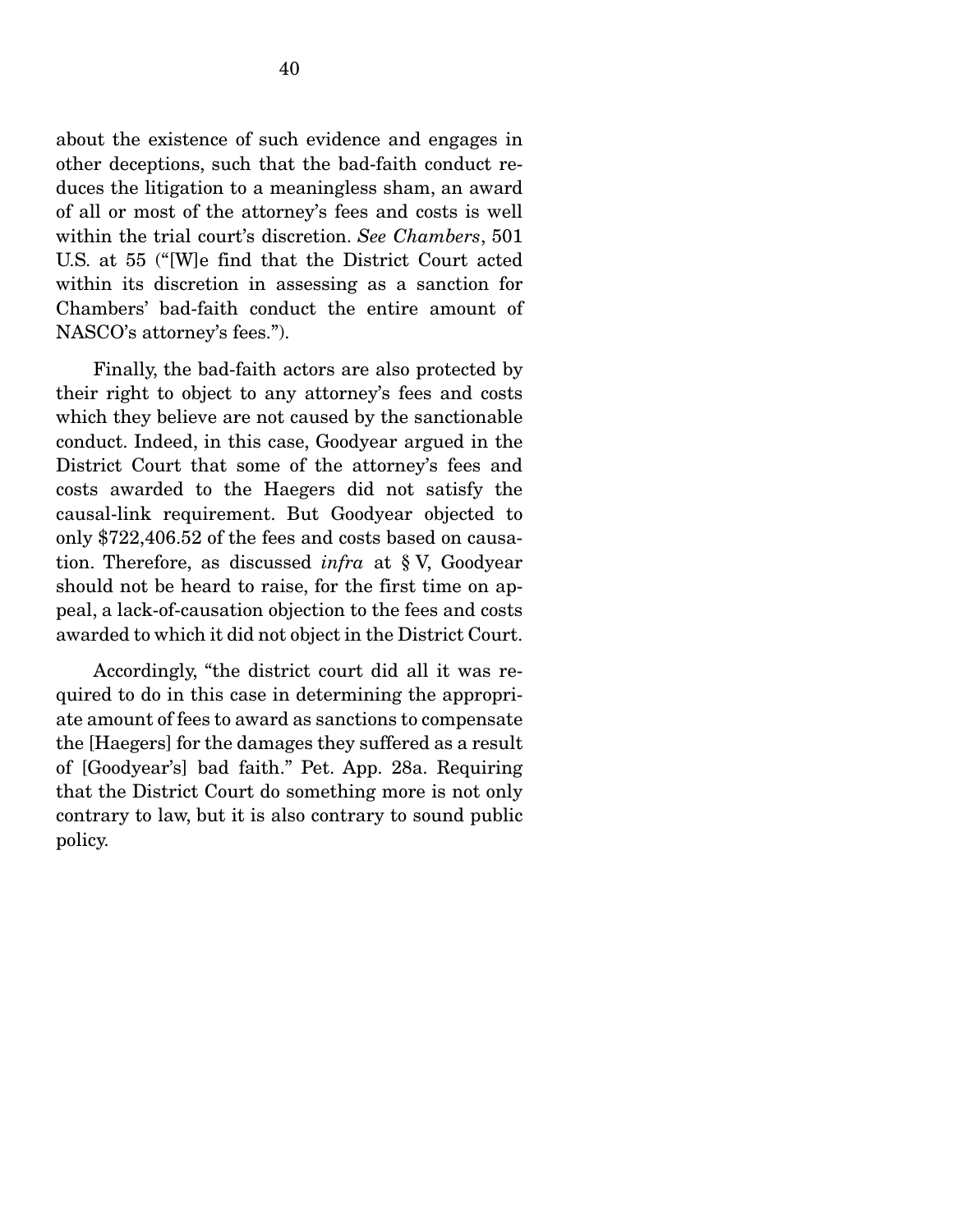about the existence of such evidence and engages in other deceptions, such that the bad-faith conduct reduces the litigation to a meaningless sham, an award of all or most of the attorney's fees and costs is well within the trial court's discretion. *See Chambers*, 501 U.S. at 55 ("[W]e find that the District Court acted within its discretion in assessing as a sanction for Chambers' bad-faith conduct the entire amount of NASCO's attorney's fees.").

 Finally, the bad-faith actors are also protected by their right to object to any attorney's fees and costs which they believe are not caused by the sanctionable conduct. Indeed, in this case, Goodyear argued in the District Court that some of the attorney's fees and costs awarded to the Haegers did not satisfy the causal-link requirement. But Goodyear objected to only \$722,406.52 of the fees and costs based on causation. Therefore, as discussed *infra* at § V, Goodyear should not be heard to raise, for the first time on appeal, a lack-of-causation objection to the fees and costs awarded to which it did not object in the District Court.

 Accordingly, "the district court did all it was required to do in this case in determining the appropriate amount of fees to award as sanctions to compensate the [Haegers] for the damages they suffered as a result of [Goodyear's] bad faith." Pet. App. 28a. Requiring that the District Court do something more is not only contrary to law, but it is also contrary to sound public policy.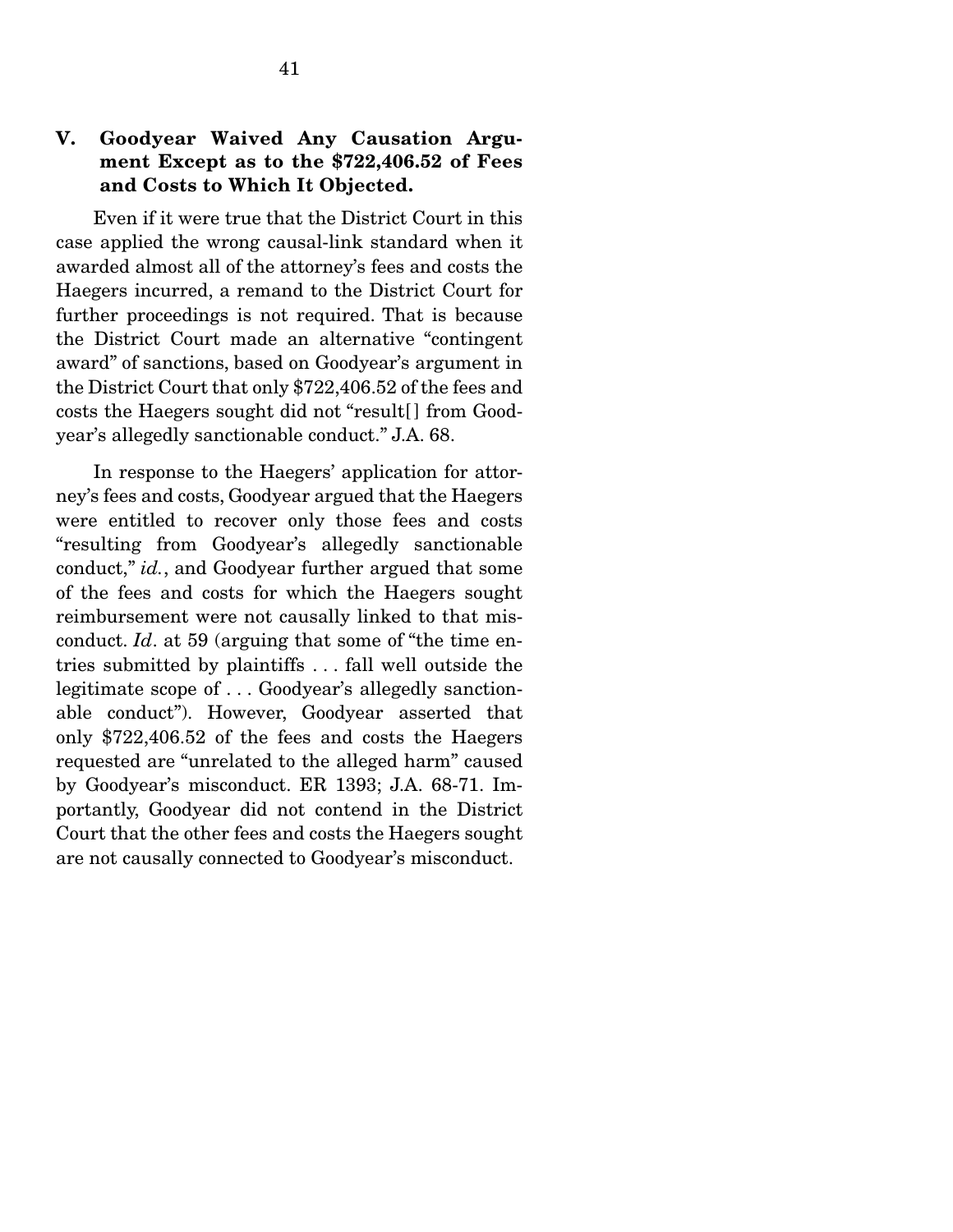### V. Goodyear Waived Any Causation Argument Except as to the \$722,406.52 of Fees and Costs to Which It Objected.

 Even if it were true that the District Court in this case applied the wrong causal-link standard when it awarded almost all of the attorney's fees and costs the Haegers incurred, a remand to the District Court for further proceedings is not required. That is because the District Court made an alternative "contingent award" of sanctions, based on Goodyear's argument in the District Court that only \$722,406.52 of the fees and costs the Haegers sought did not "result[ ] from Goodyear's allegedly sanctionable conduct." J.A. 68.

 In response to the Haegers' application for attorney's fees and costs, Goodyear argued that the Haegers were entitled to recover only those fees and costs "resulting from Goodyear's allegedly sanctionable conduct," *id.*, and Goodyear further argued that some of the fees and costs for which the Haegers sought reimbursement were not causally linked to that misconduct. *Id*. at 59 (arguing that some of "the time entries submitted by plaintiffs . . . fall well outside the legitimate scope of . . . Goodyear's allegedly sanctionable conduct"). However, Goodyear asserted that only \$722,406.52 of the fees and costs the Haegers requested are "unrelated to the alleged harm" caused by Goodyear's misconduct. ER 1393; J.A. 68-71. Importantly, Goodyear did not contend in the District Court that the other fees and costs the Haegers sought are not causally connected to Goodyear's misconduct.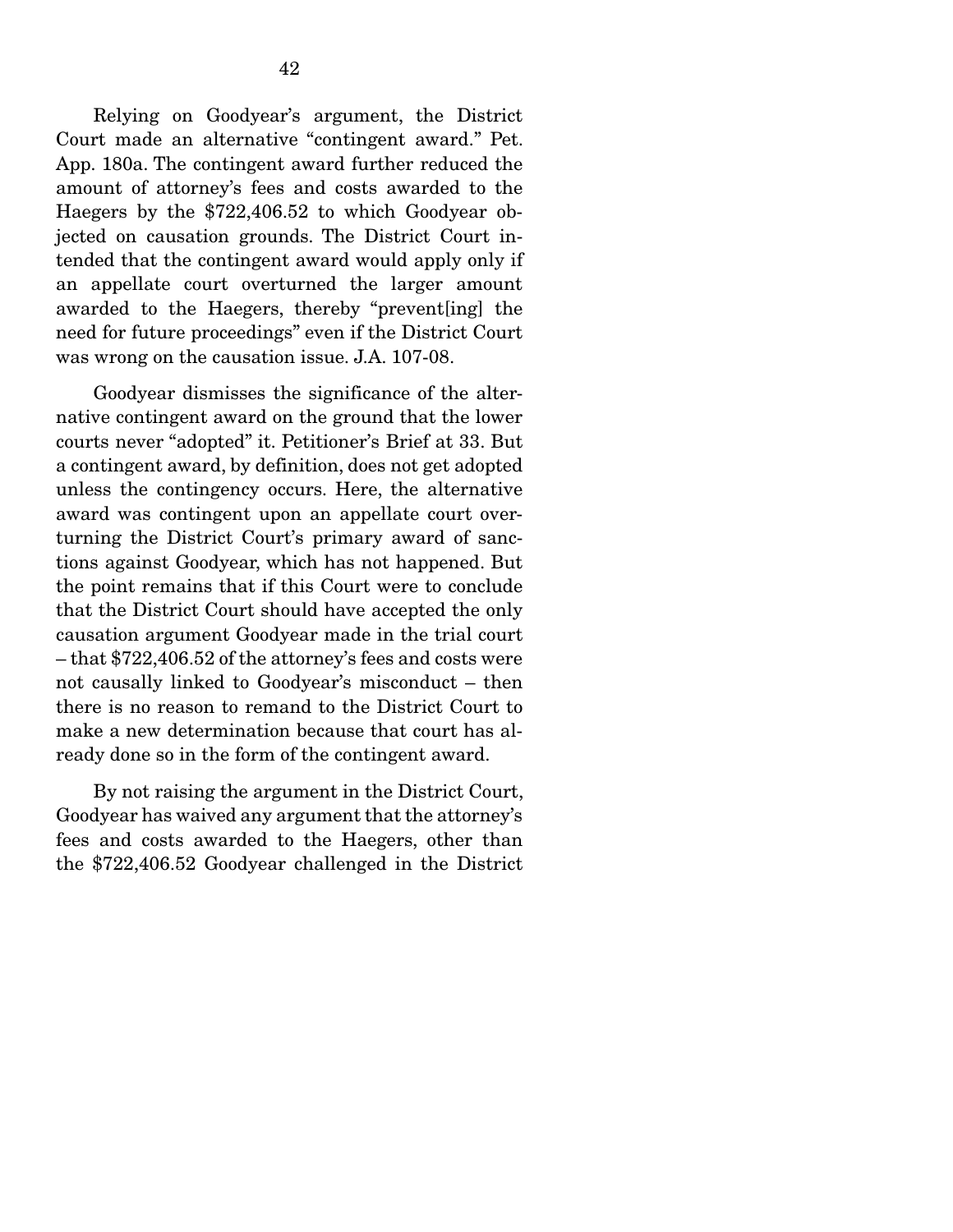Relying on Goodyear's argument, the District Court made an alternative "contingent award." Pet. App. 180a. The contingent award further reduced the amount of attorney's fees and costs awarded to the Haegers by the \$722,406.52 to which Goodyear objected on causation grounds. The District Court intended that the contingent award would apply only if an appellate court overturned the larger amount awarded to the Haegers, thereby "prevent[ing] the need for future proceedings" even if the District Court was wrong on the causation issue. J.A. 107-08.

 Goodyear dismisses the significance of the alternative contingent award on the ground that the lower courts never "adopted" it. Petitioner's Brief at 33. But a contingent award, by definition, does not get adopted unless the contingency occurs. Here, the alternative award was contingent upon an appellate court overturning the District Court's primary award of sanctions against Goodyear, which has not happened. But the point remains that if this Court were to conclude that the District Court should have accepted the only causation argument Goodyear made in the trial court – that \$722,406.52 of the attorney's fees and costs were not causally linked to Goodyear's misconduct – then there is no reason to remand to the District Court to make a new determination because that court has already done so in the form of the contingent award.

 By not raising the argument in the District Court, Goodyear has waived any argument that the attorney's fees and costs awarded to the Haegers, other than the \$722,406.52 Goodyear challenged in the District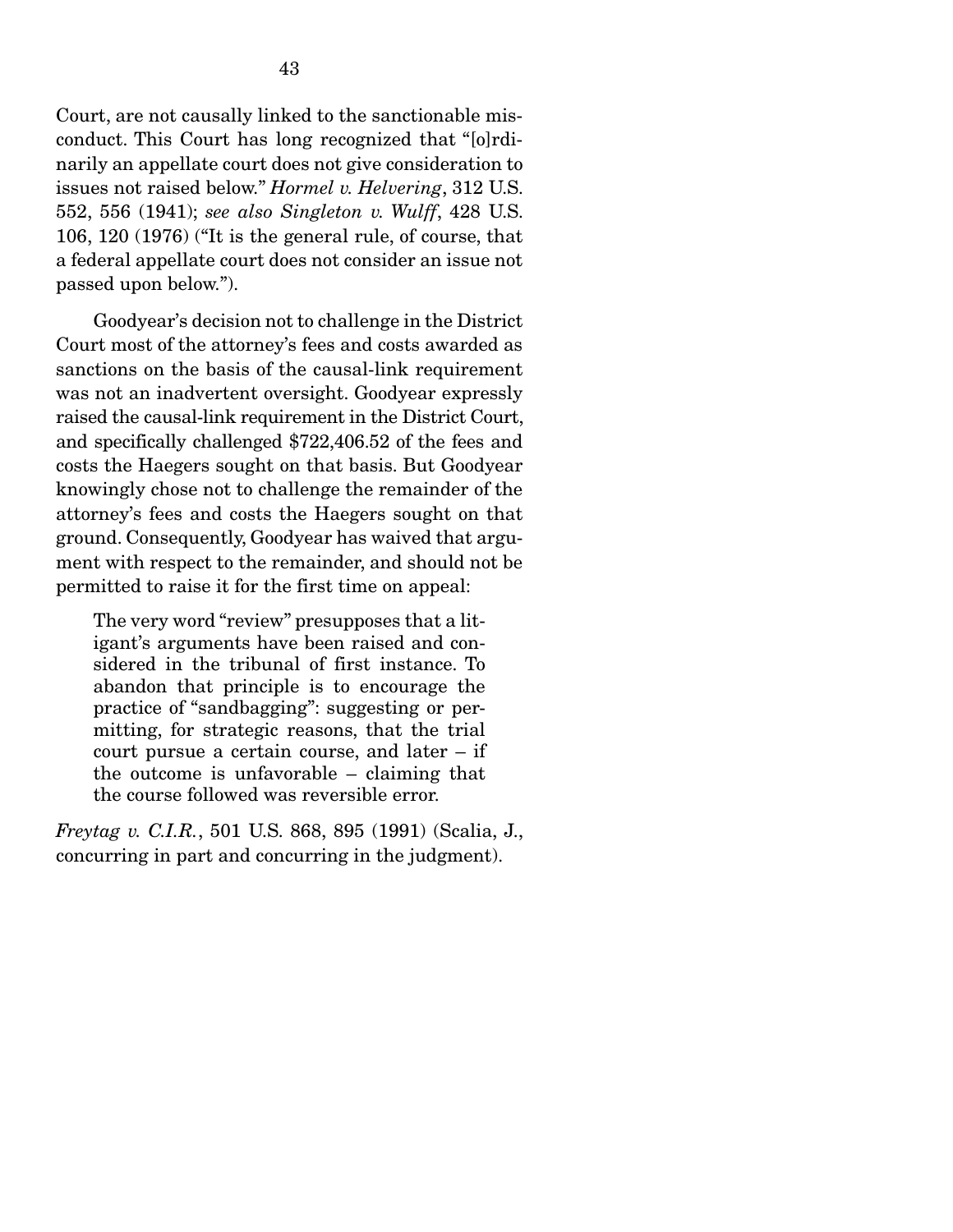Court, are not causally linked to the sanctionable misconduct. This Court has long recognized that "[o]rdinarily an appellate court does not give consideration to issues not raised below." *Hormel v. Helvering*, 312 U.S. 552, 556 (1941); *see also Singleton v. Wulff*, 428 U.S. 106, 120 (1976) ("It is the general rule, of course, that a federal appellate court does not consider an issue not passed upon below.").

 Goodyear's decision not to challenge in the District Court most of the attorney's fees and costs awarded as sanctions on the basis of the causal-link requirement was not an inadvertent oversight. Goodyear expressly raised the causal-link requirement in the District Court, and specifically challenged \$722,406.52 of the fees and costs the Haegers sought on that basis. But Goodyear knowingly chose not to challenge the remainder of the attorney's fees and costs the Haegers sought on that ground. Consequently, Goodyear has waived that argument with respect to the remainder, and should not be permitted to raise it for the first time on appeal:

The very word "review" presupposes that a litigant's arguments have been raised and considered in the tribunal of first instance. To abandon that principle is to encourage the practice of "sandbagging": suggesting or permitting, for strategic reasons, that the trial court pursue a certain course, and later – if the outcome is unfavorable – claiming that the course followed was reversible error.

*Freytag v. C.I.R.*, 501 U.S. 868, 895 (1991) (Scalia, J., concurring in part and concurring in the judgment).